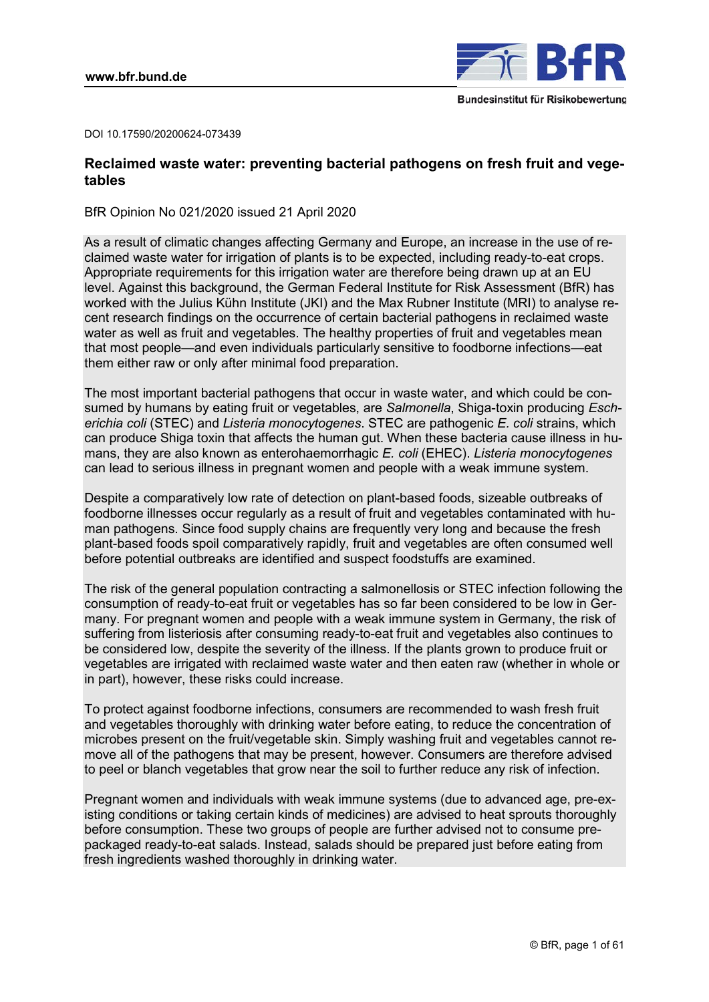

DOI 10.17590/20200624-073439

# **Reclaimed waste water: preventing bacterial pathogens on fresh fruit and vegetables**

BfR Opinion No 021/2020 issued 21 April 2020

level. Against this background, the German Federal Institute for Risk Assessment (BfR) has As a result of climatic changes affecting Germany and Europe, an increase in the use of reclaimed waste water for irrigation of plants is to be expected, including ready-to-eat crops. Appropriate requirements for this irrigation water are therefore being drawn up at an EU worked with the Julius Kühn Institute (JKI) and the Max Rubner Institute (MRI) to analyse recent research findings on the occurrence of certain bacterial pathogens in reclaimed waste water as well as fruit and vegetables. The healthy properties of fruit and vegetables mean that most people—and even individuals particularly sensitive to foodborne infections—eat them either raw or only after minimal food preparation.

The most important bacterial pathogens that occur in waste water, and which could be consumed by humans by eating fruit or vegetables, are *Salmonella*, Shiga-toxin producing *Escherichia coli* (STEC) and *Listeria monocytogenes*. STEC are pathogenic *E. coli* strains, which can produce Shiga toxin that affects the human gut. When these bacteria cause illness in humans, they are also known as enterohaemorrhagic *E. coli* (EHEC). *Listeria monocytogenes* can lead to serious illness in pregnant women and people with a weak immune system.

Despite a comparatively low rate of detection on plant-based foods, sizeable outbreaks of foodborne illnesses occur regularly as a result of fruit and vegetables contaminated with human pathogens. Since food supply chains are frequently very long and because the fresh plant-based foods spoil comparatively rapidly, fruit and vegetables are often consumed well before potential outbreaks are identified and suspect foodstuffs are examined.

The risk of the general population contracting a salmonellosis or STEC infection following the consumption of ready-to-eat fruit or vegetables has so far been considered to be low in Germany. For pregnant women and people with a weak immune system in Germany, the risk of suffering from listeriosis after consuming ready-to-eat fruit and vegetables also continues to be considered low, despite the severity of the illness. If the plants grown to produce fruit or vegetables are irrigated with reclaimed waste water and then eaten raw (whether in whole or in part), however, these risks could increase.

To protect against foodborne infections, consumers are recommended to wash fresh fruit and vegetables thoroughly with drinking water before eating, to reduce the concentration of microbes present on the fruit/vegetable skin. Simply washing fruit and vegetables cannot remove all of the pathogens that may be present, however. Consumers are therefore advised to peel or blanch vegetables that grow near the soil to further reduce any risk of infection.

Pregnant women and individuals with weak immune systems (due to advanced age, pre-existing conditions or taking certain kinds of medicines) are advised to heat sprouts thoroughly before consumption. These two groups of people are further advised not to consume prepackaged ready-to-eat salads. Instead, salads should be prepared just before eating from fresh ingredients washed thoroughly in drinking water.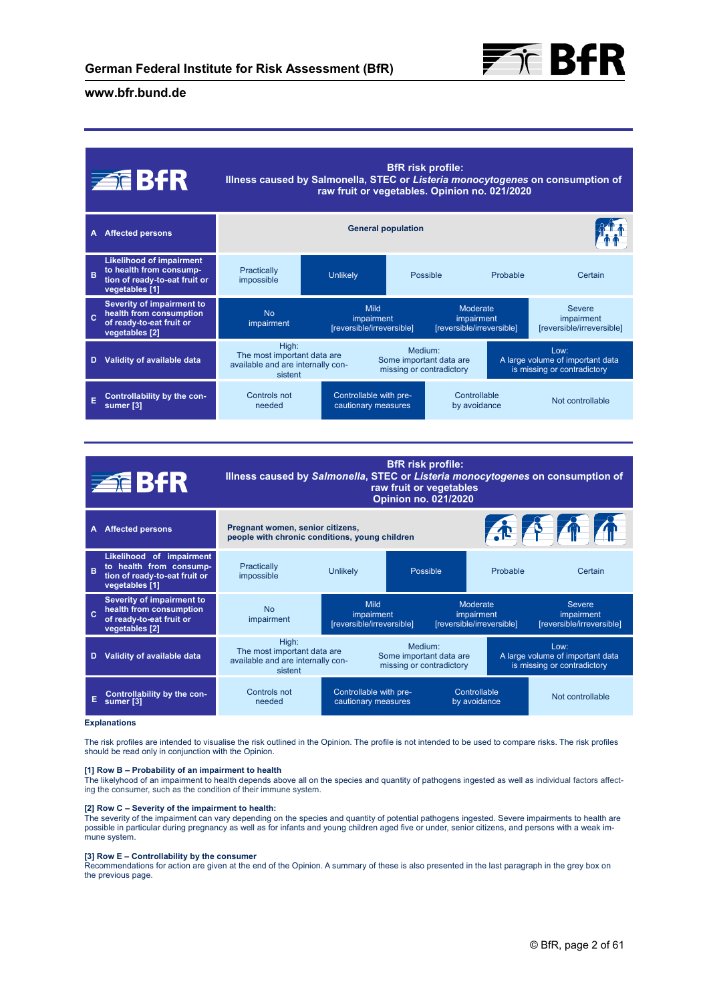

|   | <b>ZEBFR</b>                                                                                                  |                                                                                      | raw fruit or vegetables. Opinion no. 021/2020   | <b>BfR</b> risk profile:                        |                                                     |          | Illness caused by Salmonella, STEC or Listeria monocytogenes on consumption of |
|---|---------------------------------------------------------------------------------------------------------------|--------------------------------------------------------------------------------------|-------------------------------------------------|-------------------------------------------------|-----------------------------------------------------|----------|--------------------------------------------------------------------------------|
| А | <b>Affected persons</b>                                                                                       | <b>General population</b>                                                            |                                                 |                                                 |                                                     |          |                                                                                |
| B | <b>Likelihood of impairment</b><br>to health from consump-<br>tion of ready-to-eat fruit or<br>vegetables [1] | Practically<br>impossible                                                            | <b>Unlikely</b>                                 | Possible                                        |                                                     | Probable | Certain                                                                        |
|   | Severity of impairment to<br>health from consumption<br>of ready-to-eat fruit or<br>vegetables [2]            | No<br>impairment                                                                     | Mild<br>impairment<br>[reversible/irreversible] |                                                 | Moderate<br>impairment<br>[reversible/irreversible] |          | <b>Severe</b><br>impairment<br>[reversible/irreversible]                       |
| D | Validity of available data                                                                                    | High:<br>The most important data are<br>available and are internally con-<br>sistent |                                                 | Medium <sup>-</sup><br>missing or contradictory | Some important data are                             |          | Low:<br>A large volume of important data<br>is missing or contradictory        |
|   | Controllability by the con-<br>sumer [3]                                                                      | Controls not<br>needed                                                               | Controllable with pre-<br>cautionary measures   |                                                 | Controllable<br>by avoidance                        |          | Not controllable                                                               |

|   | <b>ZEBfR</b>                                                                                           | <b>BfR</b> risk profile:<br>Illness caused by Salmonella, STEC or Listeria monocytogenes on consumption of<br>raw fruit or vegetables<br><b>Opinion no. 021/2020</b> |                                                        |          |                                                                         |                                                          |
|---|--------------------------------------------------------------------------------------------------------|----------------------------------------------------------------------------------------------------------------------------------------------------------------------|--------------------------------------------------------|----------|-------------------------------------------------------------------------|----------------------------------------------------------|
| A | <b>Affected persons</b>                                                                                | 企作单价<br>Pregnant women, senior citizens,<br>people with chronic conditions, young children                                                                           |                                                        |          |                                                                         |                                                          |
| B | Likelihood of impairment<br>to health from consump-<br>tion of ready-to-eat fruit or<br>vegetables [1] | Practically<br>impossible                                                                                                                                            | Unlikely                                               | Possible | Probable                                                                | Certain                                                  |
|   | Severity of impairment to<br>health from consumption<br>of ready-to-eat fruit or<br>vegetables [2]     | <b>No</b><br>impairment                                                                                                                                              | <b>Mild</b><br>impairment<br>[reversible/irreversible] |          | Moderate<br>impairment<br>[reversible/irreversible]                     | <b>Severe</b><br>impairment<br>[reversible/irreversible] |
| D | Validity of available data                                                                             | High:<br>Medium <sup>-</sup><br>The most important data are<br>Some important data are<br>available and are internally con-<br>missing or contradictory<br>sistent   |                                                        |          | Low:<br>A large volume of important data<br>is missing or contradictory |                                                          |
|   | Controllability by the con-                                                                            | Controls not<br>needed                                                                                                                                               | Controllable with pre-<br>cautionary measures          |          | Controllable<br>by avoidance                                            | Not controllable                                         |

#### **Explanations**

The risk profiles are intended to visualise the risk outlined in the Opinion. The profile is not intended to be used to compare risks. The risk profiles should be read only in conjunction with the Opinion.

#### **[1] Row B – Probability of an impairment to health**

The likelyhood of an impairment to health depends above all on the species and quantity of pathogens ingested as well as individual factors affect-ing the consumer, such as the condition of their immune system.

#### **[2] Row C – Severity of the impairment to health:**

The severity of the impairment can vary depending on the species and quantity of potential pathogens ingested. Severe impairments to health are possible in particular during pregnancy as well as for infants and young children aged five or under, senior citizens, and persons with a weak immune system.

## **[3] Row E – Controllability by the consumer**

Recommendations for action are given at the end of the Opinion. A summary of these is also presented in the last paragraph in the grey box on the previous page.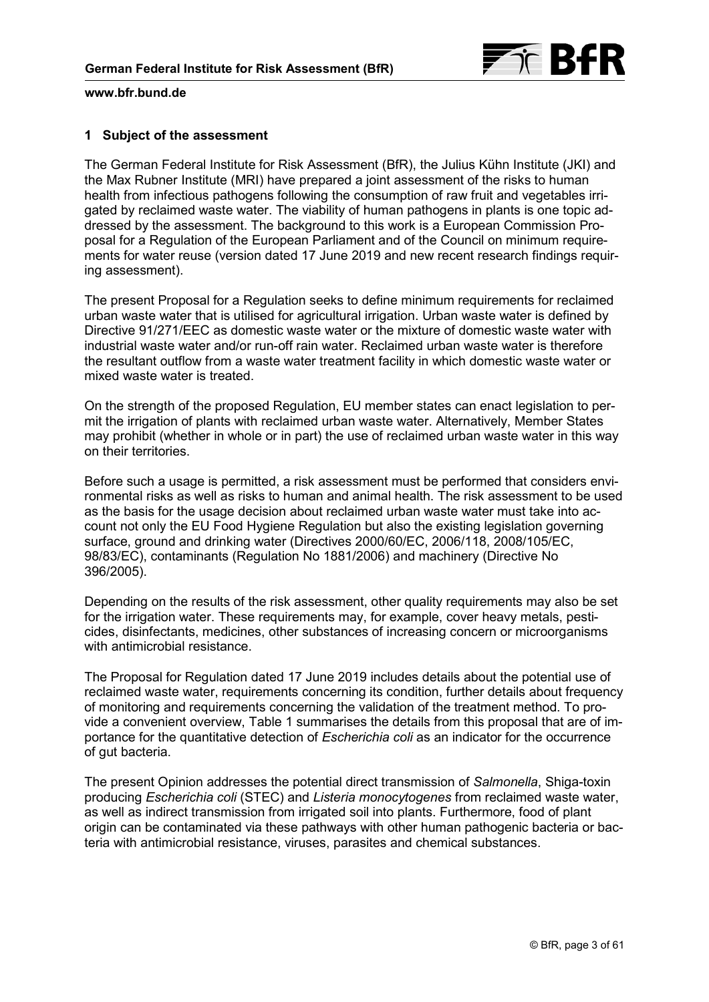

## **1 Subject of the assessment**

The German Federal Institute for Risk Assessment (BfR), the Julius Kühn Institute (JKI) and the Max Rubner Institute (MRI) have prepared a joint assessment of the risks to human health from infectious pathogens following the consumption of raw fruit and vegetables irrigated by reclaimed waste water. The viability of human pathogens in plants is one topic addressed by the assessment. The background to this work is a European Commission Proposal for a Regulation of the European Parliament and of the Council on minimum requirements for water reuse (version dated 17 June 2019 and new recent research findings requiring assessment).

The present Proposal for a Regulation seeks to define minimum requirements for reclaimed urban waste water that is utilised for agricultural irrigation. Urban waste water is defined by Directive 91/271/EEC as domestic waste water or the mixture of domestic waste water with industrial waste water and/or run-off rain water. Reclaimed urban waste water is therefore the resultant outflow from a waste water treatment facility in which domestic waste water or mixed waste water is treated.

On the strength of the proposed Regulation, EU member states can enact legislation to permit the irrigation of plants with reclaimed urban waste water. Alternatively, Member States may prohibit (whether in whole or in part) the use of reclaimed urban waste water in this way on their territories.

Before such a usage is permitted, a risk assessment must be performed that considers environmental risks as well as risks to human and animal health. The risk assessment to be used as the basis for the usage decision about reclaimed urban waste water must take into account not only the EU Food Hygiene Regulation but also the existing legislation governing surface, ground and drinking water (Directives 2000/60/EC, 2006/118, 2008/105/EC, 98/83/EC), contaminants (Regulation No 1881/2006) and machinery (Directive No 396/2005).

Depending on the results of the risk assessment, other quality requirements may also be set for the irrigation water. These requirements may, for example, cover heavy metals, pesticides, disinfectants, medicines, other substances of increasing concern or microorganisms with antimicrobial resistance.

The Proposal for Regulation dated 17 June 2019 includes details about the potential use of reclaimed waste water, requirements concerning its condition, further details about frequency of monitoring and requirements concerning the validation of the treatment method. To provide a convenient overview, [Table 1](#page-3-0) summarises the details from this proposal that are of importance for the quantitative detection of *Escherichia coli* as an indicator for the occurrence of gut bacteria.

The present Opinion addresses the potential direct transmission of *Salmonella*, Shiga-toxin producing *Escherichia coli* (STEC) and *Listeria monocytogenes* from reclaimed waste water, as well as indirect transmission from irrigated soil into plants. Furthermore, food of plant origin can be contaminated via these pathways with other human pathogenic bacteria or bacteria with antimicrobial resistance, viruses, parasites and chemical substances.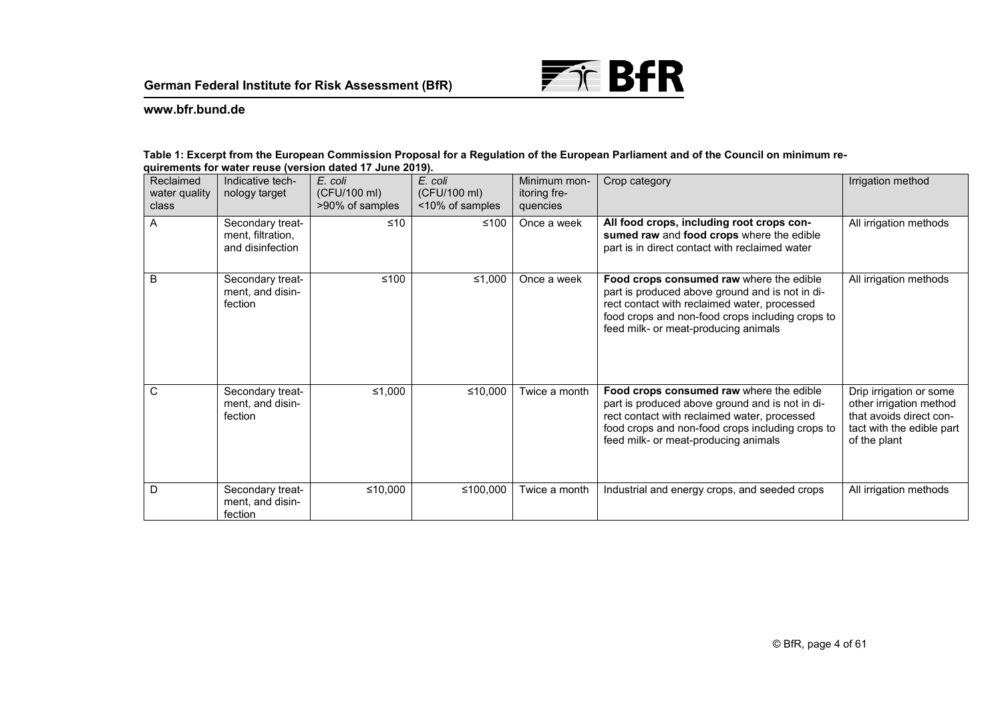

#### <span id="page-3-0"></span>**Table 1: Excerpt from the European Commission Proposal for a Regulation of the European Parliament and of the Council on minimum requirements for water reuse (version dated 17 June 2019).**

| Reclaimed<br>water quality<br>class | Indicative tech-<br>nology target                         | E. coli<br>(CFU/100 ml)<br>>90% of samples | E. coli<br>(CFU/100 ml)<br><10% of samples | Minimum mon-<br>itoring fre-<br>quencies | Crop category                                                                                                                                                                                                                           | Irrigation method                                                                                                          |
|-------------------------------------|-----------------------------------------------------------|--------------------------------------------|--------------------------------------------|------------------------------------------|-----------------------------------------------------------------------------------------------------------------------------------------------------------------------------------------------------------------------------------------|----------------------------------------------------------------------------------------------------------------------------|
| A                                   | Secondary treat-<br>ment, filtration,<br>and disinfection | ≤10                                        | $≤100$                                     | Once a week                              | All food crops, including root crops con-<br>sumed raw and food crops where the edible<br>part is in direct contact with reclaimed water                                                                                                | All irrigation methods                                                                                                     |
| B                                   | Secondary treat-<br>ment, and disin-<br>fection           | $≤100$                                     | ≤1,000                                     | Once a week                              | Food crops consumed raw where the edible<br>part is produced above ground and is not in di-<br>rect contact with reclaimed water, processed<br>food crops and non-food crops including crops to<br>feed milk- or meat-producing animals | All irrigation methods                                                                                                     |
| C                                   | Secondary treat-<br>ment, and disin-<br>fection           | ≤1,000                                     | ≤10,000                                    | Twice a month                            | Food crops consumed raw where the edible<br>part is produced above ground and is not in di-<br>rect contact with reclaimed water, processed<br>food crops and non-food crops including crops to<br>feed milk- or meat-producing animals | Drip irrigation or some<br>other irrigation method<br>that avoids direct con-<br>tact with the edible part<br>of the plant |
| D                                   | Secondary treat-<br>ment, and disin-<br>fection           | ≤10,000                                    | ≤100,000                                   | Twice a month                            | Industrial and energy crops, and seeded crops                                                                                                                                                                                           | All irrigation methods                                                                                                     |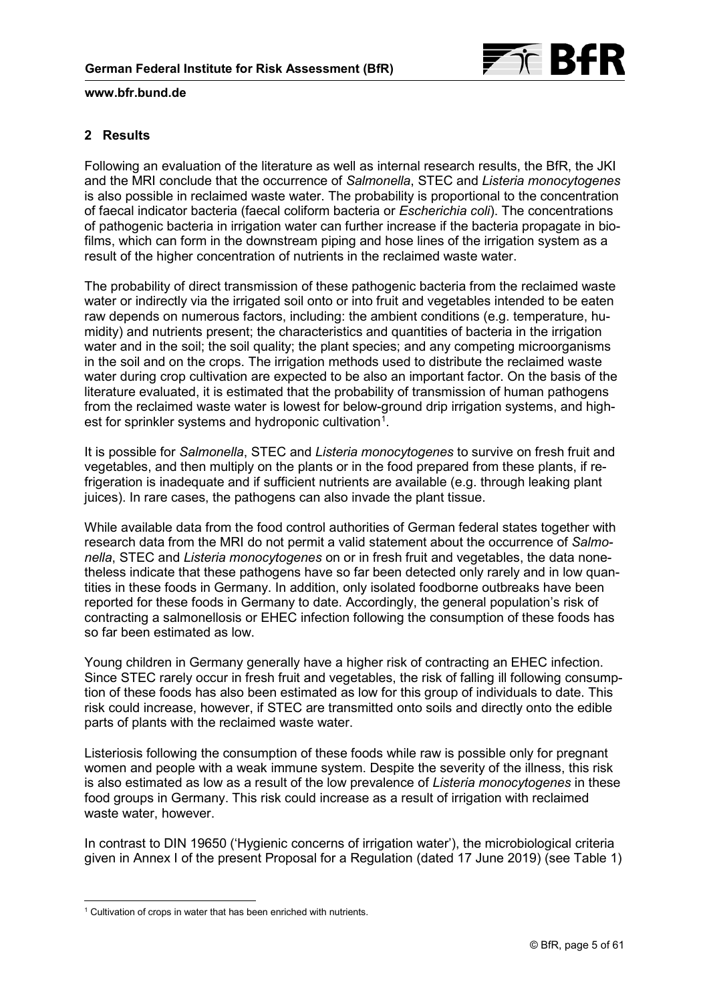

## **2 Results**

Following an evaluation of the literature as well as internal research results, the BfR, the JKI and the MRI conclude that the occurrence of *Salmonella*, STEC and *Listeria monocytogenes* is also possible in reclaimed waste water. The probability is proportional to the concentration of faecal indicator bacteria (faecal coliform bacteria or *Escherichia coli*). The concentrations of pathogenic bacteria in irrigation water can further increase if the bacteria propagate in biofilms, which can form in the downstream piping and hose lines of the irrigation system as a result of the higher concentration of nutrients in the reclaimed waste water.

The probability of direct transmission of these pathogenic bacteria from the reclaimed waste water or indirectly via the irrigated soil onto or into fruit and vegetables intended to be eaten raw depends on numerous factors, including: the ambient conditions (e.g. temperature, humidity) and nutrients present; the characteristics and quantities of bacteria in the irrigation water and in the soil; the soil quality; the plant species; and any competing microorganisms in the soil and on the crops. The irrigation methods used to distribute the reclaimed waste water during crop cultivation are expected to be also an important factor. On the basis of the literature evaluated, it is estimated that the probability of transmission of human pathogens from the reclaimed waste water is lowest for below-ground drip irrigation systems, and highest for sprinkler systems and hydroponic cultivation $^{\text{1}}$  $^{\text{1}}$  $^{\text{1}}$ .

It is possible for *Salmonella*, STEC and *Listeria monocytogenes* to survive on fresh fruit and vegetables, and then multiply on the plants or in the food prepared from these plants, if refrigeration is inadequate and if sufficient nutrients are available (e.g. through leaking plant juices). In rare cases, the pathogens can also invade the plant tissue.

While available data from the food control authorities of German federal states together with research data from the MRI do not permit a valid statement about the occurrence of *Salmonella*, STEC and *Listeria monocytogenes* on or in fresh fruit and vegetables, the data nonetheless indicate that these pathogens have so far been detected only rarely and in low quantities in these foods in Germany. In addition, only isolated foodborne outbreaks have been reported for these foods in Germany to date. Accordingly, the general population's risk of contracting a salmonellosis or EHEC infection following the consumption of these foods has so far been estimated as low.

Young children in Germany generally have a higher risk of contracting an EHEC infection. Since STEC rarely occur in fresh fruit and vegetables, the risk of falling ill following consumption of these foods has also been estimated as low for this group of individuals to date. This risk could increase, however, if STEC are transmitted onto soils and directly onto the edible parts of plants with the reclaimed waste water.

Listeriosis following the consumption of these foods while raw is possible only for pregnant women and people with a weak immune system. Despite the severity of the illness, this risk is also estimated as low as a result of the low prevalence of *Listeria monocytogenes* in these food groups in Germany. This risk could increase as a result of irrigation with reclaimed waste water, however.

In contrast to DIN 19650 ('Hygienic concerns of irrigation water'), the microbiological criteria given in Annex I of the present Proposal for a Regulation (dated 17 June 2019) [\(see Table 1\)](#page-3-0)

<span id="page-4-0"></span><sup>-</sup><sup>1</sup> Cultivation of crops in water that has been enriched with nutrients.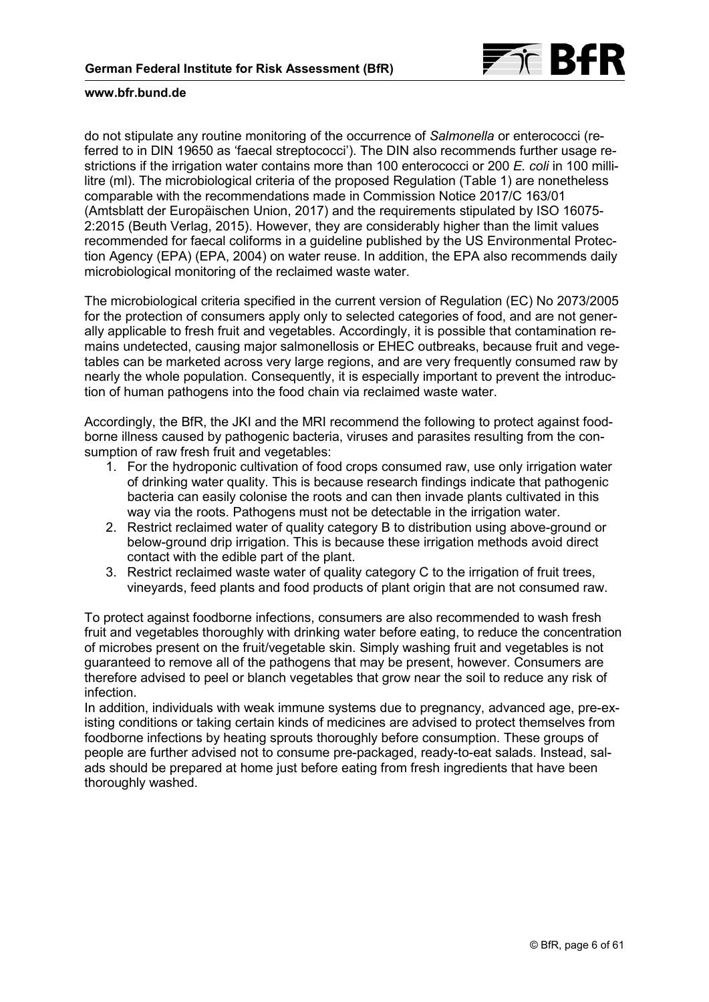

do not stipulate any routine monitoring of the occurrence of *Salmonella* or enterococci (referred to in DIN 19650 as 'faecal streptococci'). The DIN also recommends further usage restrictions if the irrigation water contains more than 100 enterococci or 200 *E. coli* in 100 millilitre (ml). The microbiological criteria of the proposed Regulation (Table 1) are nonetheless comparable with the recommendations made in Commission Notice 2017/C 163/01 (Amtsblatt der Europäischen Union, 2017) and the requirements stipulated by ISO 16075- 2:2015 (Beuth Verlag, 2015). However, they are considerably higher than the limit values recommended for faecal coliforms in a guideline published by the US Environmental Protection Agency (EPA) (EPA, 2004) on water reuse. In addition, the EPA also recommends daily microbiological monitoring of the reclaimed waste water.

The microbiological criteria specified in the current version of Regulation (EC) No 2073/2005 for the protection of consumers apply only to selected categories of food, and are not generally applicable to fresh fruit and vegetables. Accordingly, it is possible that contamination remains undetected, causing major salmonellosis or EHEC outbreaks, because fruit and vegetables can be marketed across very large regions, and are very frequently consumed raw by nearly the whole population. Consequently, it is especially important to prevent the introduction of human pathogens into the food chain via reclaimed waste water.

Accordingly, the BfR, the JKI and the MRI recommend the following to protect against foodborne illness caused by pathogenic bacteria, viruses and parasites resulting from the consumption of raw fresh fruit and vegetables:

- 1. For the hydroponic cultivation of food crops consumed raw, use only irrigation water of drinking water quality. This is because research findings indicate that pathogenic bacteria can easily colonise the roots and can then invade plants cultivated in this way via the roots. Pathogens must not be detectable in the irrigation water.
- 2. Restrict reclaimed water of quality category B to distribution using above-ground or below-ground drip irrigation. This is because these irrigation methods avoid direct contact with the edible part of the plant.
- 3. Restrict reclaimed waste water of quality category C to the irrigation of fruit trees, vineyards, feed plants and food products of plant origin that are not consumed raw.

To protect against foodborne infections, consumers are also recommended to wash fresh fruit and vegetables thoroughly with drinking water before eating, to reduce the concentration of microbes present on the fruit/vegetable skin. Simply washing fruit and vegetables is not guaranteed to remove all of the pathogens that may be present, however. Consumers are therefore advised to peel or blanch vegetables that grow near the soil to reduce any risk of infection.

In addition, individuals with weak immune systems due to pregnancy, advanced age, pre-existing conditions or taking certain kinds of medicines are advised to protect themselves from foodborne infections by heating sprouts thoroughly before consumption. These groups of people are further advised not to consume pre-packaged, ready-to-eat salads. Instead, salads should be prepared at home just before eating from fresh ingredients that have been thoroughly washed.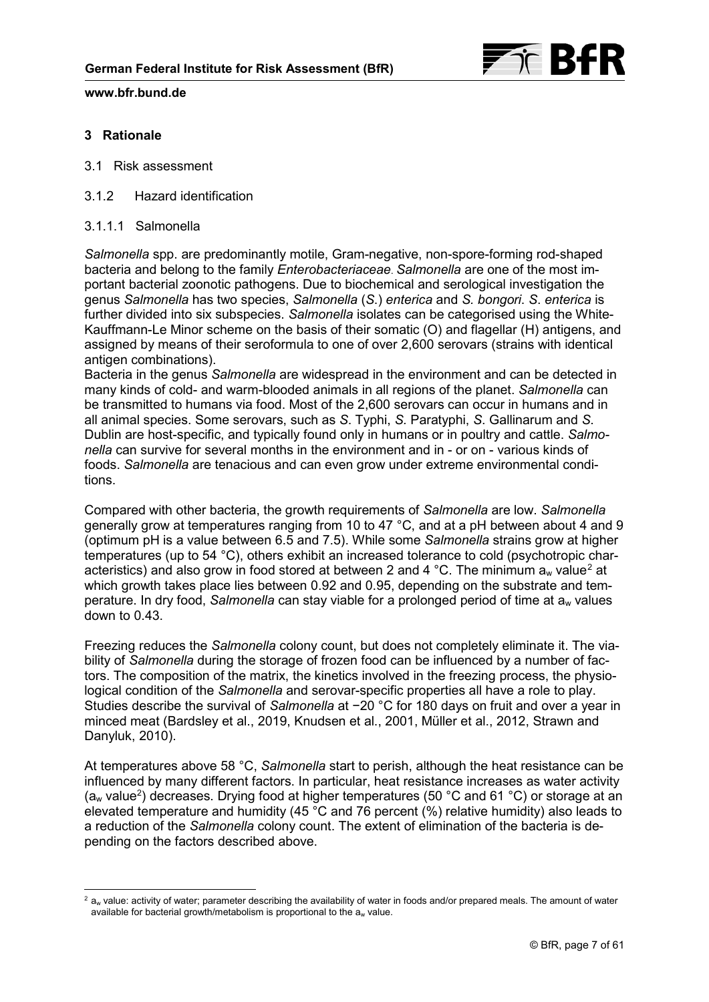

## **3 Rationale**

- 3.1 Risk assessment
- 3.1.2 Hazard identification
- 3.1.1.1 Salmonella

*Salmonella* spp. are predominantly motile, Gram-negative, non-spore-forming rod-shaped bacteria and belong to the family *Enterobacteriaceae*. *Salmonella* are one of the most important bacterial zoonotic pathogens. Due to biochemical and serological investigation the genus *Salmonella* has two species, *Salmonella* (*S*.) *enterica* and *S. bongori*. *S*. *enterica* is further divided into six subspecies. *Salmonella* isolates can be categorised using the White-Kauffmann-Le Minor scheme on the basis of their somatic (O) and flagellar (H) antigens, and assigned by means of their seroformula to one of over 2,600 serovars (strains with identical antigen combinations).

Bacteria in the genus *Salmonella* are widespread in the environment and can be detected in many kinds of cold- and warm-blooded animals in all regions of the planet. *Salmonella* can be transmitted to humans via food. Most of the 2,600 serovars can occur in humans and in all animal species. Some serovars, such as *S*. Typhi, *S.* Paratyphi, *S*. Gallinarum and *S*. Dublin are host-specific, and typically found only in humans or in poultry and cattle. *Salmonella* can survive for several months in the environment and in - or on - various kinds of foods. *Salmonella* are tenacious and can even grow under extreme environmental conditions.

Compared with other bacteria, the growth requirements of *Salmonella* are low. *Salmonella* generally grow at temperatures ranging from 10 to 47 °C, and at a pH between about 4 and 9 (optimum pH is a value between 6.5 and 7.5). While some *Salmonella* strains grow at higher temperatures (up to 54 °C), others exhibit an increased tolerance to cold (psychotropic char-acteristics) and also grow in food stored at between [2](#page-6-0) and 4 °C. The minimum a<sub>w</sub> value<sup>2</sup> at which growth takes place lies between 0.92 and 0.95, depending on the substrate and temperature. In dry food, *Salmonella* can stay viable for a prolonged period of time at aw values down to 0.43.

Freezing reduces the *Salmonella* colony count, but does not completely eliminate it. The viability of *Salmonella* during the storage of frozen food can be influenced by a number of factors. The composition of the matrix, the kinetics involved in the freezing process, the physiological condition of the *Salmonella* and serovar-specific properties all have a role to play. Studies describe the survival of *Salmonella* at −20 °C for 180 days on fruit and over a year in minced meat (Bardsley et al., 2019, Knudsen et al., 2001, Müller et al., 2012, Strawn and Danyluk, 2010).

At temperatures above 58 °C, *Salmonella* start to perish, although the heat resistance can be influenced by many different factors. In particular, heat resistance increases as water activity (a<sub>w</sub> value<sup>2</sup>) decreases. Drying food at higher temperatures (50 °C and 61 °C) or storage at an elevated temperature and humidity (45 °C and 76 percent (%) relative humidity) also leads to a reduction of the *Salmonella* colony count. The extent of elimination of the bacteria is depending on the factors described above.

<span id="page-6-0"></span><sup>-</sup> $2a<sub>w</sub>$  value: activity of water; parameter describing the availability of water in foods and/or prepared meals. The amount of water available for bacterial growth/metabolism is proportional to the  $a_w$  value.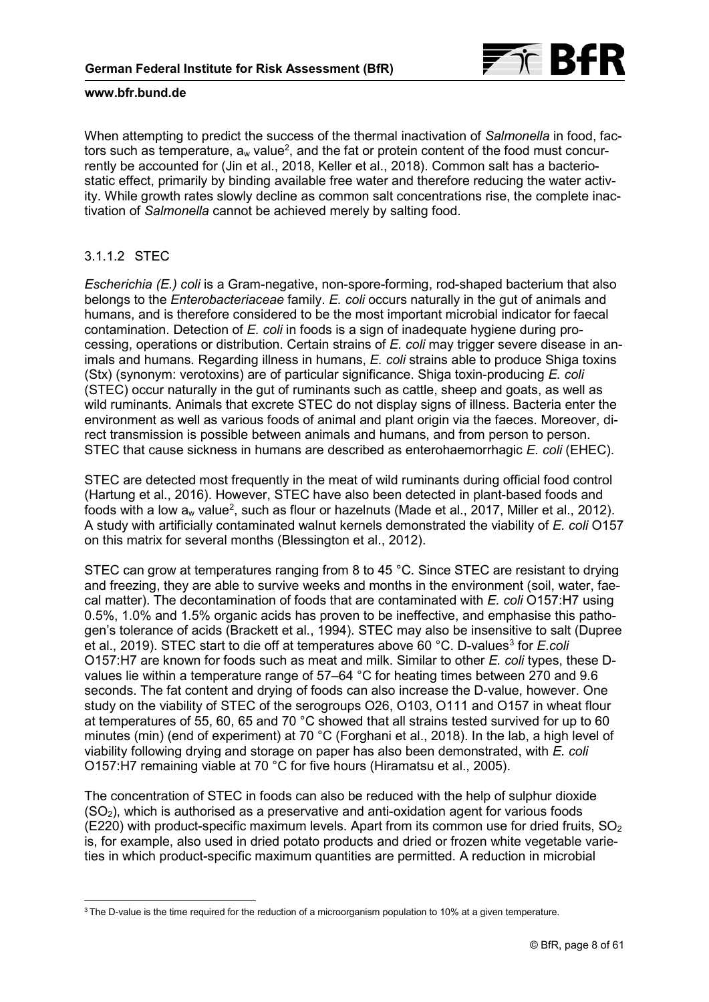

When attempting to predict the success of the thermal inactivation of *Salmonella* in food, factors such as temperature, a<sub>w</sub> value<sup>2</sup>, and the fat or protein content of the food must concurrently be accounted for (Jin et al., 2018, Keller et al., 2018). Common salt has a bacteriostatic effect, primarily by binding available free water and therefore reducing the water activity. While growth rates slowly decline as common salt concentrations rise, the complete inactivation of *Salmonella* cannot be achieved merely by salting food.

# 3.1.1.2 STEC

*Escherichia (E.) coli* is a Gram-negative, non-spore-forming, rod-shaped bacterium that also belongs to the *Enterobacteriaceae* family. *E. coli* occurs naturally in the gut of animals and humans, and is therefore considered to be the most important microbial indicator for faecal contamination. Detection of *E. coli* in foods is a sign of inadequate hygiene during processing, operations or distribution. Certain strains of *E. coli* may trigger severe disease in animals and humans. Regarding illness in humans, *E. coli* strains able to produce Shiga toxins (Stx) (synonym: verotoxins) are of particular significance. Shiga toxin-producing *E. coli* (STEC) occur naturally in the gut of ruminants such as cattle, sheep and goats, as well as wild ruminants. Animals that excrete STEC do not display signs of illness. Bacteria enter the environment as well as various foods of animal and plant origin via the faeces. Moreover, direct transmission is possible between animals and humans, and from person to person. STEC that cause sickness in humans are described as enterohaemorrhagic *E. coli* (EHEC).

STEC are detected most frequently in the meat of wild ruminants during official food control (Hartung et al., 2016). However, STEC have also been detected in plant-based foods and foods with a low a<sub>w</sub> value<sup>2</sup>, such as flour or hazelnuts (Made et al., 2017, Miller et al., 2012). A study with artificially contaminated walnut kernels demonstrated the viability of *E. coli* O157 on this matrix for several months (Blessington et al., 2012).

STEC can grow at temperatures ranging from 8 to 45 °C. Since STEC are resistant to drying and freezing, they are able to survive weeks and months in the environment (soil, water, faecal matter). The decontamination of foods that are contaminated with *E. coli* O157:H7 using 0.5%, 1.0% and 1.5% organic acids has proven to be ineffective, and emphasise this pathogen's tolerance of acids (Brackett et al., 1994). STEC may also be insensitive to salt (Dupree et al., 2019). STEC start to die off at temperatures above 60 °C. D-values<sup>[3](#page-7-0)</sup> for *E.coli* O157:H7 are known for foods such as meat and milk. Similar to other *E. coli* types, these Dvalues lie within a temperature range of 57–64 °C for heating times between 270 and 9.6 seconds. The fat content and drying of foods can also increase the D-value, however. One study on the viability of STEC of the serogroups O26, O103, O111 and O157 in wheat flour at temperatures of 55, 60, 65 and 70 °C showed that all strains tested survived for up to 60 minutes (min) (end of experiment) at 70 °C (Forghani et al., 2018). In the lab, a high level of viability following drying and storage on paper has also been demonstrated, with *E. coli* O157:H7 remaining viable at 70 °C for five hours (Hiramatsu et al., 2005).

The concentration of STEC in foods can also be reduced with the help of sulphur dioxide  $(SO<sub>2</sub>)$ , which is authorised as a preservative and anti-oxidation agent for various foods  $(E220)$  with product-specific maximum levels. Apart from its common use for dried fruits,  $SO<sub>2</sub>$ is, for example, also used in dried potato products and dried or frozen white vegetable varieties in which product-specific maximum quantities are permitted. A reduction in microbial

<span id="page-7-0"></span><sup>-</sup><sup>3</sup> The D-value is the time required for the reduction of a microorganism population to 10% at a given temperature.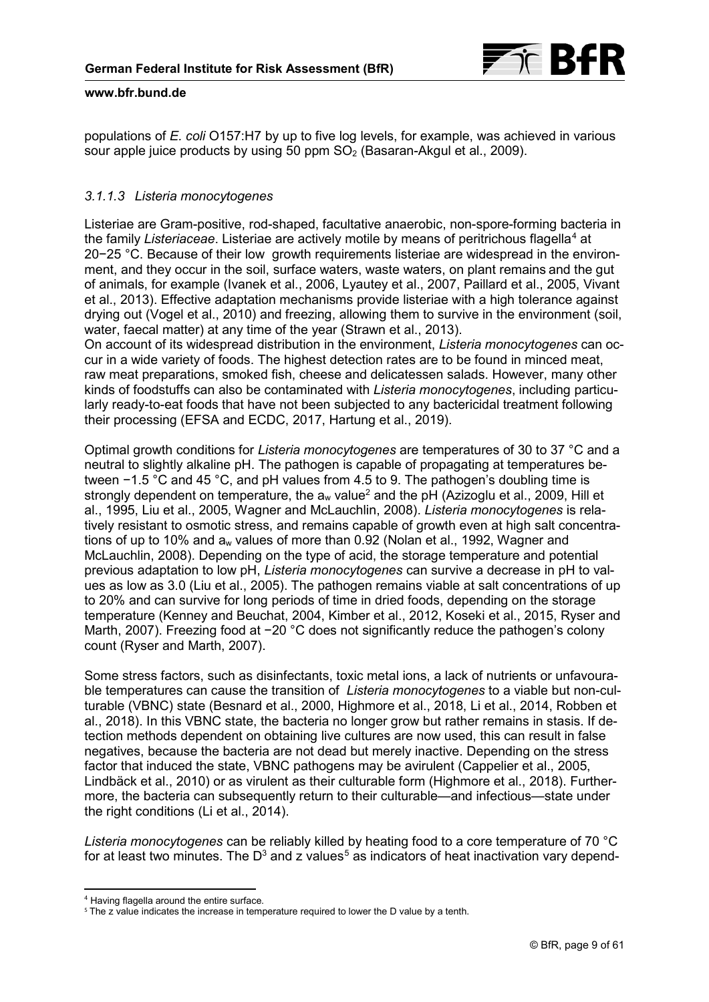

populations of *E. coli* O157:H7 by up to five log levels, for example, was achieved in various sour apple juice products by using 50 ppm  $SO<sub>2</sub>$  (Basaran-Akgul et al., 2009).

# *3.1.1.3 Listeria monocytogenes*

Listeriae are Gram-positive, rod-shaped, facultative anaerobic, non-spore-forming bacteria in the family Listeriaceae. Listeriae are actively motile by means of peritrichous flagella<sup>[4](#page-8-0)</sup> at 20−25 °C. Because of their low growth requirements listeriae are widespread in the environment, and they occur in the soil, surface waters, waste waters, on plant remains and the gut of animals, for example (Ivanek et al., 2006, Lyautey et al., 2007, Paillard et al., 2005, Vivant et al., 2013). Effective adaptation mechanisms provide listeriae with a high tolerance against drying out (Vogel et al., 2010) and freezing, allowing them to survive in the environment (soil, water, faecal matter) at any time of the year (Strawn et al., 2013).

On account of its widespread distribution in the environment, *Listeria monocytogenes* can occur in a wide variety of foods. The highest detection rates are to be found in minced meat, raw meat preparations, smoked fish, cheese and delicatessen salads. However, many other kinds of foodstuffs can also be contaminated with *Listeria monocytogenes*, including particularly ready-to-eat foods that have not been subjected to any bactericidal treatment following their processing (EFSA and ECDC, 2017, Hartung et al., 2019).

Optimal growth conditions for *Listeria monocytogenes* are temperatures of 30 to 37 °C and a neutral to slightly alkaline pH. The pathogen is capable of propagating at temperatures between −1.5 °C and 45 °C, and pH values from 4.5 to 9. The pathogen's doubling time is strongly dependent on temperature, the  $a_w$  value<sup>2</sup> and the pH (Azizoglu et al., 2009, Hill et al., 1995, Liu et al., 2005, Wagner and McLauchlin, 2008). *Listeria monocytogenes* is relatively resistant to osmotic stress, and remains capable of growth even at high salt concentrations of up to 10% and a<sub>w</sub> values of more than 0.92 (Nolan et al., 1992, Wagner and McLauchlin, 2008). Depending on the type of acid, the storage temperature and potential previous adaptation to low pH, *Listeria monocytogenes* can survive a decrease in pH to values as low as 3.0 (Liu et al., 2005). The pathogen remains viable at salt concentrations of up to 20% and can survive for long periods of time in dried foods, depending on the storage temperature (Kenney and Beuchat, 2004, Kimber et al., 2012, Koseki et al., 2015, Ryser and Marth, 2007). Freezing food at −20 °C does not significantly reduce the pathogen's colony count (Ryser and Marth, 2007).

Some stress factors, such as disinfectants, toxic metal ions, a lack of nutrients or unfavourable temperatures can cause the transition of *Listeria monocytogenes* to a viable but non-culturable (VBNC) state (Besnard et al., 2000, Highmore et al., 2018, Li et al., 2014, Robben et al., 2018). In this VBNC state, the bacteria no longer grow but rather remains in stasis. If detection methods dependent on obtaining live cultures are now used, this can result in false negatives, because the bacteria are not dead but merely inactive. Depending on the stress factor that induced the state, VBNC pathogens may be avirulent (Cappelier et al., 2005, Lindbäck et al., 2010) or as virulent as their culturable form (Highmore et al., 2018). Furthermore, the bacteria can subsequently return to their culturable—and infectious—state under the right conditions (Li et al., 2014).

*Listeria monocytogenes* can be reliably killed by heating food to a core temperature of 70 °C for at least two minutes. The D $^{\rm 3}$  and z values $^{\rm 5}$  $^{\rm 5}$  $^{\rm 5}$  as indicators of heat inactivation vary depend-

<sup>-</sup><sup>4</sup> Having flagella around the entire surface.

<span id="page-8-1"></span><span id="page-8-0"></span><sup>&</sup>lt;sup>5</sup> The z value indicates the increase in temperature required to lower the D value by a tenth.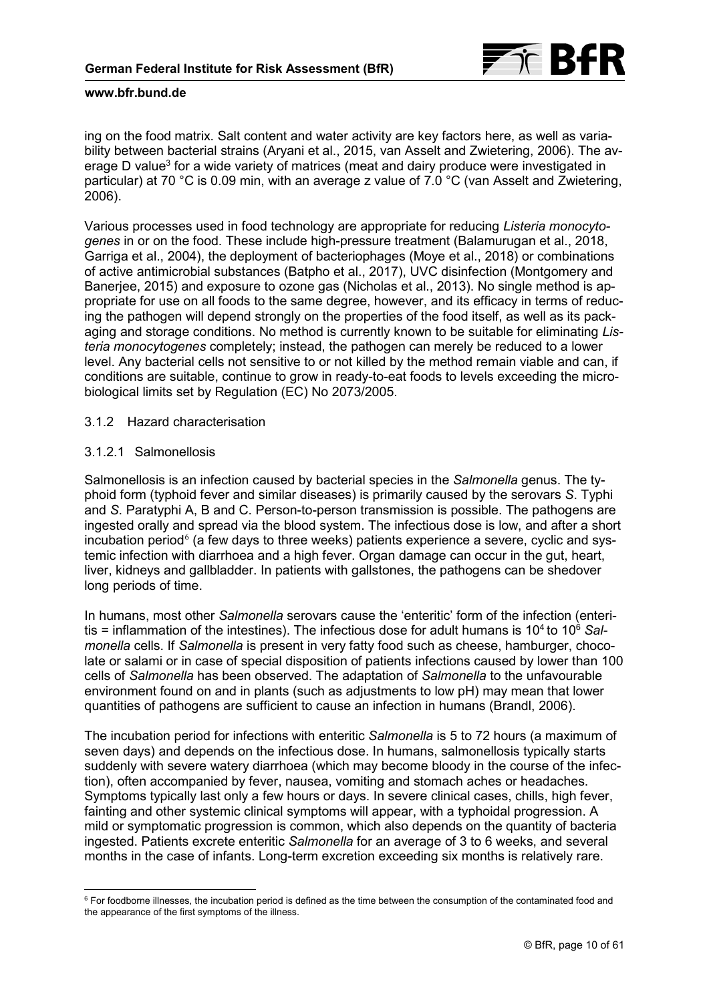

ing on the food matrix. Salt content and water activity are key factors here, as well as variability between bacterial strains (Aryani et al., 2015, van Asselt and Zwietering, 2006). The average D value<sup>3</sup> for a wide variety of matrices (meat and dairy produce were investigated in particular) at 70 °C is 0.09 min, with an average z value of 7.0 °C (van Asselt and Zwietering, 2006).

Various processes used in food technology are appropriate for reducing *Listeria monocytogenes* in or on the food. These include high-pressure treatment (Balamurugan et al., 2018, Garriga et al., 2004), the deployment of bacteriophages (Moye et al., 2018) or combinations of active antimicrobial substances (Batpho et al., 2017), UVC disinfection (Montgomery and Banerjee, 2015) and exposure to ozone gas (Nicholas et al., 2013). No single method is appropriate for use on all foods to the same degree, however, and its efficacy in terms of reducing the pathogen will depend strongly on the properties of the food itself, as well as its packaging and storage conditions. No method is currently known to be suitable for eliminating *Listeria monocytogenes* completely; instead, the pathogen can merely be reduced to a lower level. Any bacterial cells not sensitive to or not killed by the method remain viable and can, if conditions are suitable, continue to grow in ready-to-eat foods to levels exceeding the microbiological limits set by Regulation (EC) No 2073/2005.

## 3.1.2 Hazard characterisation

## 3.1.2.1 Salmonellosis

Salmonellosis is an infection caused by bacterial species in the *Salmonella* genus. The typhoid form (typhoid fever and similar diseases) is primarily caused by the serovars *S*. Typhi and *S*. Paratyphi A, B and C. Person-to-person transmission is possible. The pathogens are ingested orally and spread via the blood system. The infectious dose is low, and after a short incubation period $^6$  $^6$  (a few days to three weeks) patients experience a severe, cyclic and systemic infection with diarrhoea and a high fever. Organ damage can occur in the gut, heart, liver, kidneys and gallbladder. In patients with gallstones, the pathogens can be shedover long periods of time.

In humans, most other *Salmonella* serovars cause the 'enteritic' form of the infection (enteritis = inflammation of the intestines). The infectious dose for adult humans is 10<sup>4</sup> to 10<sup>6</sup> Sal*monella* cells. If *Salmonella* is present in very fatty food such as cheese, hamburger, chocolate or salami or in case of special disposition of patients infections caused by lower than 100 cells of *Salmonella* has been observed. The adaptation of *Salmonella* to the unfavourable environment found on and in plants (such as adjustments to low pH) may mean that lower quantities of pathogens are sufficient to cause an infection in humans (Brandl, 2006).

The incubation period for infections with enteritic *Salmonella* is 5 to 72 hours (a maximum of seven days) and depends on the infectious dose. In humans, salmonellosis typically starts suddenly with severe watery diarrhoea (which may become bloody in the course of the infection), often accompanied by fever, nausea, vomiting and stomach aches or headaches. Symptoms typically last only a few hours or days. In severe clinical cases, chills, high fever, fainting and other systemic clinical symptoms will appear, with a typhoidal progression. A mild or symptomatic progression is common, which also depends on the quantity of bacteria ingested. Patients excrete enteritic *Salmonella* for an average of 3 to 6 weeks, and several months in the case of infants. Long-term excretion exceeding six months is relatively rare.

<span id="page-9-0"></span><sup>-</sup> $6$  For foodborne illnesses, the incubation period is defined as the time between the consumption of the contaminated food and the appearance of the first symptoms of the illness.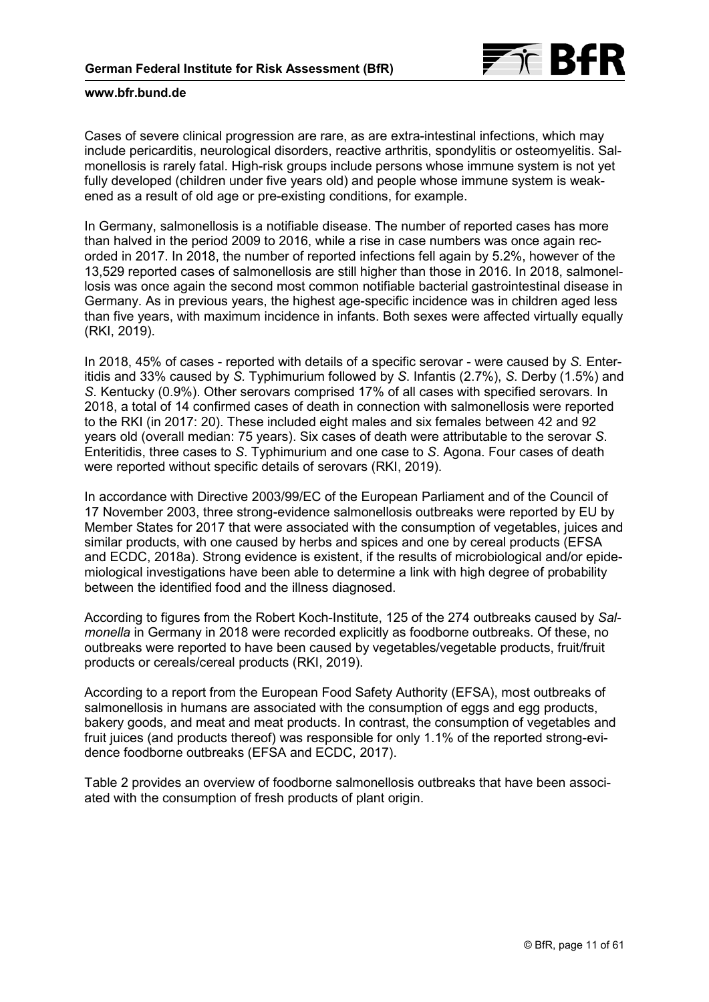

Cases of severe clinical progression are rare, as are extra-intestinal infections, which may include pericarditis, neurological disorders, reactive arthritis, spondylitis or osteomyelitis. Salmonellosis is rarely fatal. High-risk groups include persons whose immune system is not yet fully developed (children under five years old) and people whose immune system is weakened as a result of old age or pre-existing conditions, for example.

In Germany, salmonellosis is a notifiable disease. The number of reported cases has more than halved in the period 2009 to 2016, while a rise in case numbers was once again recorded in 2017. In 2018, the number of reported infections fell again by 5.2%, however of the 13,529 reported cases of salmonellosis are still higher than those in 2016. In 2018, salmonellosis was once again the second most common notifiable bacterial gastrointestinal disease in Germany. As in previous years, the highest age-specific incidence was in children aged less than five years, with maximum incidence in infants. Both sexes were affected virtually equally (RKI, 2019).

In 2018, 45% of cases - reported with details of a specific serovar - were caused by *S.* Enteritidis and 33% caused by *S.* Typhimurium followed by *S*. Infantis (2.7%), *S*. Derby (1.5%) and *S*. Kentucky (0.9%). Other serovars comprised 17% of all cases with specified serovars. In 2018, a total of 14 confirmed cases of death in connection with salmonellosis were reported to the RKI (in 2017: 20). These included eight males and six females between 42 and 92 years old (overall median: 75 years). Six cases of death were attributable to the serovar *S*. Enteritidis, three cases to *S*. Typhimurium and one case to *S*. Agona. Four cases of death were reported without specific details of serovars (RKI, 2019).

In accordance with Directive 2003/99/EC of the European Parliament and of the Council of 17 November 2003, three strong-evidence salmonellosis outbreaks were reported by EU by Member States for 2017 that were associated with the consumption of vegetables, juices and similar products, with one caused by herbs and spices and one by cereal products (EFSA and ECDC, 2018a). Strong evidence is existent, if the results of microbiological and/or epidemiological investigations have been able to determine a link with high degree of probability between the identified food and the illness diagnosed.

According to figures from the Robert Koch-Institute, 125 of the 274 outbreaks caused by *Salmonella* in Germany in 2018 were recorded explicitly as foodborne outbreaks. Of these, no outbreaks were reported to have been caused by vegetables/vegetable products, fruit/fruit products or cereals/cereal products (RKI, 2019).

According to a report from the European Food Safety Authority (EFSA), most outbreaks of salmonellosis in humans are associated with the consumption of eggs and egg products, bakery goods, and meat and meat products. In contrast, the consumption of vegetables and fruit juices (and products thereof) was responsible for only 1.1% of the reported strong-evidence foodborne outbreaks (EFSA and ECDC, 2017).

[Table 2](#page-11-0) provides an overview of foodborne salmonellosis outbreaks that have been associated with the consumption of fresh products of plant origin.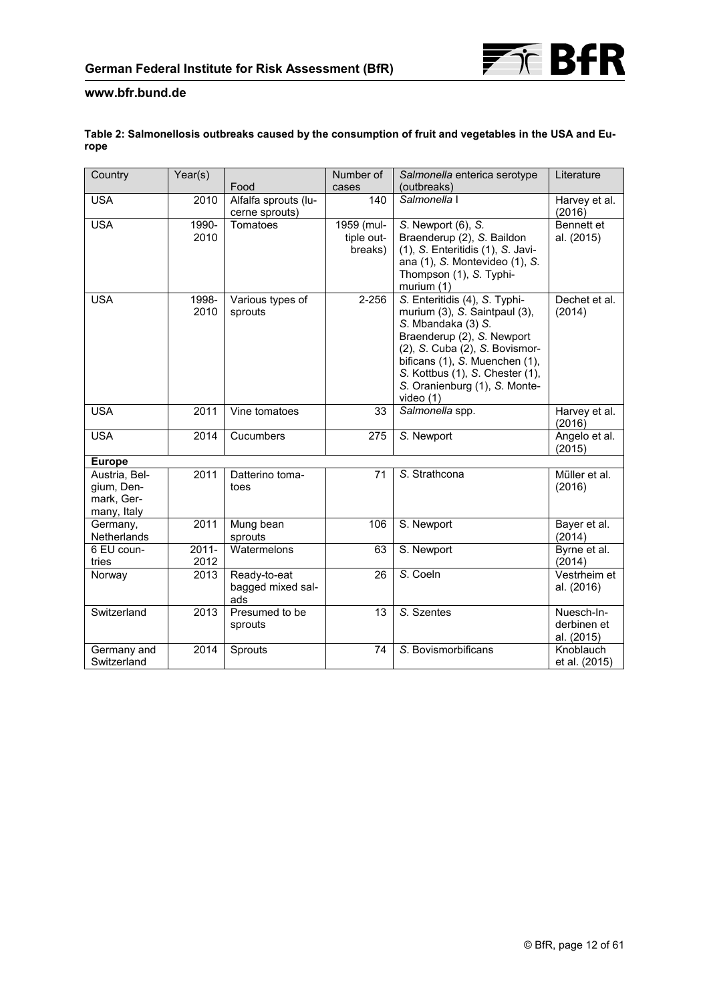

## <span id="page-11-0"></span>**Table 2: Salmonellosis outbreaks caused by the consumption of fruit and vegetables in the USA and Europe**

| Country                                                  | Year(s)          |                                          | Number of                           | Salmonella enterica serotype                                                                                                                                                                                                                                            | Literature                              |
|----------------------------------------------------------|------------------|------------------------------------------|-------------------------------------|-------------------------------------------------------------------------------------------------------------------------------------------------------------------------------------------------------------------------------------------------------------------------|-----------------------------------------|
|                                                          |                  | Food                                     | cases                               | (outbreaks)                                                                                                                                                                                                                                                             |                                         |
| <b>USA</b>                                               | 2010             | Alfalfa sprouts (lu-<br>cerne sprouts)   | 140                                 | Salmonella I                                                                                                                                                                                                                                                            | Harvey et al.<br>(2016)                 |
| <b>USA</b>                                               | 1990-<br>2010    | Tomatoes                                 | 1959 (mul-<br>tiple out-<br>breaks) | S. Newport (6), S.<br>Braenderup (2), S. Baildon<br>(1), S. Enteritidis (1), S. Javi-<br>ana (1), S. Montevideo (1), S.<br>Thompson (1), S. Typhi-<br>murium (1)                                                                                                        | Bennett et<br>al. (2015)                |
| <b>USA</b>                                               | 1998-<br>2010    | Various types of<br>sprouts              | $2 - 256$                           | S. Enteritidis (4), S. Typhi-<br>murium (3), S. Saintpaul (3),<br>S. Mbandaka (3) S.<br>Braenderup (2), S. Newport<br>(2), S. Cuba (2), S. Bovismor-<br>bificans (1), S. Muenchen (1),<br>S. Kottbus (1), S. Chester (1),<br>S. Oranienburg (1), S. Monte-<br>video (1) | Dechet et al.<br>(2014)                 |
| <b>USA</b>                                               | 2011             | Vine tomatoes                            | 33                                  | Salmonella spp.                                                                                                                                                                                                                                                         | Harvey et al.<br>(2016)                 |
| <b>USA</b>                                               | 2014             | Cucumbers                                | 275                                 | S. Newport                                                                                                                                                                                                                                                              | Angelo et al.<br>(2015)                 |
| <b>Europe</b>                                            |                  |                                          |                                     |                                                                                                                                                                                                                                                                         |                                         |
| Austria, Bel-<br>gium, Den-<br>mark, Ger-<br>many, Italy | 2011             | Datterino toma-<br>toes                  | 71                                  | $\overline{S}$ . Strathcona                                                                                                                                                                                                                                             | Müller et al.<br>(2016)                 |
| Germany,<br>Netherlands                                  | 2011             | Mung bean<br>sprouts                     | 106                                 | S. Newport                                                                                                                                                                                                                                                              | Bayer et al.<br>(2014)                  |
| 6 EU coun-<br>tries                                      | $2011 -$<br>2012 | Watermelons                              | 63                                  | S. Newport                                                                                                                                                                                                                                                              | Byrne et al.<br>(2014)                  |
| Norway                                                   | 2013             | Ready-to-eat<br>bagged mixed sal-<br>ads | 26                                  | S. Coeln                                                                                                                                                                                                                                                                | Vestrheim et<br>al. (2016)              |
| Switzerland                                              | 2013             | Presumed to be<br>sprouts                | 13                                  | S. Szentes                                                                                                                                                                                                                                                              | Nuesch-In-<br>derbinen et<br>al. (2015) |
| Germany and<br>Switzerland                               | 2014             | Sprouts                                  | 74                                  | S. Bovismorbificans                                                                                                                                                                                                                                                     | Knoblauch<br>et al. (2015)              |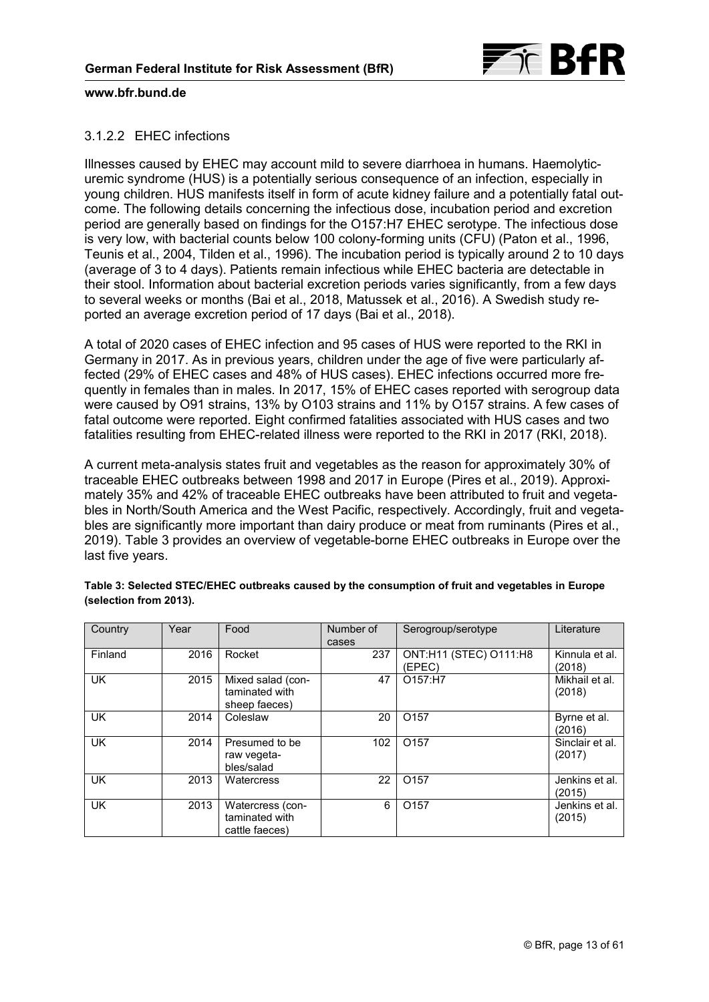

## 3.1.2.2 EHEC infections

Illnesses caused by EHEC may account mild to severe diarrhoea in humans. Haemolyticuremic syndrome (HUS) is a potentially serious consequence of an infection, especially in young children. HUS manifests itself in form of acute kidney failure and a potentially fatal outcome. The following details concerning the infectious dose, incubation period and excretion period are generally based on findings for the O157:H7 EHEC serotype. The infectious dose is very low, with bacterial counts below 100 colony-forming units (CFU) (Paton et al., 1996, Teunis et al., 2004, Tilden et al., 1996). The incubation period is typically around 2 to 10 days (average of 3 to 4 days). Patients remain infectious while EHEC bacteria are detectable in their stool. Information about bacterial excretion periods varies significantly, from a few days to several weeks or months (Bai et al., 2018, Matussek et al., 2016). A Swedish study reported an average excretion period of 17 days (Bai et al., 2018).

A total of 2020 cases of EHEC infection and 95 cases of HUS were reported to the RKI in Germany in 2017. As in previous years, children under the age of five were particularly affected (29% of EHEC cases and 48% of HUS cases). EHEC infections occurred more frequently in females than in males. In 2017, 15% of EHEC cases reported with serogroup data were caused by O91 strains, 13% by O103 strains and 11% by O157 strains. A few cases of fatal outcome were reported. Eight confirmed fatalities associated with HUS cases and two fatalities resulting from EHEC-related illness were reported to the RKI in 2017 (RKI, 2018).

A current meta-analysis states fruit and vegetables as the reason for approximately 30% of traceable EHEC outbreaks between 1998 and 2017 in Europe (Pires et al., 2019). Approximately 35% and 42% of traceable EHEC outbreaks have been attributed to fruit and vegetables in North/South America and the West Pacific, respectively. Accordingly, fruit and vegetables are significantly more important than dairy produce or meat from ruminants (Pires et al., 2019). Table 3 provides an overview of vegetable-borne EHEC outbreaks in Europe over the last five years.

| Country   | Year | Food                                                 | Number of | Serogroup/serotype               | Literature                |
|-----------|------|------------------------------------------------------|-----------|----------------------------------|---------------------------|
|           |      |                                                      | cases     |                                  |                           |
| Finland   | 2016 | Rocket                                               | 237       | ONT:H11 (STEC) O111:H8<br>(EPEC) | Kinnula et al.<br>(2018)  |
| <b>UK</b> | 2015 | Mixed salad (con-<br>taminated with<br>sheep faeces) | 47        | O157:H7                          | Mikhail et al.<br>(2018)  |
| <b>UK</b> | 2014 | Coleslaw                                             | 20        | O <sub>157</sub>                 | Byrne et al.<br>(2016)    |
| <b>UK</b> | 2014 | Presumed to be<br>raw vegeta-<br>bles/salad          | 102       | O <sub>157</sub>                 | Sinclair et al.<br>(2017) |
| <b>UK</b> | 2013 | Watercress                                           | 22        | O <sub>157</sub>                 | Jenkins et al.<br>(2015)  |
| <b>UK</b> | 2013 | Watercress (con-<br>taminated with<br>cattle faeces) | 6         | O <sub>157</sub>                 | Jenkins et al.<br>(2015)  |

**Table 3: Selected STEC/EHEC outbreaks caused by the consumption of fruit and vegetables in Europe (selection from 2013).**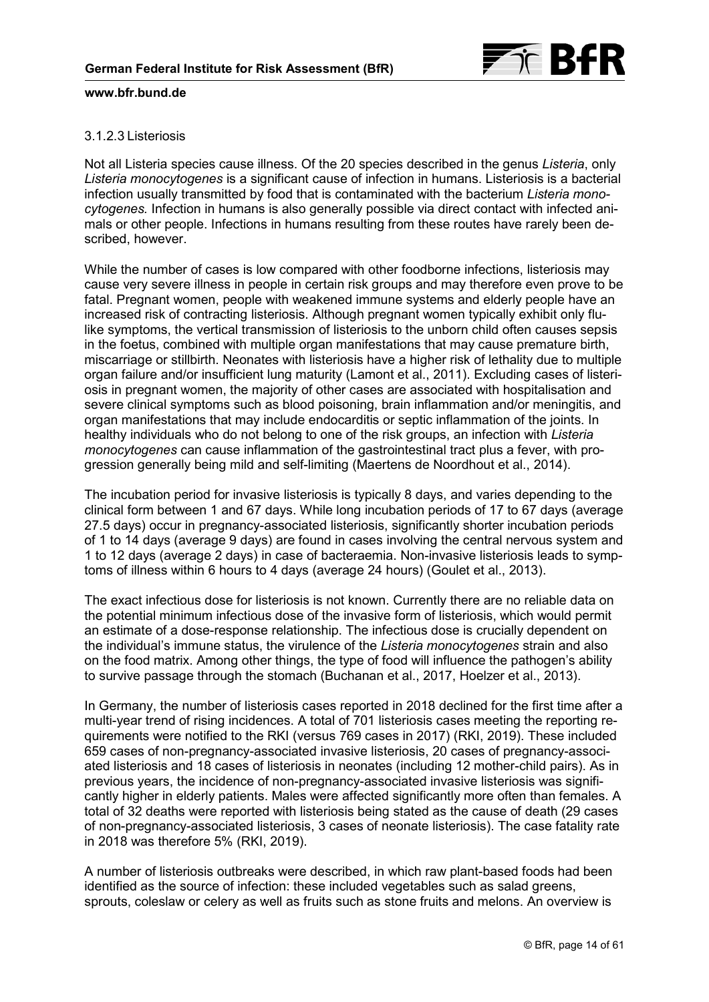

## 3.1.2.3 Listeriosis

Not all Listeria species cause illness. Of the 20 species described in the genus *Listeria*, only *Listeria monocytogenes* is a significant cause of infection in humans. Listeriosis is a bacterial infection usually transmitted by food that is contaminated with the bacterium *Listeria monocytogenes.* Infection in humans is also generally possible via direct contact with infected animals or other people. Infections in humans resulting from these routes have rarely been described, however.

While the number of cases is low compared with other foodborne infections, listeriosis may cause very severe illness in people in certain risk groups and may therefore even prove to be fatal. Pregnant women, people with weakened immune systems and elderly people have an increased risk of contracting listeriosis. Although pregnant women typically exhibit only flulike symptoms, the vertical transmission of listeriosis to the unborn child often causes sepsis in the foetus, combined with multiple organ manifestations that may cause premature birth, miscarriage or stillbirth. Neonates with listeriosis have a higher risk of lethality due to multiple organ failure and/or insufficient lung maturity (Lamont et al., 2011). Excluding cases of listeriosis in pregnant women, the majority of other cases are associated with hospitalisation and severe clinical symptoms such as blood poisoning, brain inflammation and/or meningitis, and organ manifestations that may include endocarditis or septic inflammation of the joints. In healthy individuals who do not belong to one of the risk groups, an infection with *Listeria monocytogenes* can cause inflammation of the gastrointestinal tract plus a fever, with progression generally being mild and self-limiting (Maertens de Noordhout et al., 2014).

The incubation period for invasive listeriosis is typically 8 days, and varies depending to the clinical form between 1 and 67 days. While long incubation periods of 17 to 67 days (average 27.5 days) occur in pregnancy-associated listeriosis, significantly shorter incubation periods of 1 to 14 days (average 9 days) are found in cases involving the central nervous system and 1 to 12 days (average 2 days) in case of bacteraemia. Non-invasive listeriosis leads to symptoms of illness within 6 hours to 4 days (average 24 hours) (Goulet et al., 2013).

The exact infectious dose for listeriosis is not known. Currently there are no reliable data on the potential minimum infectious dose of the invasive form of listeriosis, which would permit an estimate of a dose-response relationship. The infectious dose is crucially dependent on the individual's immune status, the virulence of the *Listeria monocytogenes* strain and also on the food matrix. Among other things, the type of food will influence the pathogen's ability to survive passage through the stomach (Buchanan et al., 2017, Hoelzer et al., 2013).

In Germany, the number of listeriosis cases reported in 2018 declined for the first time after a multi-year trend of rising incidences. A total of 701 listeriosis cases meeting the reporting requirements were notified to the RKI (versus 769 cases in 2017) (RKI, 2019). These included 659 cases of non-pregnancy-associated invasive listeriosis, 20 cases of pregnancy-associated listeriosis and 18 cases of listeriosis in neonates (including 12 mother-child pairs). As in previous years, the incidence of non-pregnancy-associated invasive listeriosis was significantly higher in elderly patients. Males were affected significantly more often than females. A total of 32 deaths were reported with listeriosis being stated as the cause of death (29 cases of non-pregnancy-associated listeriosis, 3 cases of neonate listeriosis). The case fatality rate in 2018 was therefore 5% (RKI, 2019).

A number of listeriosis outbreaks were described, in which raw plant-based foods had been identified as the source of infection: these included vegetables such as salad greens, sprouts, coleslaw or celery as well as fruits such as stone fruits and melons. An overview is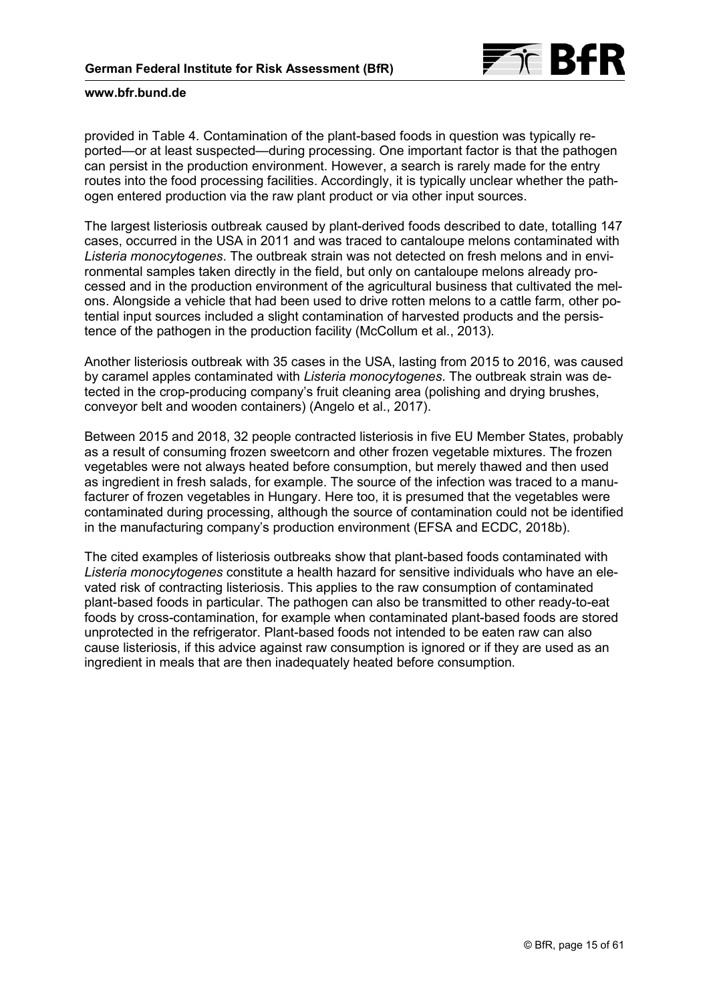

provided in [Table 4.](#page-15-0) Contamination of the plant-based foods in question was typically reported—or at least suspected—during processing. One important factor is that the pathogen can persist in the production environment. However, a search is rarely made for the entry routes into the food processing facilities. Accordingly, it is typically unclear whether the pathogen entered production via the raw plant product or via other input sources.

The largest listeriosis outbreak caused by plant-derived foods described to date, totalling 147 cases, occurred in the USA in 2011 and was traced to cantaloupe melons contaminated with *Listeria monocytogenes*. The outbreak strain was not detected on fresh melons and in environmental samples taken directly in the field, but only on cantaloupe melons already processed and in the production environment of the agricultural business that cultivated the melons. Alongside a vehicle that had been used to drive rotten melons to a cattle farm, other potential input sources included a slight contamination of harvested products and the persistence of the pathogen in the production facility (McCollum et al., 2013).

Another listeriosis outbreak with 35 cases in the USA, lasting from 2015 to 2016, was caused by caramel apples contaminated with *Listeria monocytogenes*. The outbreak strain was detected in the crop-producing company's fruit cleaning area (polishing and drying brushes, conveyor belt and wooden containers) (Angelo et al., 2017).

Between 2015 and 2018, 32 people contracted listeriosis in five EU Member States, probably as a result of consuming frozen sweetcorn and other frozen vegetable mixtures. The frozen vegetables were not always heated before consumption, but merely thawed and then used as ingredient in fresh salads, for example. The source of the infection was traced to a manufacturer of frozen vegetables in Hungary. Here too, it is presumed that the vegetables were contaminated during processing, although the source of contamination could not be identified in the manufacturing company's production environment (EFSA and ECDC, 2018b).

The cited examples of listeriosis outbreaks show that plant-based foods contaminated with *Listeria monocytogenes* constitute a health hazard for sensitive individuals who have an elevated risk of contracting listeriosis. This applies to the raw consumption of contaminated plant-based foods in particular. The pathogen can also be transmitted to other ready-to-eat foods by cross-contamination, for example when contaminated plant-based foods are stored unprotected in the refrigerator. Plant-based foods not intended to be eaten raw can also cause listeriosis, if this advice against raw consumption is ignored or if they are used as an ingredient in meals that are then inadequately heated before consumption.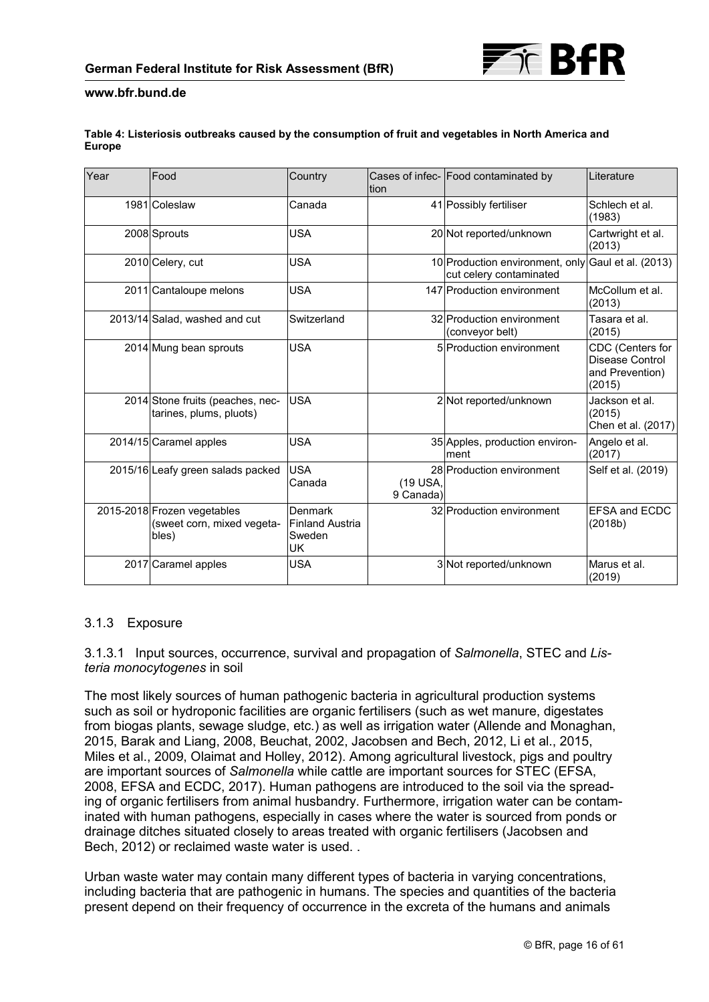

### <span id="page-15-0"></span>**Table 4: Listeriosis outbreaks caused by the consumption of fruit and vegetables in North America and Europe**

| Year | Food                                                               | Country                                                         | Ition                 | Cases of infec- Food contaminated by                                          | Literature                                                       |
|------|--------------------------------------------------------------------|-----------------------------------------------------------------|-----------------------|-------------------------------------------------------------------------------|------------------------------------------------------------------|
|      | 1981 Coleslaw                                                      | Canada                                                          |                       | 41 Possibly fertiliser                                                        | Schlech et al.<br>(1983)                                         |
|      | 2008 Sprouts                                                       | <b>USA</b>                                                      |                       | 20 Not reported/unknown                                                       | Cartwright et al.<br>(2013)                                      |
|      | 2010 Celery, cut                                                   | <b>USA</b>                                                      |                       | 10 Production environment, only Gaul et al. (2013)<br>cut celery contaminated |                                                                  |
|      | 2011 Cantaloupe melons                                             | <b>USA</b>                                                      |                       | 147 Production environment                                                    | McCollum et al.<br>(2013)                                        |
|      | 2013/14 Salad, washed and cut                                      | Switzerland                                                     |                       | 32 Production environment<br>(conveyor belt)                                  | Tasara et al.<br>(2015)                                          |
|      | 2014 Mung bean sprouts                                             | <b>USA</b>                                                      |                       | 5 Production environment                                                      | CDC (Centers for<br>Disease Control<br>and Prevention)<br>(2015) |
|      | 2014 Stone fruits (peaches, nec-<br>tarines, plums, pluots)        | <b>USA</b>                                                      |                       | 2 Not reported/unknown                                                        | Jackson et al.<br>(2015)<br>Chen et al. (2017)                   |
|      | 2014/15 Caramel apples                                             | <b>USA</b>                                                      |                       | 35 Apples, production environ-<br>ment                                        | Angelo et al.<br>(2017)                                          |
|      | 2015/16 Leafy green salads packed                                  | <b>USA</b><br>Canada                                            | (19 USA,<br>9 Canada) | 28 Production environment                                                     | Self et al. (2019)                                               |
|      | 2015-2018 Frozen vegetables<br>(sweet corn, mixed vegeta-<br>bles) | <b>Denmark</b><br><b>Finland Austria</b><br>Sweden<br><b>UK</b> |                       | 32 Production environment                                                     | EFSA and ECDC<br>(2018b)                                         |
|      | 2017 Caramel apples                                                | <b>USA</b>                                                      |                       | 3 Not reported/unknown                                                        | Marus et al.<br>(2019)                                           |

## 3.1.3 Exposure

3.1.3.1 Input sources, occurrence, survival and propagation of *Salmonella*, STEC and *Listeria monocytogenes* in soil

The most likely sources of human pathogenic bacteria in agricultural production systems such as soil or hydroponic facilities are organic fertilisers (such as wet manure, digestates from biogas plants, sewage sludge, etc.) as well as irrigation water (Allende and Monaghan, 2015, Barak and Liang, 2008, Beuchat, 2002, Jacobsen and Bech, 2012, Li et al., 2015, Miles et al., 2009, Olaimat and Holley, 2012). Among agricultural livestock, pigs and poultry are important sources of *Salmonella* while cattle are important sources for STEC (EFSA, 2008, EFSA and ECDC, 2017). Human pathogens are introduced to the soil via the spreading of organic fertilisers from animal husbandry. Furthermore, irrigation water can be contaminated with human pathogens, especially in cases where the water is sourced from ponds or drainage ditches situated closely to areas treated with organic fertilisers (Jacobsen and Bech, 2012) or reclaimed waste water is used. .

Urban waste water may contain many different types of bacteria in varying concentrations, including bacteria that are pathogenic in humans. The species and quantities of the bacteria present depend on their frequency of occurrence in the excreta of the humans and animals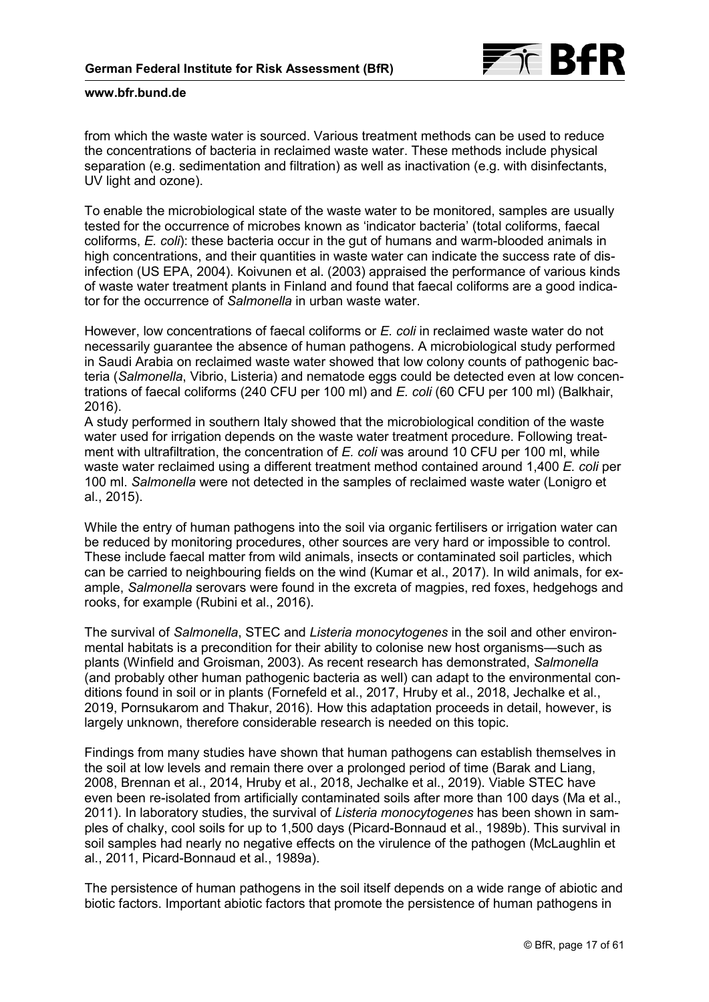

from which the waste water is sourced. Various treatment methods can be used to reduce the concentrations of bacteria in reclaimed waste water. These methods include physical separation (e.g. sedimentation and filtration) as well as inactivation (e.g. with disinfectants, UV light and ozone).

To enable the microbiological state of the waste water to be monitored, samples are usually tested for the occurrence of microbes known as 'indicator bacteria' (total coliforms, faecal coliforms, *E. coli*): these bacteria occur in the gut of humans and warm-blooded animals in high concentrations, and their quantities in waste water can indicate the success rate of disinfection (US EPA, 2004). Koivunen et al. (2003) appraised the performance of various kinds of waste water treatment plants in Finland and found that faecal coliforms are a good indicator for the occurrence of *Salmonella* in urban waste water.

However, low concentrations of faecal coliforms or *E. coli* in reclaimed waste water do not necessarily guarantee the absence of human pathogens. A microbiological study performed in Saudi Arabia on reclaimed waste water showed that low colony counts of pathogenic bacteria (*Salmonella*, Vibrio, Listeria) and nematode eggs could be detected even at low concentrations of faecal coliforms (240 CFU per 100 ml) and *E. coli* (60 CFU per 100 ml) (Balkhair, 2016).

A study performed in southern Italy showed that the microbiological condition of the waste water used for irrigation depends on the waste water treatment procedure. Following treatment with ultrafiltration, the concentration of *E. coli* was around 10 CFU per 100 ml, while waste water reclaimed using a different treatment method contained around 1,400 *E. coli* per 100 ml. *Salmonella* were not detected in the samples of reclaimed waste water (Lonigro et al., 2015).

While the entry of human pathogens into the soil via organic fertilisers or irrigation water can be reduced by monitoring procedures, other sources are very hard or impossible to control. These include faecal matter from wild animals, insects or contaminated soil particles, which can be carried to neighbouring fields on the wind (Kumar et al., 2017). In wild animals, for example, *Salmonella* serovars were found in the excreta of magpies, red foxes, hedgehogs and rooks, for example (Rubini et al., 2016).

The survival of *Salmonella*, STEC and *Listeria monocytogenes* in the soil and other environmental habitats is a precondition for their ability to colonise new host organisms—such as plants (Winfield and Groisman, 2003). As recent research has demonstrated, *Salmonella* (and probably other human pathogenic bacteria as well) can adapt to the environmental conditions found in soil or in plants (Fornefeld et al., 2017, Hruby et al., 2018, Jechalke et al., 2019, Pornsukarom and Thakur, 2016). How this adaptation proceeds in detail, however, is largely unknown, therefore considerable research is needed on this topic.

Findings from many studies have shown that human pathogens can establish themselves in the soil at low levels and remain there over a prolonged period of time (Barak and Liang, 2008, Brennan et al., 2014, Hruby et al., 2018, Jechalke et al., 2019). Viable STEC have even been re-isolated from artificially contaminated soils after more than 100 days (Ma et al., 2011). In laboratory studies, the survival of *Listeria monocytogenes* has been shown in samples of chalky, cool soils for up to 1,500 days (Picard-Bonnaud et al., 1989b). This survival in soil samples had nearly no negative effects on the virulence of the pathogen (McLaughlin et al., 2011, Picard-Bonnaud et al., 1989a).

The persistence of human pathogens in the soil itself depends on a wide range of abiotic and biotic factors. Important abiotic factors that promote the persistence of human pathogens in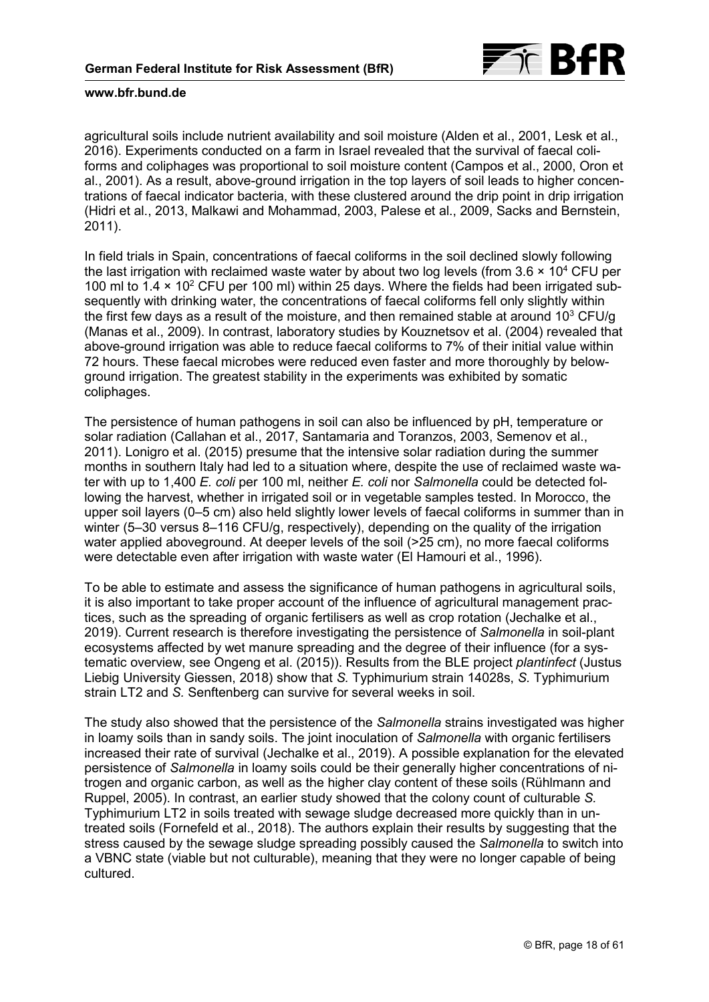

agricultural soils include nutrient availability and soil moisture (Alden et al., 2001, Lesk et al., 2016). Experiments conducted on a farm in Israel revealed that the survival of faecal coliforms and coliphages was proportional to soil moisture content (Campos et al., 2000, Oron et al., 2001). As a result, above-ground irrigation in the top layers of soil leads to higher concentrations of faecal indicator bacteria, with these clustered around the drip point in drip irrigation (Hidri et al., 2013, Malkawi and Mohammad, 2003, Palese et al., 2009, Sacks and Bernstein, 2011).

In field trials in Spain, concentrations of faecal coliforms in the soil declined slowly following the last irrigation with reclaimed waste water by about two log levels (from  $3.6 \times 10^4$  CFU per 100 ml to 1.4 x 10<sup>2</sup> CFU per 100 ml) within 25 days. Where the fields had been irrigated subsequently with drinking water, the concentrations of faecal coliforms fell only slightly within the first few days as a result of the moisture, and then remained stable at around  $10<sup>3</sup>$  CFU/g (Manas et al., 2009). In contrast, laboratory studies by Kouznetsov et al. (2004) revealed that above-ground irrigation was able to reduce faecal coliforms to 7% of their initial value within 72 hours. These faecal microbes were reduced even faster and more thoroughly by belowground irrigation. The greatest stability in the experiments was exhibited by somatic coliphages.

The persistence of human pathogens in soil can also be influenced by pH, temperature or solar radiation (Callahan et al., 2017, Santamaria and Toranzos, 2003, Semenov et al., 2011). Lonigro et al. (2015) presume that the intensive solar radiation during the summer months in southern Italy had led to a situation where, despite the use of reclaimed waste water with up to 1,400 *E. coli* per 100 ml, neither *E. coli* nor *Salmonella* could be detected following the harvest, whether in irrigated soil or in vegetable samples tested. In Morocco, the upper soil layers (0–5 cm) also held slightly lower levels of faecal coliforms in summer than in winter (5–30 versus 8–116 CFU/g, respectively), depending on the quality of the irrigation water applied aboveground. At deeper levels of the soil (>25 cm), no more faecal coliforms were detectable even after irrigation with waste water (El Hamouri et al., 1996).

To be able to estimate and assess the significance of human pathogens in agricultural soils, it is also important to take proper account of the influence of agricultural management practices, such as the spreading of organic fertilisers as well as crop rotation (Jechalke et al., 2019). Current research is therefore investigating the persistence of *Salmonella* in soil-plant ecosystems affected by wet manure spreading and the degree of their influence (for a systematic overview, see Ongeng et al. (2015)). Results from the BLE project *plantinfect* (Justus Liebig University Giessen, 2018) show that *S.* Typhimurium strain 14028s, *S.* Typhimurium strain LT2 and *S.* Senftenberg can survive for several weeks in soil.

The study also showed that the persistence of the *Salmonella* strains investigated was higher in loamy soils than in sandy soils. The joint inoculation of *Salmonella* with organic fertilisers increased their rate of survival (Jechalke et al., 2019). A possible explanation for the elevated persistence of *Salmonella* in loamy soils could be their generally higher concentrations of nitrogen and organic carbon, as well as the higher clay content of these soils (Rühlmann and Ruppel, 2005). In contrast, an earlier study showed that the colony count of culturable *S.* Typhimurium LT2 in soils treated with sewage sludge decreased more quickly than in untreated soils (Fornefeld et al., 2018). The authors explain their results by suggesting that the stress caused by the sewage sludge spreading possibly caused the *Salmonella* to switch into a VBNC state (viable but not culturable), meaning that they were no longer capable of being cultured.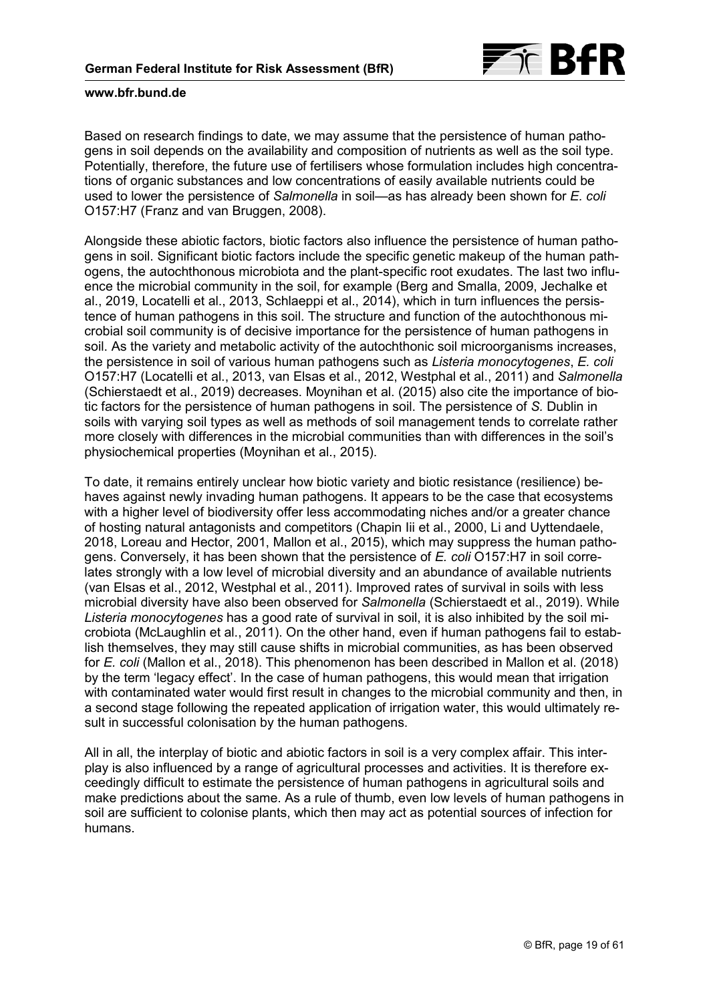

Based on research findings to date, we may assume that the persistence of human pathogens in soil depends on the availability and composition of nutrients as well as the soil type. Potentially, therefore, the future use of fertilisers whose formulation includes high concentrations of organic substances and low concentrations of easily available nutrients could be used to lower the persistence of *Salmonella* in soil—as has already been shown for *E. coli* O157:H7 (Franz and van Bruggen, 2008).

Alongside these abiotic factors, biotic factors also influence the persistence of human pathogens in soil. Significant biotic factors include the specific genetic makeup of the human pathogens, the autochthonous microbiota and the plant-specific root exudates. The last two influence the microbial community in the soil, for example (Berg and Smalla, 2009, Jechalke et al., 2019, Locatelli et al., 2013, Schlaeppi et al., 2014), which in turn influences the persistence of human pathogens in this soil. The structure and function of the autochthonous microbial soil community is of decisive importance for the persistence of human pathogens in soil. As the variety and metabolic activity of the autochthonic soil microorganisms increases, the persistence in soil of various human pathogens such as *Listeria monocytogenes*, *E. coli* O157:H7 (Locatelli et al., 2013, van Elsas et al., 2012, Westphal et al., 2011) and *Salmonella* (Schierstaedt et al., 2019) decreases. Moynihan et al. (2015) also cite the importance of biotic factors for the persistence of human pathogens in soil. The persistence of *S.* Dublin in soils with varying soil types as well as methods of soil management tends to correlate rather more closely with differences in the microbial communities than with differences in the soil's physiochemical properties (Moynihan et al., 2015).

To date, it remains entirely unclear how biotic variety and biotic resistance (resilience) behaves against newly invading human pathogens. It appears to be the case that ecosystems with a higher level of biodiversity offer less accommodating niches and/or a greater chance of hosting natural antagonists and competitors (Chapin Iii et al., 2000, Li and Uyttendaele, 2018, Loreau and Hector, 2001, Mallon et al., 2015), which may suppress the human pathogens. Conversely, it has been shown that the persistence of *E. coli* O157:H7 in soil correlates strongly with a low level of microbial diversity and an abundance of available nutrients (van Elsas et al., 2012, Westphal et al., 2011). Improved rates of survival in soils with less microbial diversity have also been observed for *Salmonella* (Schierstaedt et al., 2019). While *Listeria monocytogenes* has a good rate of survival in soil, it is also inhibited by the soil microbiota (McLaughlin et al., 2011). On the other hand, even if human pathogens fail to establish themselves, they may still cause shifts in microbial communities, as has been observed for *E. coli* (Mallon et al., 2018). This phenomenon has been described in Mallon et al. (2018) by the term 'legacy effect'. In the case of human pathogens, this would mean that irrigation with contaminated water would first result in changes to the microbial community and then, in a second stage following the repeated application of irrigation water, this would ultimately result in successful colonisation by the human pathogens.

All in all, the interplay of biotic and abiotic factors in soil is a very complex affair. This interplay is also influenced by a range of agricultural processes and activities. It is therefore exceedingly difficult to estimate the persistence of human pathogens in agricultural soils and make predictions about the same. As a rule of thumb, even low levels of human pathogens in soil are sufficient to colonise plants, which then may act as potential sources of infection for humans.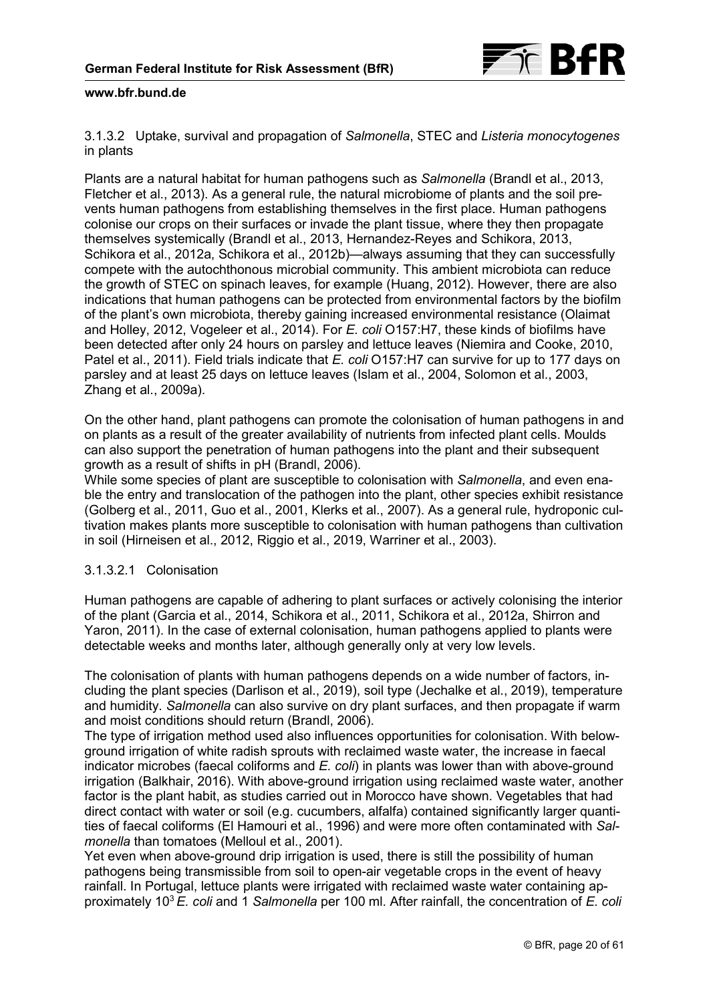

3.1.3.2 Uptake, survival and propagation of *Salmonella*, STEC and *Listeria monocytogenes* in plants

Plants are a natural habitat for human pathogens such as *Salmonella* (Brandl et al., 2013, Fletcher et al., 2013). As a general rule, the natural microbiome of plants and the soil prevents human pathogens from establishing themselves in the first place. Human pathogens colonise our crops on their surfaces or invade the plant tissue, where they then propagate themselves systemically (Brandl et al., 2013, Hernandez-Reyes and Schikora, 2013, Schikora et al., 2012a, Schikora et al., 2012b)—always assuming that they can successfully compete with the autochthonous microbial community. This ambient microbiota can reduce the growth of STEC on spinach leaves, for example (Huang, 2012). However, there are also indications that human pathogens can be protected from environmental factors by the biofilm of the plant's own microbiota, thereby gaining increased environmental resistance (Olaimat and Holley, 2012, Vogeleer et al., 2014). For *E. coli* O157:H7, these kinds of biofilms have been detected after only 24 hours on parsley and lettuce leaves (Niemira and Cooke, 2010, Patel et al., 2011). Field trials indicate that *E. coli* O157:H7 can survive for up to 177 days on parsley and at least 25 days on lettuce leaves (Islam et al., 2004, Solomon et al., 2003, Zhang et al., 2009a).

On the other hand, plant pathogens can promote the colonisation of human pathogens in and on plants as a result of the greater availability of nutrients from infected plant cells. Moulds can also support the penetration of human pathogens into the plant and their subsequent growth as a result of shifts in pH (Brandl, 2006).

While some species of plant are susceptible to colonisation with *Salmonella*, and even enable the entry and translocation of the pathogen into the plant, other species exhibit resistance (Golberg et al., 2011, Guo et al., 2001, Klerks et al., 2007). As a general rule, hydroponic cultivation makes plants more susceptible to colonisation with human pathogens than cultivation in soil (Hirneisen et al., 2012, Riggio et al., 2019, Warriner et al., 2003).

## 3.1.3.2.1 Colonisation

Human pathogens are capable of adhering to plant surfaces or actively colonising the interior of the plant (Garcia et al., 2014, Schikora et al., 2011, Schikora et al., 2012a, Shirron and Yaron, 2011). In the case of external colonisation, human pathogens applied to plants were detectable weeks and months later, although generally only at very low levels.

The colonisation of plants with human pathogens depends on a wide number of factors, including the plant species (Darlison et al., 2019), soil type (Jechalke et al., 2019), temperature and humidity. *Salmonella* can also survive on dry plant surfaces, and then propagate if warm and moist conditions should return (Brandl, 2006).

The type of irrigation method used also influences opportunities for colonisation. With belowground irrigation of white radish sprouts with reclaimed waste water, the increase in faecal indicator microbes (faecal coliforms and *E. coli*) in plants was lower than with above-ground irrigation (Balkhair, 2016). With above-ground irrigation using reclaimed waste water, another factor is the plant habit, as studies carried out in Morocco have shown. Vegetables that had direct contact with water or soil (e.g. cucumbers, alfalfa) contained significantly larger quantities of faecal coliforms (El Hamouri et al., 1996) and were more often contaminated with *Salmonella* than tomatoes (Melloul et al., 2001).

Yet even when above-ground drip irrigation is used, there is still the possibility of human pathogens being transmissible from soil to open-air vegetable crops in the event of heavy rainfall. In Portugal, lettuce plants were irrigated with reclaimed waste water containing approximately 103 *E. coli* and 1 *Salmonella* per 100 ml. After rainfall, the concentration of *E. coli*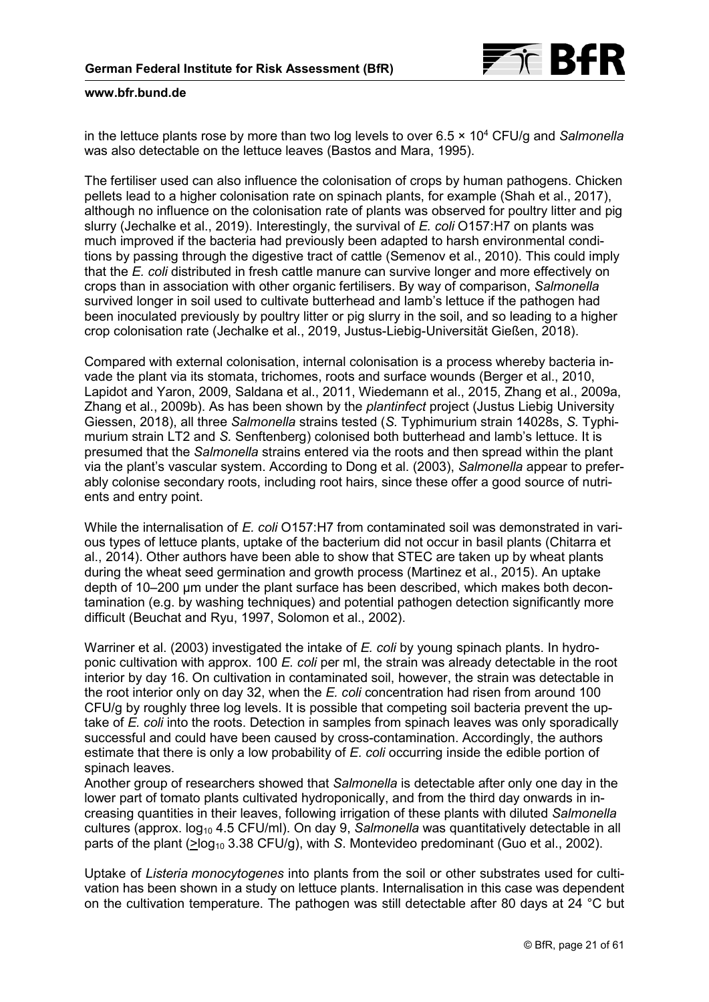

in the lettuce plants rose by more than two log levels to over 6.5 × 104 CFU/g and *Salmonella* was also detectable on the lettuce leaves (Bastos and Mara, 1995).

The fertiliser used can also influence the colonisation of crops by human pathogens. Chicken pellets lead to a higher colonisation rate on spinach plants, for example (Shah et al., 2017), although no influence on the colonisation rate of plants was observed for poultry litter and pig slurry (Jechalke et al., 2019). Interestingly, the survival of *E. coli* O157:H7 on plants was much improved if the bacteria had previously been adapted to harsh environmental conditions by passing through the digestive tract of cattle (Semenov et al., 2010). This could imply that the *E. coli* distributed in fresh cattle manure can survive longer and more effectively on crops than in association with other organic fertilisers. By way of comparison, *Salmonella* survived longer in soil used to cultivate butterhead and lamb's lettuce if the pathogen had been inoculated previously by poultry litter or pig slurry in the soil, and so leading to a higher crop colonisation rate (Jechalke et al., 2019, Justus-Liebig-Universität Gießen, 2018).

Compared with external colonisation, internal colonisation is a process whereby bacteria invade the plant via its stomata, trichomes, roots and surface wounds (Berger et al., 2010, Lapidot and Yaron, 2009, Saldana et al., 2011, Wiedemann et al., 2015, Zhang et al., 2009a, Zhang et al., 2009b). As has been shown by the *plantinfect* project (Justus Liebig University Giessen, 2018), all three *Salmonella* strains tested (*S.* Typhimurium strain 14028s, *S.* Typhimurium strain LT2 and *S.* Senftenberg) colonised both butterhead and lamb's lettuce. It is presumed that the *Salmonella* strains entered via the roots and then spread within the plant via the plant's vascular system. According to Dong et al. (2003), *Salmonella* appear to preferably colonise secondary roots, including root hairs, since these offer a good source of nutrients and entry point.

While the internalisation of *E. coli* O157:H7 from contaminated soil was demonstrated in various types of lettuce plants, uptake of the bacterium did not occur in basil plants (Chitarra et al., 2014). Other authors have been able to show that STEC are taken up by wheat plants during the wheat seed germination and growth process (Martinez et al., 2015). An uptake depth of 10–200 µm under the plant surface has been described, which makes both decontamination (e.g. by washing techniques) and potential pathogen detection significantly more difficult (Beuchat and Ryu, 1997, Solomon et al., 2002).

Warriner et al. (2003) investigated the intake of *E. coli* by young spinach plants. In hydroponic cultivation with approx. 100 *E. coli* per ml, the strain was already detectable in the root interior by day 16. On cultivation in contaminated soil, however, the strain was detectable in the root interior only on day 32, when the *E. coli* concentration had risen from around 100 CFU/g by roughly three log levels. It is possible that competing soil bacteria prevent the uptake of *E. coli* into the roots. Detection in samples from spinach leaves was only sporadically successful and could have been caused by cross-contamination. Accordingly, the authors estimate that there is only a low probability of *E. coli* occurring inside the edible portion of spinach leaves.

Another group of researchers showed that *Salmonella* is detectable after only one day in the lower part of tomato plants cultivated hydroponically, and from the third day onwards in increasing quantities in their leaves, following irrigation of these plants with diluted *Salmonella* cultures (approx.  $log_{10}$  4.5 CFU/ml). On day 9, *Salmonella* was quantitatively detectable in all parts of the plant ( $\geq$ log<sub>10</sub> 3.38 CFU/g), with *S*. Montevideo predominant (Guo et al., 2002).

Uptake of *Listeria monocytogenes* into plants from the soil or other substrates used for cultivation has been shown in a study on lettuce plants. Internalisation in this case was dependent on the cultivation temperature. The pathogen was still detectable after 80 days at 24 °C but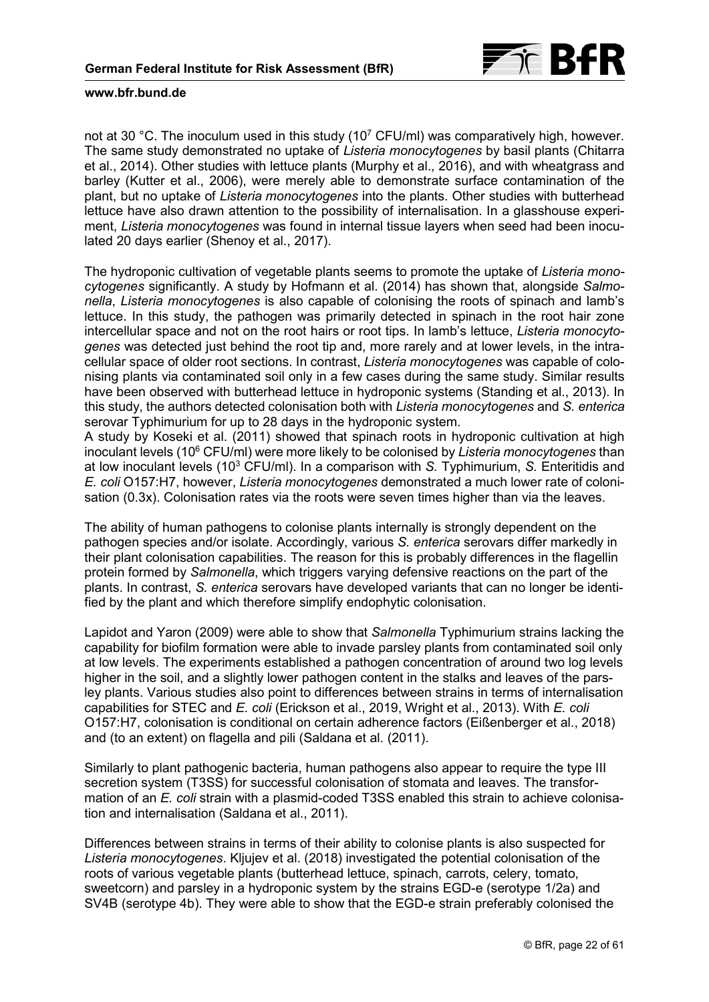

not at 30 °C. The inoculum used in this study (10<sup>7</sup> CFU/ml) was comparatively high, however. The same study demonstrated no uptake of *Listeria monocytogenes* by basil plants (Chitarra et al., 2014). Other studies with lettuce plants (Murphy et al., 2016), and with wheatgrass and barley (Kutter et al., 2006), were merely able to demonstrate surface contamination of the plant, but no uptake of *Listeria monocytogenes* into the plants. Other studies with butterhead lettuce have also drawn attention to the possibility of internalisation. In a glasshouse experiment, *Listeria monocytogenes* was found in internal tissue layers when seed had been inoculated 20 days earlier (Shenoy et al., 2017).

The hydroponic cultivation of vegetable plants seems to promote the uptake of *Listeria monocytogenes* significantly. A study by Hofmann et al. (2014) has shown that, alongside *Salmonella*, *Listeria monocytogenes* is also capable of colonising the roots of spinach and lamb's lettuce. In this study, the pathogen was primarily detected in spinach in the root hair zone intercellular space and not on the root hairs or root tips. In lamb's lettuce, *Listeria monocytogenes* was detected just behind the root tip and, more rarely and at lower levels, in the intracellular space of older root sections. In contrast, *Listeria monocytogenes* was capable of colonising plants via contaminated soil only in a few cases during the same study. Similar results have been observed with butterhead lettuce in hydroponic systems (Standing et al., 2013). In this study, the authors detected colonisation both with *Listeria monocytogenes* and *S. enterica* serovar Typhimurium for up to 28 days in the hydroponic system.

A study by Koseki et al. (2011) showed that spinach roots in hydroponic cultivation at high inoculant levels (106 CFU/ml) were more likely to be colonised by *Listeria monocytogenes* than at low inoculant levels (103 CFU/ml). In a comparison with *S.* Typhimurium, *S.* Enteritidis and *E. coli* O157:H7, however, *Listeria monocytogenes* demonstrated a much lower rate of colonisation (0.3x). Colonisation rates via the roots were seven times higher than via the leaves.

The ability of human pathogens to colonise plants internally is strongly dependent on the pathogen species and/or isolate. Accordingly, various *S. enterica* serovars differ markedly in their plant colonisation capabilities. The reason for this is probably differences in the flagellin protein formed by *Salmonella*, which triggers varying defensive reactions on the part of the plants. In contrast, *S. enterica* serovars have developed variants that can no longer be identified by the plant and which therefore simplify endophytic colonisation.

Lapidot and Yaron (2009) were able to show that *Salmonella* Typhimurium strains lacking the capability for biofilm formation were able to invade parsley plants from contaminated soil only at low levels. The experiments established a pathogen concentration of around two log levels higher in the soil, and a slightly lower pathogen content in the stalks and leaves of the parsley plants. Various studies also point to differences between strains in terms of internalisation capabilities for STEC and *E. coli* (Erickson et al., 2019, Wright et al., 2013). With *E. coli* O157:H7, colonisation is conditional on certain adherence factors (Eißenberger et al., 2018) and (to an extent) on flagella and pili (Saldana et al. (2011).

Similarly to plant pathogenic bacteria, human pathogens also appear to require the type III secretion system (T3SS) for successful colonisation of stomata and leaves. The transformation of an *E. coli* strain with a plasmid-coded T3SS enabled this strain to achieve colonisation and internalisation (Saldana et al., 2011).

Differences between strains in terms of their ability to colonise plants is also suspected for *Listeria monocytogenes*. Kljujev et al. (2018) investigated the potential colonisation of the roots of various vegetable plants (butterhead lettuce, spinach, carrots, celery, tomato, sweetcorn) and parsley in a hydroponic system by the strains EGD-e (serotype 1/2a) and SV4B (serotype 4b). They were able to show that the EGD-e strain preferably colonised the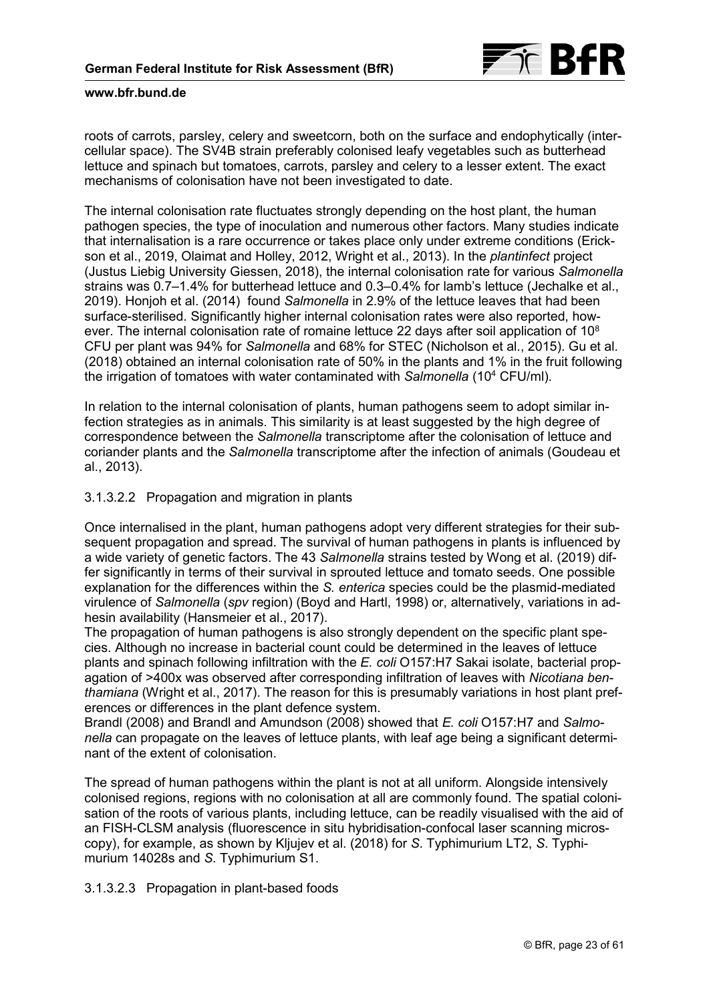

roots of carrots, parsley, celery and sweetcorn, both on the surface and endophytically (intercellular space). The SV4B strain preferably colonised leafy vegetables such as butterhead lettuce and spinach but tomatoes, carrots, parsley and celery to a lesser extent. The exact mechanisms of colonisation have not been investigated to date.

The internal colonisation rate fluctuates strongly depending on the host plant, the human pathogen species, the type of inoculation and numerous other factors. Many studies indicate that internalisation is a rare occurrence or takes place only under extreme conditions (Erickson et al., 2019, Olaimat and Holley, 2012, Wright et al., 2013). In the *plantinfect* project (Justus Liebig University Giessen, 2018), the internal colonisation rate for various *Salmonella* strains was 0.7–1.4% for butterhead lettuce and 0.3–0.4% for lamb's lettuce (Jechalke et al., 2019). Honjoh et al. (2014) found *Salmonella* in 2.9% of the lettuce leaves that had been surface-sterilised. Significantly higher internal colonisation rates were also reported, however. The internal colonisation rate of romaine lettuce 22 days after soil application of 10<sup>8</sup> CFU per plant was 94% for *Salmonella* and 68% for STEC (Nicholson et al., 2015). Gu et al. (2018) obtained an internal colonisation rate of 50% in the plants and 1% in the fruit following the irrigation of tomatoes with water contaminated with *Salmonella* (104 CFU/ml).

In relation to the internal colonisation of plants, human pathogens seem to adopt similar infection strategies as in animals. This similarity is at least suggested by the high degree of correspondence between the *Salmonella* transcriptome after the colonisation of lettuce and coriander plants and the *Salmonella* transcriptome after the infection of animals (Goudeau et al., 2013).

## 3.1.3.2.2 Propagation and migration in plants

Once internalised in the plant, human pathogens adopt very different strategies for their subsequent propagation and spread. The survival of human pathogens in plants is influenced by a wide variety of genetic factors. The 43 *Salmonella* strains tested by Wong et al. (2019) differ significantly in terms of their survival in sprouted lettuce and tomato seeds. One possible explanation for the differences within the *S. enterica* species could be the plasmid-mediated virulence of *Salmonella* (*spv* region) (Boyd and Hartl, 1998) or, alternatively, variations in adhesin availability (Hansmeier et al., 2017).

The propagation of human pathogens is also strongly dependent on the specific plant species. Although no increase in bacterial count could be determined in the leaves of lettuce plants and spinach following infiltration with the *E. coli* O157:H7 Sakai isolate, bacterial propagation of >400x was observed after corresponding infiltration of leaves with *Nicotiana benthamiana* (Wright et al., 2017). The reason for this is presumably variations in host plant preferences or differences in the plant defence system.

Brandl (2008) and Brandl and Amundson (2008) showed that *E. coli* O157:H7 and *Salmonella* can propagate on the leaves of lettuce plants, with leaf age being a significant determinant of the extent of colonisation.

The spread of human pathogens within the plant is not at all uniform. Alongside intensively colonised regions, regions with no colonisation at all are commonly found. The spatial colonisation of the roots of various plants, including lettuce, can be readily visualised with the aid of an FISH-CLSM analysis (fluorescence in situ hybridisation-confocal laser scanning microscopy), for example, as shown by Kljujev et al. (2018) for *S*. Typhimurium LT2, *S*. Typhimurium 14028s and *S*. Typhimurium S1.

## 3.1.3.2.3 Propagation in plant-based foods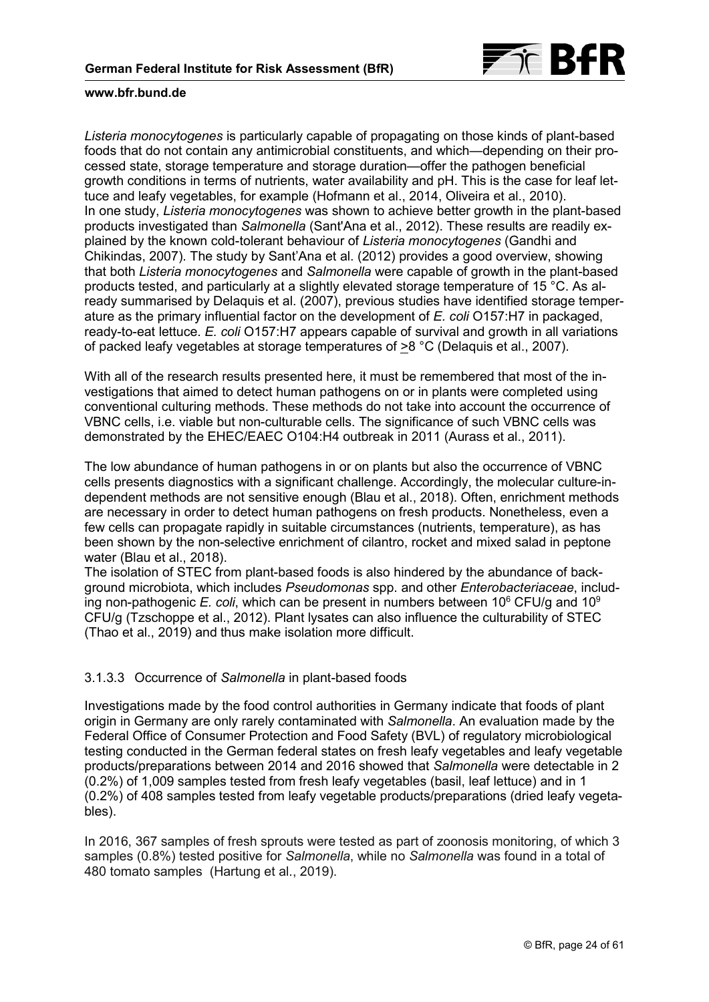

*Listeria monocytogenes* is particularly capable of propagating on those kinds of plant-based foods that do not contain any antimicrobial constituents, and which—depending on their processed state, storage temperature and storage duration—offer the pathogen beneficial growth conditions in terms of nutrients, water availability and pH. This is the case for leaf lettuce and leafy vegetables, for example (Hofmann et al., 2014, Oliveira et al., 2010). In one study, *Listeria monocytogenes* was shown to achieve better growth in the plant-based products investigated than *Salmonella* (Sant'Ana et al., 2012). These results are readily explained by the known cold-tolerant behaviour of *Listeria monocytogenes* (Gandhi and Chikindas, 2007). The study by Sant'Ana et al. (2012) provides a good overview, showing that both *Listeria monocytogenes* and *Salmonella* were capable of growth in the plant-based products tested, and particularly at a slightly elevated storage temperature of 15 °C. As already summarised by Delaquis et al. (2007), previous studies have identified storage temperature as the primary influential factor on the development of *E. coli* O157:H7 in packaged, ready-to-eat lettuce. *E. coli* O157:H7 appears capable of survival and growth in all variations of packed leafy vegetables at storage temperatures of >8 °C (Delaquis et al., 2007).

With all of the research results presented here, it must be remembered that most of the investigations that aimed to detect human pathogens on or in plants were completed using conventional culturing methods. These methods do not take into account the occurrence of VBNC cells, i.e. viable but non-culturable cells. The significance of such VBNC cells was demonstrated by the EHEC/EAEC O104:H4 outbreak in 2011 (Aurass et al., 2011).

The low abundance of human pathogens in or on plants but also the occurrence of VBNC cells presents diagnostics with a significant challenge. Accordingly, the molecular culture-independent methods are not sensitive enough (Blau et al., 2018). Often, enrichment methods are necessary in order to detect human pathogens on fresh products. Nonetheless, even a few cells can propagate rapidly in suitable circumstances (nutrients, temperature), as has been shown by the non-selective enrichment of cilantro, rocket and mixed salad in peptone water (Blau et al., 2018).

The isolation of STEC from plant-based foods is also hindered by the abundance of background microbiota, which includes *Pseudomonas* spp. and other *Enterobacteriaceae*, including non-pathogenic *E. coli*, which can be present in numbers between  $10^6$  CFU/g and  $10^9$ CFU/g (Tzschoppe et al., 2012). Plant lysates can also influence the culturability of STEC (Thao et al., 2019) and thus make isolation more difficult.

## 3.1.3.3 Occurrence of *Salmonella* in plant-based foods

Investigations made by the food control authorities in Germany indicate that foods of plant origin in Germany are only rarely contaminated with *Salmonella*. An evaluation made by the Federal Office of Consumer Protection and Food Safety (BVL) of regulatory microbiological testing conducted in the German federal states on fresh leafy vegetables and leafy vegetable products/preparations between 2014 and 2016 showed that *Salmonella* were detectable in 2 (0.2%) of 1,009 samples tested from fresh leafy vegetables (basil, leaf lettuce) and in 1 (0.2%) of 408 samples tested from leafy vegetable products/preparations (dried leafy vegetables).

In 2016, 367 samples of fresh sprouts were tested as part of zoonosis monitoring, of which 3 samples (0.8%) tested positive for *Salmonella*, while no *Salmonella* was found in a total of 480 tomato samples (Hartung et al., 2019).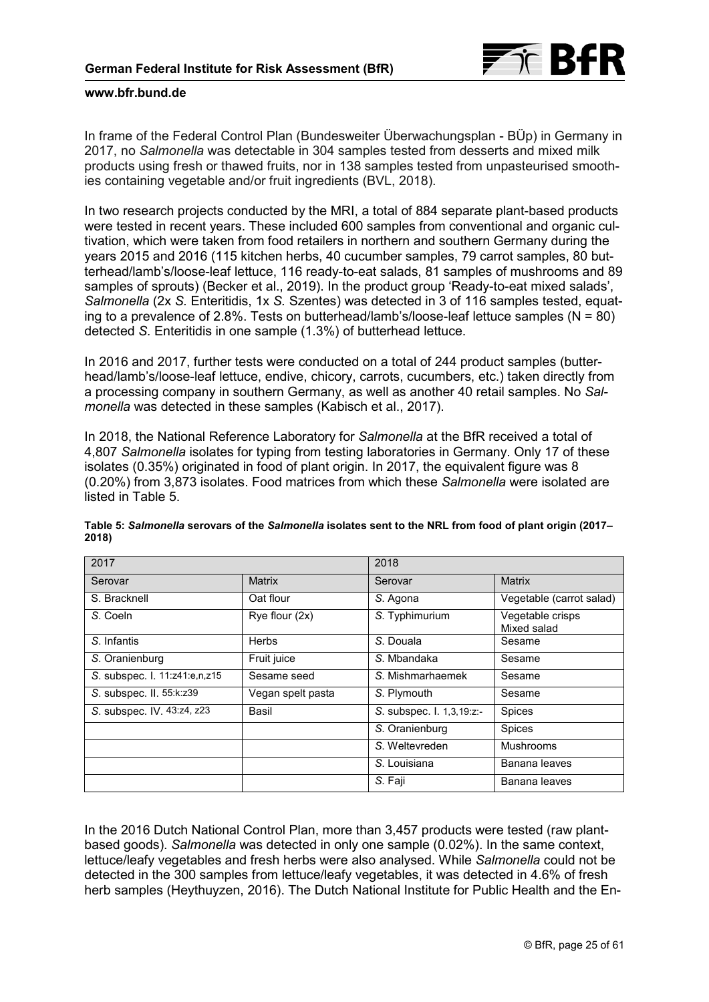

In frame of the Federal Control Plan (Bundesweiter Überwachungsplan - BÜp) in Germany in 2017, no *Salmonella* was detectable in 304 samples tested from desserts and mixed milk products using fresh or thawed fruits, nor in 138 samples tested from unpasteurised smoothies containing vegetable and/or fruit ingredients (BVL, 2018).

In two research projects conducted by the MRI, a total of 884 separate plant-based products were tested in recent years. These included 600 samples from conventional and organic cultivation, which were taken from food retailers in northern and southern Germany during the years 2015 and 2016 (115 kitchen herbs, 40 cucumber samples, 79 carrot samples, 80 butterhead/lamb's/loose-leaf lettuce, 116 ready-to-eat salads, 81 samples of mushrooms and 89 samples of sprouts) (Becker et al., 2019). In the product group 'Ready-to-eat mixed salads', *Salmonella* (2x *S.* Enteritidis, 1x *S.* Szentes) was detected in 3 of 116 samples tested, equating to a prevalence of 2.8%. Tests on butterhead/lamb's/loose-leaf lettuce samples ( $N = 80$ ) detected *S.* Enteritidis in one sample (1.3%) of butterhead lettuce.

In 2016 and 2017, further tests were conducted on a total of 244 product samples (butterhead/lamb's/loose-leaf lettuce, endive, chicory, carrots, cucumbers, etc.) taken directly from a processing company in southern Germany, as well as another 40 retail samples. No *Salmonella* was detected in these samples (Kabisch et al., 2017).

In 2018, the National Reference Laboratory for *Salmonella* at the BfR received a total of 4,807 *Salmonella* isolates for typing from testing laboratories in Germany. Only 17 of these isolates (0.35%) originated in food of plant origin. In 2017, the equivalent figure was 8 (0.20%) from 3,873 isolates. Food matrices from which these *Salmonella* were isolated are listed in Table 5.

| 2017                          |                   | 2018                      |                                 |  |
|-------------------------------|-------------------|---------------------------|---------------------------------|--|
| Serovar                       | Matrix            | Serovar                   | <b>Matrix</b>                   |  |
| S. Bracknell                  | Oat flour         | S. Agona                  | Vegetable (carrot salad)        |  |
| S. Coeln                      | Rye flour (2x)    | S. Typhimurium            | Vegetable crisps<br>Mixed salad |  |
| S. Infantis                   | <b>Herbs</b>      | S. Douala                 | Sesame                          |  |
| S. Oranienburg                | Fruit juice       | S. Mbandaka               | Sesame                          |  |
| S. subspec. I. 11:z41:e,n,z15 | Sesame seed       | S. Mishmarhaemek          | Sesame                          |  |
| S. subspec. II. 55:k:z39      | Vegan spelt pasta | S. Plymouth               | Sesame                          |  |
| S. subspec. IV. 43:z4, z23    | Basil             | S. subspec. I. 1,3,19:z:- | Spices                          |  |
|                               |                   | S. Oranienburg            | Spices                          |  |
|                               |                   | S. Weltevreden            | <b>Mushrooms</b>                |  |
|                               |                   | S. Louisiana              | Banana leaves                   |  |
|                               |                   | S. Faji                   | Banana leaves                   |  |

**Table 5:** *Salmonella* **serovars of the** *Salmonella* **isolates sent to the NRL from food of plant origin (2017– 2018)** 

In the 2016 Dutch National Control Plan, more than 3,457 products were tested (raw plantbased goods). *Salmonella* was detected in only one sample (0.02%). In the same context, lettuce/leafy vegetables and fresh herbs were also analysed. While *Salmonella* could not be detected in the 300 samples from lettuce/leafy vegetables, it was detected in 4.6% of fresh herb samples (Heythuyzen, 2016). The Dutch National Institute for Public Health and the En-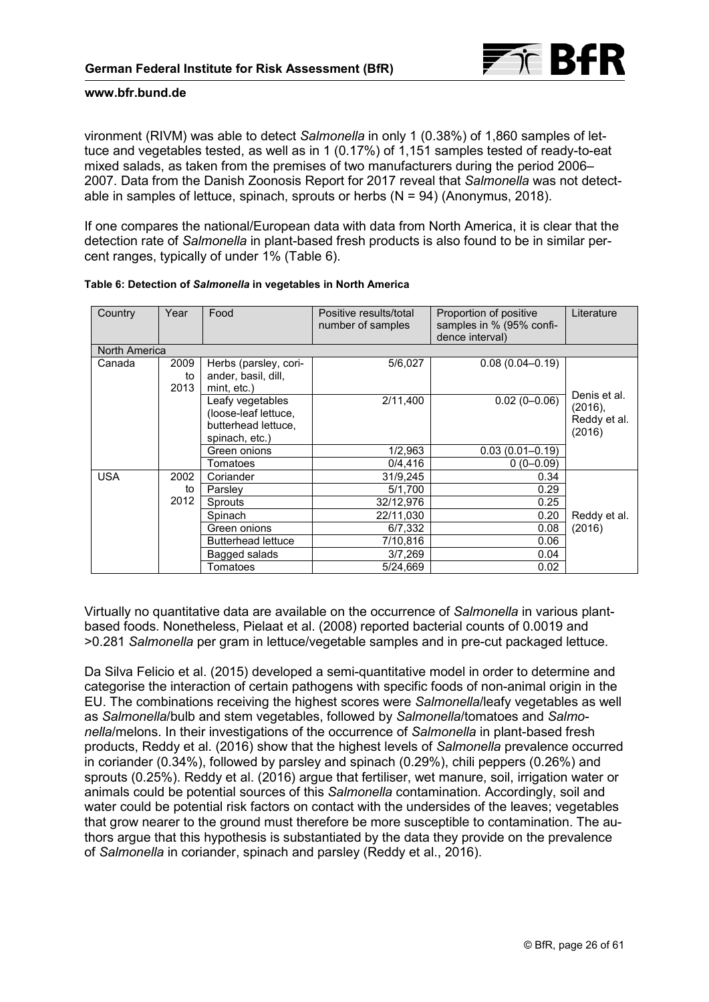

vironment (RIVM) was able to detect *Salmonella* in only 1 (0.38%) of 1,860 samples of lettuce and vegetables tested, as well as in 1 (0.17%) of 1,151 samples tested of ready-to-eat mixed salads, as taken from the premises of two manufacturers during the period 2006– 2007. Data from the Danish Zoonosis Report for 2017 reveal that *Salmonella* was not detectable in samples of lettuce, spinach, sprouts or herbs  $(N = 94)$  (Anonymus, 2018).

If one compares the national/European data with data from North America, it is clear that the detection rate of *Salmonella* in plant-based fresh products is also found to be in similar percent ranges, typically of under 1% (Table 6).

| Country       | Year               | Food                                                                              | Positive results/total<br>number of samples | Proportion of positive<br>samples in % (95% confi-<br>dence interval) | Literature                                        |  |  |  |
|---------------|--------------------|-----------------------------------------------------------------------------------|---------------------------------------------|-----------------------------------------------------------------------|---------------------------------------------------|--|--|--|
| North America |                    |                                                                                   |                                             |                                                                       |                                                   |  |  |  |
| Canada        | 2009<br>to<br>2013 | Herbs (parsley, cori-<br>ander, basil, dill,<br>mint, etc.)                       | 5/6,027                                     | $0.08(0.04 - 0.19)$                                                   |                                                   |  |  |  |
|               |                    | Leafy vegetables<br>(loose-leaf lettuce,<br>butterhead lettuce,<br>spinach, etc.) | 2/11,400                                    | $0.02(0 - 0.06)$                                                      | Denis et al.<br>(2016),<br>Reddy et al.<br>(2016) |  |  |  |
|               |                    | Green onions                                                                      | 1/2,963                                     | $0.03(0.01 - 0.19)$                                                   |                                                   |  |  |  |
|               |                    | Tomatoes                                                                          | 0/4,416                                     | $0(0-0.09)$                                                           |                                                   |  |  |  |
| <b>USA</b>    | 2002               | Coriander                                                                         | 31/9,245                                    | 0.34                                                                  |                                                   |  |  |  |
|               | to                 | Parsley                                                                           | 5/1,700                                     | 0.29                                                                  |                                                   |  |  |  |
|               | 2012               | <b>Sprouts</b>                                                                    | 32/12,976                                   | 0.25                                                                  |                                                   |  |  |  |
|               |                    | Spinach                                                                           | 22/11,030                                   | 0.20                                                                  | Reddy et al.                                      |  |  |  |
|               |                    | Green onions                                                                      | 6/7,332                                     | 0.08                                                                  | (2016)                                            |  |  |  |
|               |                    | <b>Butterhead lettuce</b>                                                         | 7/10,816                                    | 0.06                                                                  |                                                   |  |  |  |
|               |                    | Bagged salads                                                                     | 3/7,269                                     | 0.04                                                                  |                                                   |  |  |  |
|               |                    | Tomatoes                                                                          | 5/24,669                                    | 0.02                                                                  |                                                   |  |  |  |

#### **Table 6: Detection of** *Salmonella* **in vegetables in North America**

Virtually no quantitative data are available on the occurrence of *Salmonella* in various plantbased foods. Nonetheless, Pielaat et al. (2008) reported bacterial counts of 0.0019 and >0.281 *Salmonella* per gram in lettuce/vegetable samples and in pre-cut packaged lettuce.

Da Silva Felicio et al. (2015) developed a semi-quantitative model in order to determine and categorise the interaction of certain pathogens with specific foods of non-animal origin in the EU. The combinations receiving the highest scores were *Salmonella*/leafy vegetables as well as *Salmonella*/bulb and stem vegetables, followed by *Salmonella*/tomatoes and *Salmonella*/melons. In their investigations of the occurrence of *Salmonella* in plant-based fresh products, Reddy et al. (2016) show that the highest levels of *Salmonella* prevalence occurred in coriander (0.34%), followed by parsley and spinach (0.29%), chili peppers (0.26%) and sprouts (0.25%). Reddy et al. (2016) argue that fertiliser, wet manure, soil, irrigation water or animals could be potential sources of this *Salmonella* contamination. Accordingly, soil and water could be potential risk factors on contact with the undersides of the leaves; vegetables that grow nearer to the ground must therefore be more susceptible to contamination. The authors argue that this hypothesis is substantiated by the data they provide on the prevalence of *Salmonella* in coriander, spinach and parsley (Reddy et al., 2016).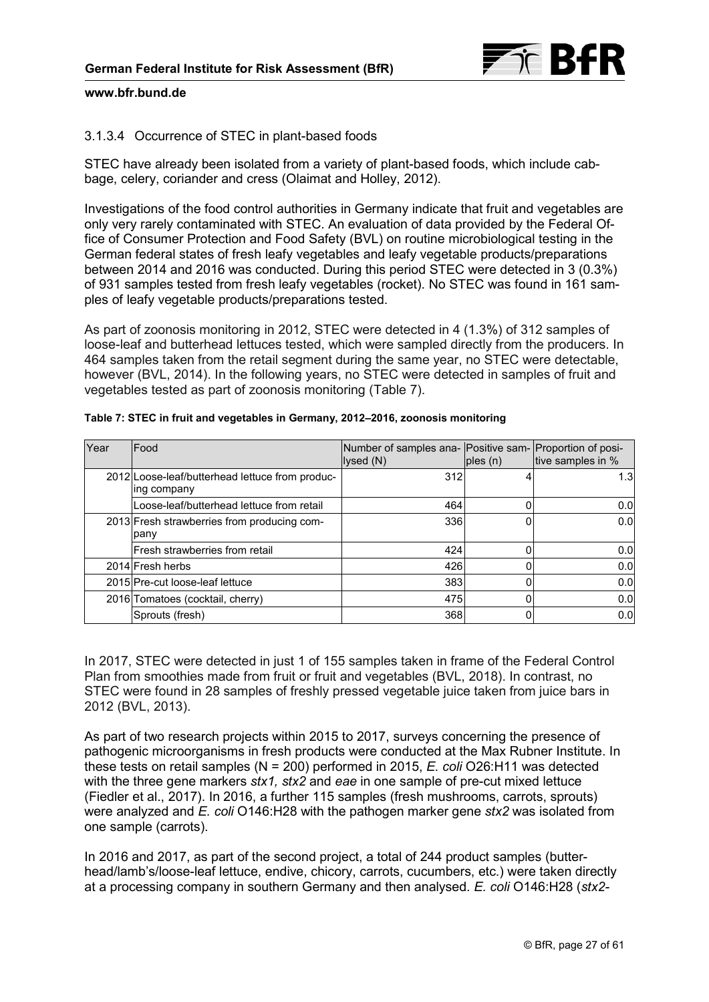

## 3.1.3.4 Occurrence of STEC in plant-based foods

STEC have already been isolated from a variety of plant-based foods, which include cabbage, celery, coriander and cress (Olaimat and Holley, 2012).

Investigations of the food control authorities in Germany indicate that fruit and vegetables are only very rarely contaminated with STEC. An evaluation of data provided by the Federal Office of Consumer Protection and Food Safety (BVL) on routine microbiological testing in the German federal states of fresh leafy vegetables and leafy vegetable products/preparations between 2014 and 2016 was conducted. During this period STEC were detected in 3 (0.3%) of 931 samples tested from fresh leafy vegetables (rocket). No STEC was found in 161 samples of leafy vegetable products/preparations tested.

As part of zoonosis monitoring in 2012, STEC were detected in 4 (1.3%) of 312 samples of loose-leaf and butterhead lettuces tested, which were sampled directly from the producers. In 464 samples taken from the retail segment during the same year, no STEC were detectable, however (BVL, 2014). In the following years, no STEC were detected in samples of fruit and vegetables tested as part of zoonosis monitoring (Table 7).

| Year | Food                                                           | Number of samples ana- Positive sam- Proportion of posi-<br>lysed (N) | ples(n) | tive samples in % |
|------|----------------------------------------------------------------|-----------------------------------------------------------------------|---------|-------------------|
|      | 2012 Loose-leaf/butterhead lettuce from produc-<br>ing company | 312                                                                   |         | 1.3 <sub>l</sub>  |
|      | Loose-leaf/butterhead lettuce from retail                      | 464                                                                   | 0       | 0.0               |
|      | 2013 Fresh strawberries from producing com-<br>pany            | 336                                                                   |         | 0.0 <sub>l</sub>  |
|      | Fresh strawberries from retail                                 | 424                                                                   |         | 0.0               |
|      | 2014 Fresh herbs                                               | 426                                                                   | 0       | 0.0               |
|      | 2015 Pre-cut loose-leaf lettuce                                | 383                                                                   | 0       | 0.0               |
|      | 2016 Tomatoes (cocktail, cherry)                               | 475                                                                   |         | 0.0               |
|      | Sprouts (fresh)                                                | 368                                                                   | 0       | 0.0               |

| Table 7: STEC in fruit and vegetables in Germany, 2012-2016, zoonosis monitoring |  |
|----------------------------------------------------------------------------------|--|
|                                                                                  |  |

In 2017, STEC were detected in just 1 of 155 samples taken in frame of the Federal Control Plan from smoothies made from fruit or fruit and vegetables (BVL, 2018). In contrast, no STEC were found in 28 samples of freshly pressed vegetable juice taken from juice bars in 2012 (BVL, 2013).

As part of two research projects within 2015 to 2017, surveys concerning the presence of pathogenic microorganisms in fresh products were conducted at the Max Rubner Institute. In these tests on retail samples (N = 200) performed in 2015, *E. coli* O26:H11 was detected with the three gene markers *stx1, stx2* and *eae* in one sample of pre-cut mixed lettuce (Fiedler et al., 2017). In 2016, a further 115 samples (fresh mushrooms, carrots, sprouts) were analyzed and *E. coli* O146:H28 with the pathogen marker gene *stx2* was isolated from one sample (carrots).

In 2016 and 2017, as part of the second project, a total of 244 product samples (butterhead/lamb's/loose-leaf lettuce, endive, chicory, carrots, cucumbers, etc.) were taken directly at a processing company in southern Germany and then analysed. *E. coli* O146:H28 (*stx2-*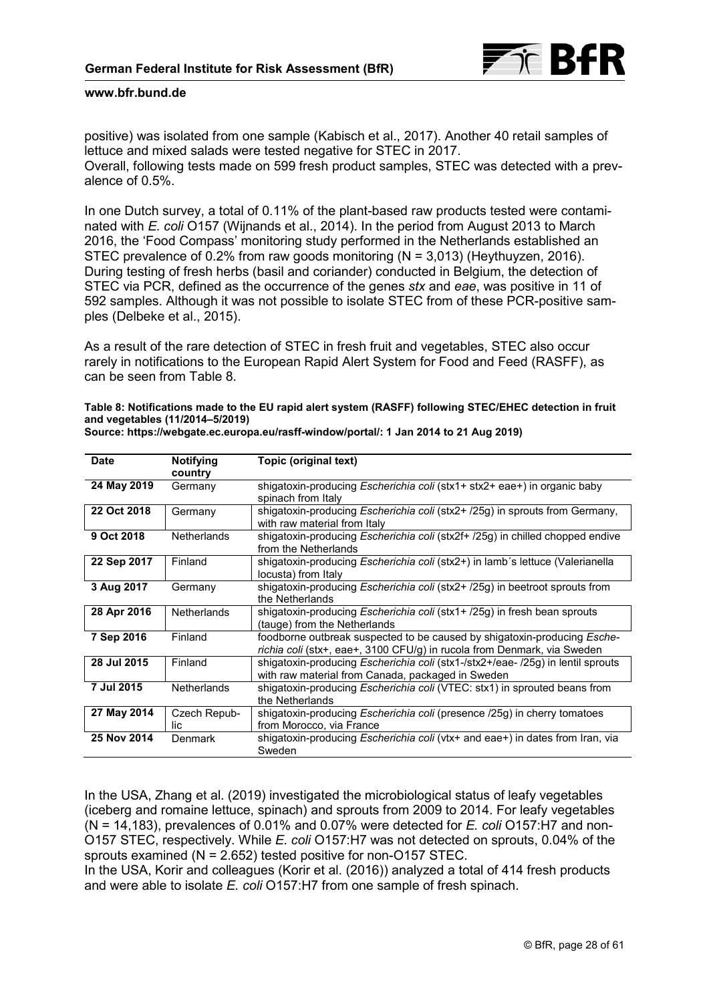

positive) was isolated from one sample (Kabisch et al., 2017). Another 40 retail samples of lettuce and mixed salads were tested negative for STEC in 2017. Overall, following tests made on 599 fresh product samples, STEC was detected with a prevalence of 0.5%.

In one Dutch survey, a total of 0.11% of the plant-based raw products tested were contaminated with *E. coli* O157 (Wijnands et al., 2014). In the period from August 2013 to March 2016, the 'Food Compass' monitoring study performed in the Netherlands established an STEC prevalence of 0.2% from raw goods monitoring (N = 3,013) (Heythuyzen, 2016). During testing of fresh herbs (basil and coriander) conducted in Belgium, the detection of STEC via PCR, defined as the occurrence of the genes *stx* and *eae*, was positive in 11 of 592 samples. Although it was not possible to isolate STEC from of these PCR-positive samples (Delbeke et al., 2015).

As a result of the rare detection of STEC in fresh fruit and vegetables, STEC also occur rarely in notifications to the European Rapid Alert System for Food and Feed (RASFF), as can be seen from Table 8.

**Table 8: Notifications made to the EU rapid alert system (RASFF) following STEC/EHEC detection in fruit and vegetables (11/2014–5/2019)** 

| Date        | <b>Notifying</b><br>country | Topic (original text)                                                                                                                                      |
|-------------|-----------------------------|------------------------------------------------------------------------------------------------------------------------------------------------------------|
| 24 May 2019 | Germany                     | shigatoxin-producing <i>Escherichia coli</i> (stx1+ stx2+ eae+) in organic baby<br>spinach from Italy                                                      |
| 22 Oct 2018 | Germany                     | shigatoxin-producing <i>Escherichia coli</i> (stx2+ /25q) in sprouts from Germany,<br>with raw material from Italy                                         |
| 9 Oct 2018  | <b>Netherlands</b>          | shigatoxin-producing <i>Escherichia coli</i> (stx2f+ /25g) in chilled chopped endive<br>from the Netherlands                                               |
| 22 Sep 2017 | Finland                     | shigatoxin-producing Escherichia coli (stx2+) in lamb's lettuce (Valerianella<br>locusta) from Italy                                                       |
| 3 Aug 2017  | Germany                     | shigatoxin-producing Escherichia coli (stx2+ /25g) in beetroot sprouts from<br>the Netherlands                                                             |
| 28 Apr 2016 | <b>Netherlands</b>          | shigatoxin-producing <i>Escherichia coli</i> (stx1+ /25g) in fresh bean sprouts<br>(tauge) from the Netherlands                                            |
| 7 Sep 2016  | Finland                     | foodborne outbreak suspected to be caused by shigatoxin-producing <i>Esche-</i><br>richia coli (stx+, eae+, 3100 CFU/g) in rucola from Denmark, via Sweden |
| 28 Jul 2015 | Finland                     | shigatoxin-producing <i>Escherichia coli</i> (stx1-/stx2+/eae- /25g) in lentil sprouts<br>with raw material from Canada, packaged in Sweden                |
| 7 Jul 2015  | <b>Netherlands</b>          | shigatoxin-producing Escherichia coli (VTEC: stx1) in sprouted beans from<br>the Netherlands                                                               |
| 27 May 2014 | Czech Repub-<br>lic         | shigatoxin-producing Escherichia coli (presence /25g) in cherry tomatoes<br>from Morocco, via France                                                       |
| 25 Nov 2014 | <b>Denmark</b>              | shigatoxin-producing Escherichia coli (vtx+ and eae+) in dates from Iran, via<br>Sweden                                                                    |

**Source: [https://webgate.ec.europa.eu/rasff-window/portal/:](https://webgate.ec.europa.eu/rasff-window/portal/) 1 Jan 2014 to 21 Aug 2019)**

In the USA, Zhang et al. (2019) investigated the microbiological status of leafy vegetables (iceberg and romaine lettuce, spinach) and sprouts from 2009 to 2014. For leafy vegetables (N = 14,183), prevalences of 0.01% and 0.07% were detected for *E. coli* O157:H7 and non-O157 STEC, respectively. While *E. coli* O157:H7 was not detected on sprouts, 0.04% of the sprouts examined (N = 2.652) tested positive for non-O157 STEC.

In the USA, Korir and colleagues (Korir et al. (2016)) analyzed a total of 414 fresh products and were able to isolate *E. coli* O157:H7 from one sample of fresh spinach.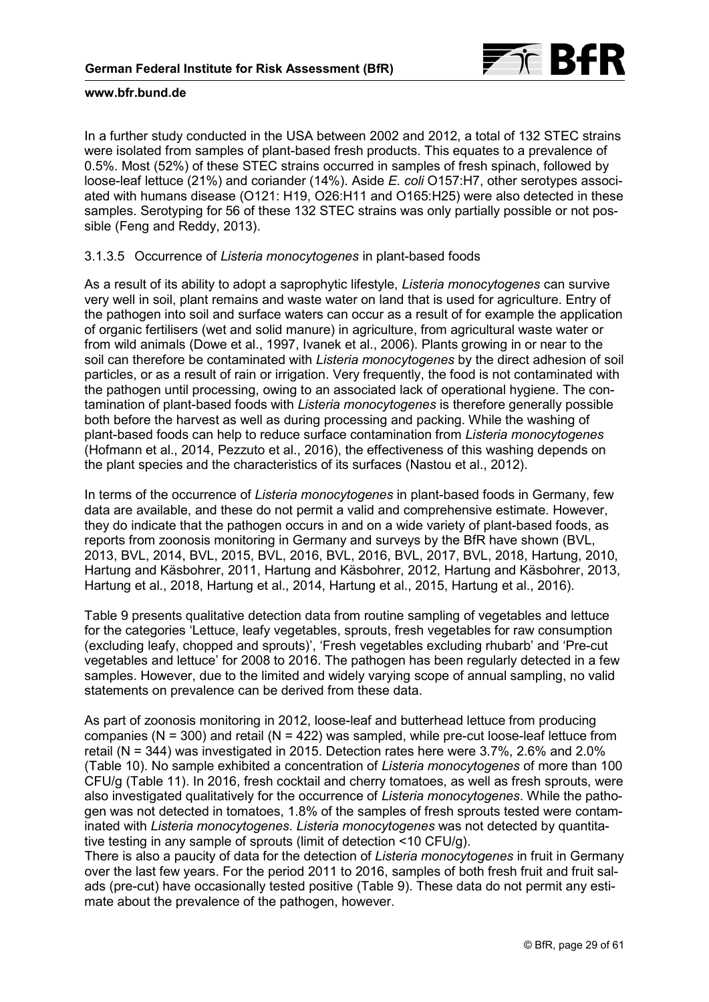

In a further study conducted in the USA between 2002 and 2012, a total of 132 STEC strains were isolated from samples of plant-based fresh products. This equates to a prevalence of 0.5%. Most (52%) of these STEC strains occurred in samples of fresh spinach, followed by loose-leaf lettuce (21%) and coriander (14%). Aside *E. coli* O157:H7, other serotypes associated with humans disease (O121: H19, O26:H11 and O165:H25) were also detected in these samples. Serotyping for 56 of these 132 STEC strains was only partially possible or not possible (Feng and Reddy, 2013).

## 3.1.3.5 Occurrence of *Listeria monocytogenes* in plant-based foods

As a result of its ability to adopt a saprophytic lifestyle, *Listeria monocytogenes* can survive very well in soil, plant remains and waste water on land that is used for agriculture. Entry of the pathogen into soil and surface waters can occur as a result of for example the application of organic fertilisers (wet and solid manure) in agriculture, from agricultural waste water or from wild animals (Dowe et al., 1997, Ivanek et al., 2006). Plants growing in or near to the soil can therefore be contaminated with *Listeria monocytogenes* by the direct adhesion of soil particles, or as a result of rain or irrigation. Very frequently, the food is not contaminated with the pathogen until processing, owing to an associated lack of operational hygiene. The contamination of plant-based foods with *Listeria monocytogenes* is therefore generally possible both before the harvest as well as during processing and packing. While the washing of plant-based foods can help to reduce surface contamination from *Listeria monocytogenes* (Hofmann et al., 2014, Pezzuto et al., 2016), the effectiveness of this washing depends on the plant species and the characteristics of its surfaces (Nastou et al., 2012).

In terms of the occurrence of *Listeria monocytogenes* in plant-based foods in Germany, few data are available, and these do not permit a valid and comprehensive estimate. However, they do indicate that the pathogen occurs in and on a wide variety of plant-based foods, as reports from zoonosis monitoring in Germany and surveys by the BfR have shown (BVL, 2013, BVL, 2014, BVL, 2015, BVL, 2016, BVL, 2016, BVL, 2017, BVL, 2018, Hartung, 2010, Hartung and Käsbohrer, 2011, Hartung and Käsbohrer, 2012, Hartung and Käsbohrer, 2013, Hartung et al., 2018, Hartung et al., 2014, Hartung et al., 2015, Hartung et al., 2016).

[Table 9](#page-30-0) presents qualitative detection data from routine sampling of vegetables and lettuce for the categories 'Lettuce, leafy vegetables, sprouts, fresh vegetables for raw consumption (excluding leafy, chopped and sprouts)', 'Fresh vegetables excluding rhubarb' and 'Pre-cut vegetables and lettuce' for 2008 to 2016. The pathogen has been regularly detected in a few samples. However, due to the limited and widely varying scope of annual sampling, no valid statements on prevalence can be derived from these data.

As part of zoonosis monitoring in 2012, loose-leaf and butterhead lettuce from producing companies ( $N = 300$ ) and retail ( $N = 422$ ) was sampled, while pre-cut loose-leaf lettuce from retail (N = 344) was investigated in 2015. Detection rates here were 3.7%, 2.6% and 2.0% [\(Table 10\)](#page-31-0). No sample exhibited a concentration of *Listeria monocytogenes* of more than 100 CFU/g [\(Table 11\)](#page-31-0). In 2016, fresh cocktail and cherry tomatoes, as well as fresh sprouts, were also investigated qualitatively for the occurrence of *Listeria monocytogenes*. While the pathogen was not detected in tomatoes, 1.8% of the samples of fresh sprouts tested were contaminated with *Listeria monocytogenes*. *Listeria monocytogenes* was not detected by quantitative testing in any sample of sprouts (limit of detection <10 CFU/g).

There is also a paucity of data for the detection of *Listeria monocytogenes* in fruit in Germany over the last few years. For the period 2011 to 2016, samples of both fresh fruit and fruit salads (pre-cut) have occasionally tested positive [\(Table 9\).](#page-30-0) These data do not permit any estimate about the prevalence of the pathogen, however.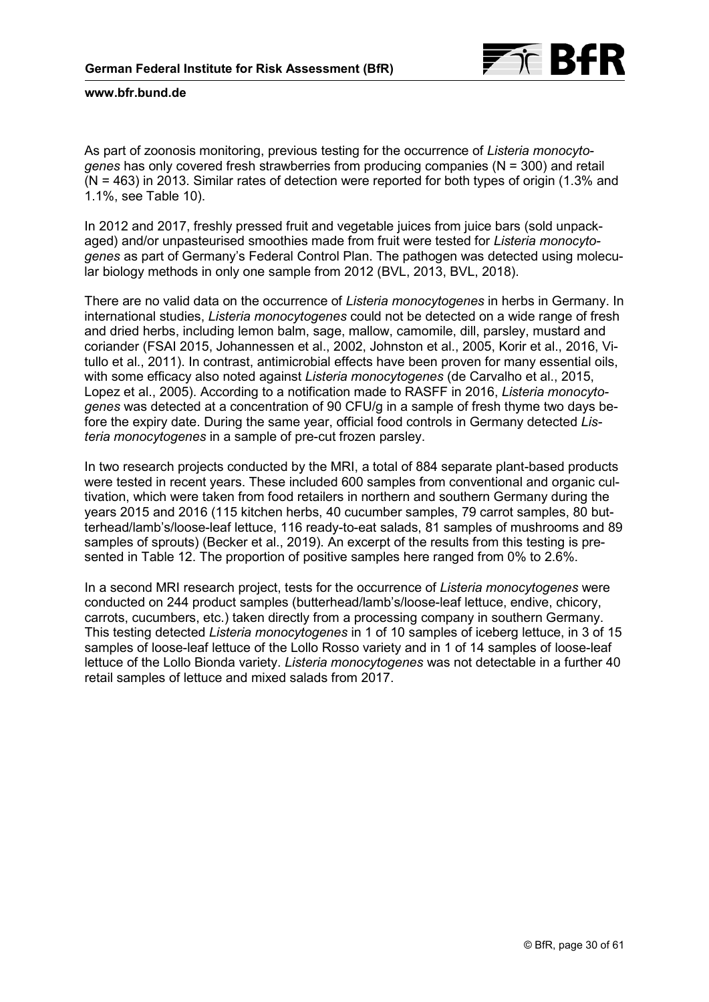

As part of zoonosis monitoring, previous testing for the occurrence of *Listeria monocytogenes* has only covered fresh strawberries from producing companies (N = 300) and retail (N = 463) in 2013. Similar rates of detection were reported for both types of origin (1.3% and 1.1%, [see Table 10\)](#page-31-0).

In 2012 and 2017, freshly pressed fruit and vegetable juices from juice bars (sold unpackaged) and/or unpasteurised smoothies made from fruit were tested for *Listeria monocytogenes* as part of Germany's Federal Control Plan. The pathogen was detected using molecular biology methods in only one sample from 2012 (BVL, 2013, BVL, 2018).

There are no valid data on the occurrence of *Listeria monocytogenes* in herbs in Germany. In international studies, *Listeria monocytogenes* could not be detected on a wide range of fresh and dried herbs, including lemon balm, sage, mallow, camomile, dill, parsley, mustard and coriander (FSAI 2015, Johannessen et al., 2002, Johnston et al., 2005, Korir et al., 2016, Vitullo et al., 2011). In contrast, antimicrobial effects have been proven for many essential oils, with some efficacy also noted against *Listeria monocytogenes* (de Carvalho et al., 2015, Lopez et al., 2005). According to a notification made to RASFF in 2016, *Listeria monocytogenes* was detected at a concentration of 90 CFU/g in a sample of fresh thyme two days before the expiry date. During the same year, official food controls in Germany detected *Listeria monocytogenes* in a sample of pre-cut frozen parsley.

In two research projects conducted by the MRI, a total of 884 separate plant-based products were tested in recent years. These included 600 samples from conventional and organic cultivation, which were taken from food retailers in northern and southern Germany during the years 2015 and 2016 (115 kitchen herbs, 40 cucumber samples, 79 carrot samples, 80 butterhead/lamb's/loose-leaf lettuce, 116 ready-to-eat salads, 81 samples of mushrooms and 89 samples of sprouts) (Becker et al., 2019). An excerpt of the results from this testing is presented in [Table 12.](#page-31-0) The proportion of positive samples here ranged from 0% to 2.6%.

In a second MRI research project, tests for the occurrence of *Listeria monocytogenes* were conducted on 244 product samples (butterhead/lamb's/loose-leaf lettuce, endive, chicory, carrots, cucumbers, etc.) taken directly from a processing company in southern Germany. This testing detected *Listeria monocytogenes* in 1 of 10 samples of iceberg lettuce, in 3 of 15 samples of loose-leaf lettuce of the Lollo Rosso variety and in 1 of 14 samples of loose-leaf lettuce of the Lollo Bionda variety. *Listeria monocytogenes* was not detectable in a further 40 retail samples of lettuce and mixed salads from 2017.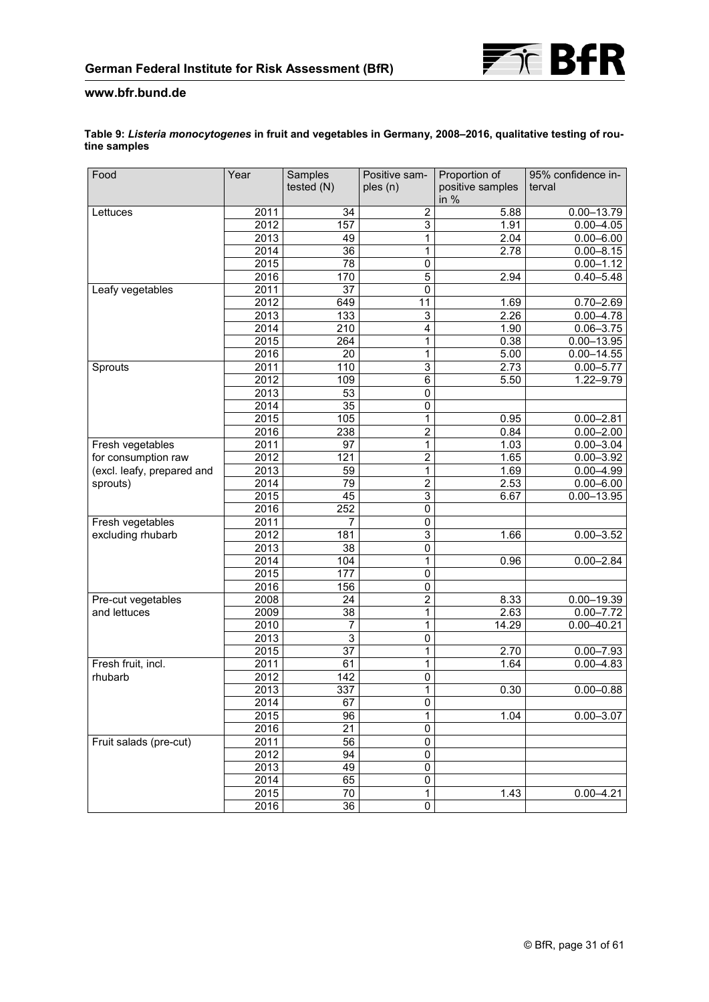

<span id="page-30-0"></span>

| Table 9: Listeria monocytogenes in fruit and vegetables in Germany, 2008-2016, qualitative testing of rou- |  |
|------------------------------------------------------------------------------------------------------------|--|
| tine samples                                                                                               |  |

| Food                       | Year             | Samples          | Positive sam-   | Proportion of              | 95% confidence in- |
|----------------------------|------------------|------------------|-----------------|----------------------------|--------------------|
|                            |                  | tested (N)       | ples (n)        | positive samples<br>in $%$ | terval             |
| Lettuces                   | 2011             | 34               | $\overline{2}$  | 5.88                       | $0.00 - 13.79$     |
|                            | 2012             | 157              | 3               | 1.91                       | $0.00 - 4.05$      |
|                            | 2013             | 49               | $\overline{1}$  | 2.04                       | $0.00 - 6.00$      |
|                            | 2014             | 36               | $\mathbf{1}$    | 2.78                       | $0.00 - 8.15$      |
|                            | 2015             | $\overline{78}$  | $\pmb{0}$       |                            | $0.00 - 1.12$      |
|                            | 2016             | 170              | 5               | 2.94                       | $0.40 - 5.48$      |
| Leafy vegetables           | 2011             | 37               | $\overline{0}$  |                            |                    |
|                            | 2012             | 649              | $\overline{11}$ | 1.69                       | $0.70 - 2.69$      |
|                            | 2013             | 133              | 3               | 2.26                       | $0.00 - 4.78$      |
|                            | 2014             | 210              | 4               | 1.90                       | $0.06 - 3.75$      |
|                            | 2015             | 264              | 1               | 0.38                       | $0.00 - 13.95$     |
|                            | 2016             | 20               | 1               | 5.00                       | $0.00 - 14.55$     |
| Sprouts                    | 2011             | 110              | $\overline{3}$  | 2.73                       | $0.00 - 5.77$      |
|                            | 2012             | 109              | $\overline{6}$  | 5.50                       | 1.22-9.79          |
|                            | 2013             | 53               | $\pmb{0}$       |                            |                    |
|                            | 2014             | 35               | 0               |                            |                    |
|                            | 2015             | 105              | 1               | 0.95                       | $0.00 - 2.81$      |
|                            | 2016             | 238              | $\overline{2}$  | 0.84                       | $0.00 - 2.00$      |
| Fresh vegetables           | 2011             | 97               | $\overline{1}$  | 1.03                       | $0.00 - 3.04$      |
| for consumption raw        | 2012             | 121              | $\overline{2}$  | 1.65                       | $0.00 - 3.92$      |
| (excl. leafy, prepared and | 2013             | 59               | $\mathbf{1}$    | 1.69                       | $0.00 - 4.99$      |
| sprouts)                   | 2014             | 79               | $\overline{2}$  | 2.53                       | $0.00 - 6.00$      |
|                            | 2015             | 45               | $\overline{3}$  | 6.67                       | $0.00 - 13.95$     |
|                            | $\frac{1}{2016}$ | $\overline{252}$ | $\overline{0}$  |                            |                    |
| Fresh vegetables           | 2011<br>2012     | 7<br>181         | 0<br>3          |                            |                    |
| excluding rhubarb          | 2013             | 38               | 0               | 1.66                       | $0.00 - 3.52$      |
|                            | 2014             | 104              | $\mathbf{1}$    | 0.96                       | $0.00 - 2.84$      |
|                            | 2015             | $\overline{177}$ | $\overline{0}$  |                            |                    |
|                            | 2016             | 156              | $\overline{0}$  |                            |                    |
| Pre-cut vegetables         | 2008             | 24               | $\overline{2}$  | 8.33                       | $0.00 - 19.39$     |
| and lettuces               | 2009             | 38               | 1               | 2.63                       | $0.00 - 7.72$      |
|                            | 2010             | 7                | $\overline{1}$  | 14.29                      | $0.00 - 40.21$     |
|                            | 2013             | 3                | $\overline{0}$  |                            |                    |
|                            | 2015             | $\overline{37}$  | 1               | 2.70                       | $0.00 - 7.93$      |
| Fresh fruit, incl.         | 2011             | 61               | $\mathbf{1}$    | 1.64                       | $0.00 - 4.83$      |
| rhubarb                    | 2012             | 142              | 0               |                            |                    |
|                            | 2013             | 337              | 1               | 0.30                       | $0.00 - 0.88$      |
|                            | 2014             | 67               | $\overline{0}$  |                            |                    |
|                            | 2015             | 96               | $\overline{1}$  | 1.04                       | $0.00 - 3.07$      |
|                            | 2016             | $\overline{21}$  | $\overline{0}$  |                            |                    |
| Fruit salads (pre-cut)     | 2011             | 56               | $\pmb{0}$       |                            |                    |
|                            | 2012             | 94               | $\pmb{0}$       |                            |                    |
|                            | 2013             | 49               | $\pmb{0}$       |                            |                    |
|                            | 2014             | 65               | $\overline{0}$  |                            |                    |
|                            | 2015             | 70               | 1               | 1.43                       | $0.00 - 4.21$      |
|                            | 2016             | $\overline{36}$  | $\overline{0}$  |                            |                    |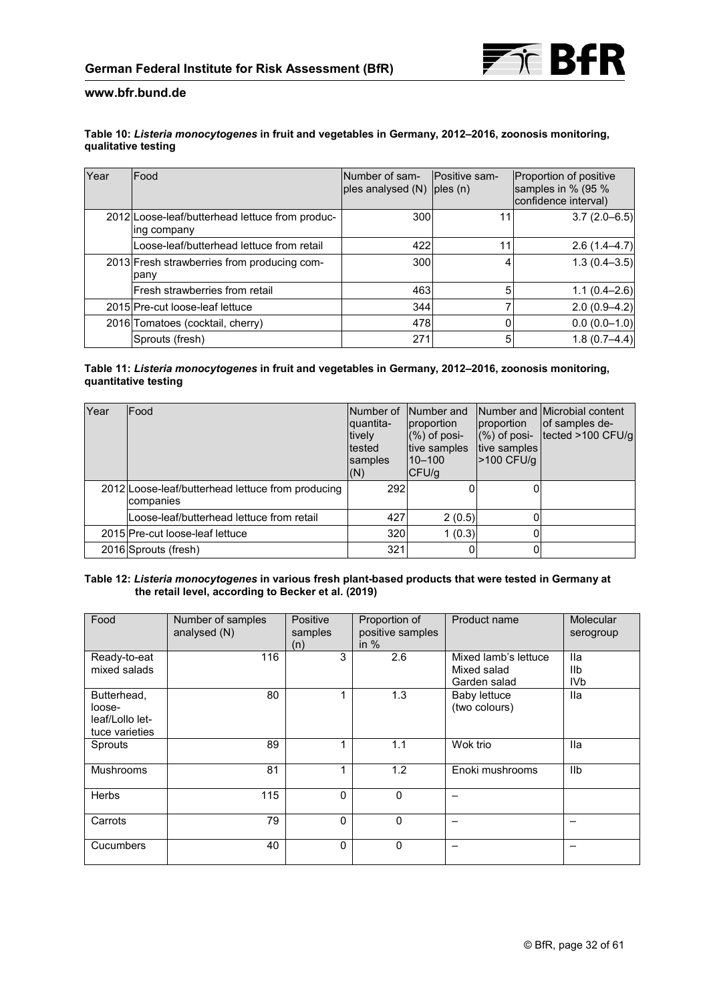

#### <span id="page-31-0"></span>**Table 10:** *Listeria monocytogenes* **in fruit and vegetables in Germany, 2012–2016, zoonosis monitoring, qualitative testing**

| Year | Food                                                           | Number of sam-<br>ples analysed $(N)$ ples $(n)$ | Positive sam- | Proportion of positive<br>samples in % (95 %<br>confidence interval) |
|------|----------------------------------------------------------------|--------------------------------------------------|---------------|----------------------------------------------------------------------|
|      | 2012 Loose-leaf/butterhead lettuce from produc-<br>ing company | 300                                              |               | $3.7(2.0-6.5)$                                                       |
|      | Loose-leaf/butterhead lettuce from retail                      | 422                                              |               | $2.6(1.4-4.7)$                                                       |
|      | 2013 Fresh strawberries from producing com-<br>pany            | 300                                              | 4             | $1.3(0.4 - 3.5)$                                                     |
|      | lFresh strawberries from retail                                | 463                                              | 5             | $1.1(0.4 - 2.6)$                                                     |
|      | 2015 Pre-cut loose-leaf lettuce                                | 344                                              |               | $2.0(0.9-4.2)$                                                       |
|      | 2016 Tomatoes (cocktail, cherry)                               | 478                                              |               | $0.0(0.0-1.0)$                                                       |
|      | Sprouts (fresh)                                                | 271                                              | 5             | $1.8(0.7 - 4.4)$                                                     |

#### **Table 11:** *Listeria monocytogenes* **in fruit and vegetables in Germany, 2012–2016, zoonosis monitoring, quantitative testing**

| Year | Food                                                           | Number of<br>quantita-<br>tively<br><b>Itested</b><br>samples<br>(N) | Number and<br>proportion<br>$(\%)$ of posi-<br>tive samples<br>$10 - 100$<br>CFU/q | proportion<br>$(%)$ of posi-<br>tive samples<br>>100 CFU/g | Number and Microbial content<br>of samples de-<br>tected >100 CFU/g |
|------|----------------------------------------------------------------|----------------------------------------------------------------------|------------------------------------------------------------------------------------|------------------------------------------------------------|---------------------------------------------------------------------|
|      | 2012 Loose-leaf/butterhead lettuce from producing<br>companies | 292                                                                  |                                                                                    |                                                            |                                                                     |
|      | Loose-leaf/butterhead lettuce from retail                      | 427                                                                  | 2(0.5)                                                                             |                                                            |                                                                     |
|      | 2015 Pre-cut loose-leaf lettuce                                | 320                                                                  | 1(0.3)                                                                             |                                                            |                                                                     |
|      | 2016 Sprouts (fresh)                                           | 321                                                                  |                                                                                    |                                                            |                                                                     |

#### **Table 12:** *Listeria monocytogenes* **in various fresh plant-based products that were tested in Germany at the retail level, according to Becker et al. (2019)**

| Food                                                       | Number of samples<br>analysed (N) | Positive<br>samples<br>(n) | Proportion of<br>positive samples<br>in $%$ | Product name                                        | Molecular<br>serogroup               |
|------------------------------------------------------------|-----------------------------------|----------------------------|---------------------------------------------|-----------------------------------------------------|--------------------------------------|
| Ready-to-eat<br>mixed salads                               | 116                               | 3                          | 2.6                                         | Mixed lamb's lettuce<br>Mixed salad<br>Garden salad | <b>Ila</b><br>IIb<br>IV <sub>b</sub> |
| Butterhead,<br>loose-<br>leaf/Lollo let-<br>tuce varieties | 80                                |                            | 1.3                                         | <b>Baby lettuce</b><br>(two colours)                | lla                                  |
| Sprouts                                                    | 89                                |                            | 1.1                                         | Wok trio                                            | lla                                  |
| <b>Mushrooms</b>                                           | 81                                |                            | 1.2                                         | Enoki mushrooms                                     | <b>IIb</b>                           |
| <b>Herbs</b>                                               | 115                               | $\mathbf{0}$               | $\mathbf 0$                                 |                                                     |                                      |
| Carrots                                                    | 79                                | $\mathbf{0}$               | 0                                           |                                                     |                                      |
| <b>Cucumbers</b>                                           | 40                                | $\Omega$                   | $\mathbf 0$                                 |                                                     |                                      |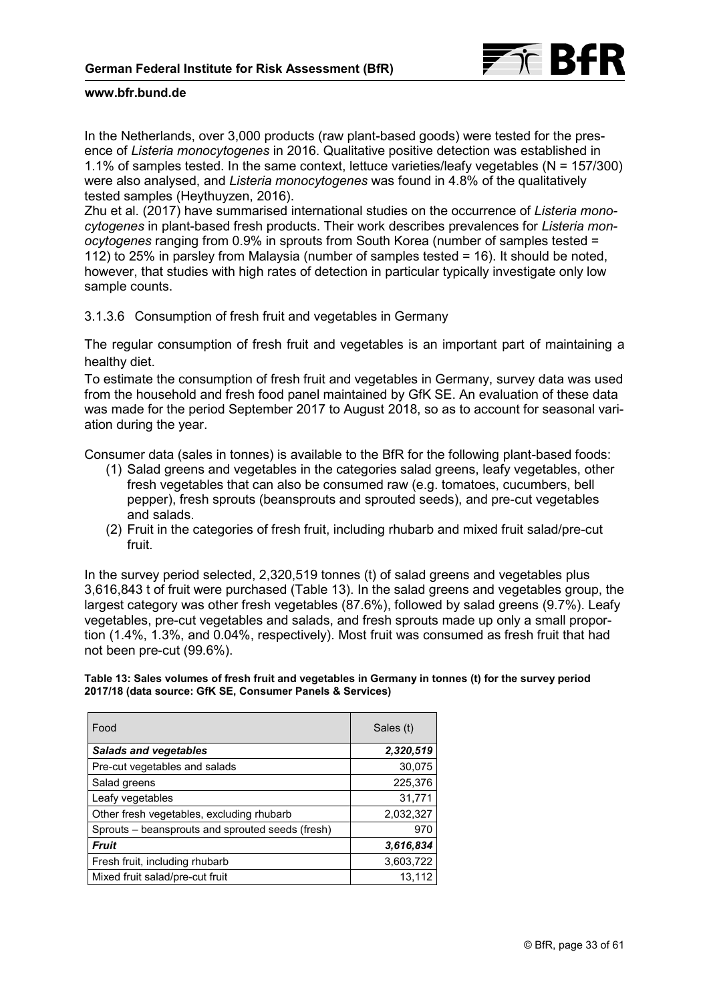

In the Netherlands, over 3,000 products (raw plant-based goods) were tested for the presence of *Listeria monocytogenes* in 2016. Qualitative positive detection was established in 1.1% of samples tested. In the same context, lettuce varieties/leafy vegetables (N = 157/300) were also analysed, and *Listeria monocytogenes* was found in 4.8% of the qualitatively tested samples (Heythuyzen, 2016).

Zhu et al. (2017) have summarised international studies on the occurrence of *Listeria monocytogenes* in plant-based fresh products. Their work describes prevalences for *Listeria monocytogenes* ranging from 0.9% in sprouts from South Korea (number of samples tested = 112) to 25% in parsley from Malaysia (number of samples tested = 16). It should be noted, however, that studies with high rates of detection in particular typically investigate only low sample counts.

3.1.3.6 Consumption of fresh fruit and vegetables in Germany

The regular consumption of fresh fruit and vegetables is an important part of maintaining a healthy diet.

To estimate the consumption of fresh fruit and vegetables in Germany, survey data was used from the household and fresh food panel maintained by GfK SE. An evaluation of these data was made for the period September 2017 to August 2018, so as to account for seasonal variation during the year.

Consumer data (sales in tonnes) is available to the BfR for the following plant-based foods:

- (1) Salad greens and vegetables in the categories salad greens, leafy vegetables, other fresh vegetables that can also be consumed raw (e.g. tomatoes, cucumbers, bell pepper), fresh sprouts (beansprouts and sprouted seeds), and pre-cut vegetables and salads.
- (2) Fruit in the categories of fresh fruit, including rhubarb and mixed fruit salad/pre-cut fruit.

In the survey period selected, 2,320,519 tonnes (t) of salad greens and vegetables plus 3,616,843 t of fruit were purchased (Table 13). In the salad greens and vegetables group, the largest category was other fresh vegetables (87.6%), followed by salad greens (9.7%). Leafy vegetables, pre-cut vegetables and salads, and fresh sprouts made up only a small proportion (1.4%, 1.3%, and 0.04%, respectively). Most fruit was consumed as fresh fruit that had not been pre-cut (99.6%).

**Table 13: Sales volumes of fresh fruit and vegetables in Germany in tonnes (t) for the survey period 2017/18 (data source: GfK SE, Consumer Panels & Services)**

| Food                                             | Sales (t) |
|--------------------------------------------------|-----------|
| <b>Salads and vegetables</b>                     | 2,320,519 |
| Pre-cut vegetables and salads                    | 30,075    |
| Salad greens                                     | 225,376   |
| Leafy vegetables                                 | 31,771    |
| Other fresh vegetables, excluding rhubarb        | 2,032,327 |
| Sprouts - beansprouts and sprouted seeds (fresh) | 970       |
| <b>Fruit</b>                                     | 3,616,834 |
| Fresh fruit, including rhubarb                   | 3,603,722 |
| Mixed fruit salad/pre-cut fruit                  | 13.112    |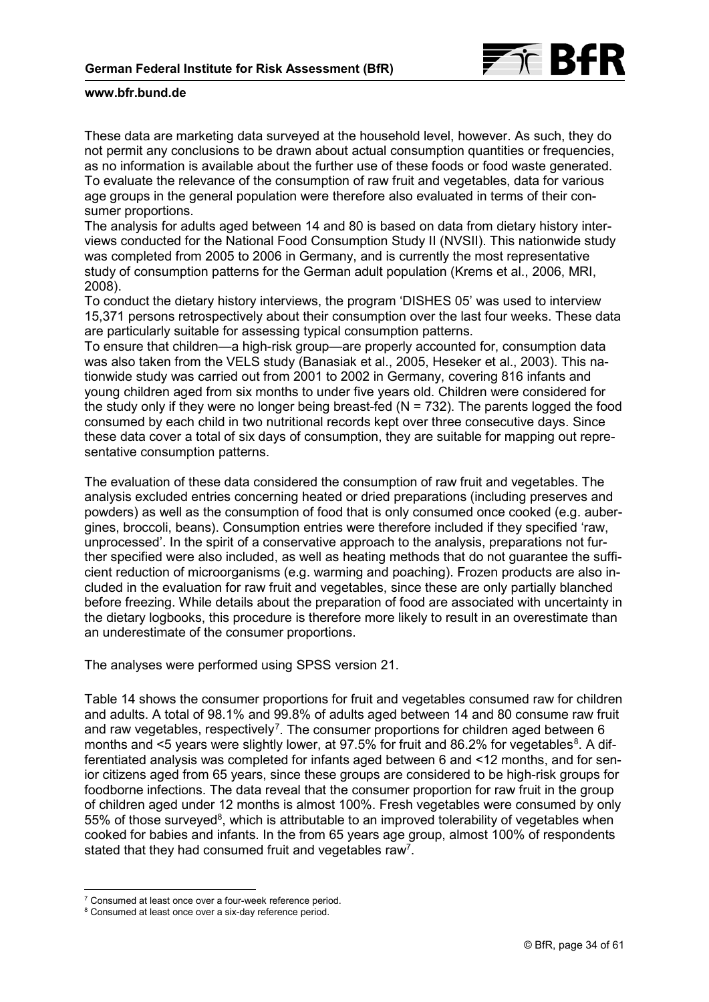

These data are marketing data surveyed at the household level, however. As such, they do not permit any conclusions to be drawn about actual consumption quantities or frequencies, as no information is available about the further use of these foods or food waste generated. To evaluate the relevance of the consumption of raw fruit and vegetables, data for various age groups in the general population were therefore also evaluated in terms of their consumer proportions.

The analysis for adults aged between 14 and 80 is based on data from dietary history interviews conducted for the National Food Consumption Study II (NVSII). This nationwide study was completed from 2005 to 2006 in Germany, and is currently the most representative study of consumption patterns for the German adult population (Krems et al., 2006, MRI, 2008).

To conduct the dietary history interviews, the program 'DISHES 05' was used to interview 15,371 persons retrospectively about their consumption over the last four weeks. These data are particularly suitable for assessing typical consumption patterns.

To ensure that children—a high-risk group—are properly accounted for, consumption data was also taken from the VELS study (Banasiak et al., 2005, Heseker et al., 2003). This nationwide study was carried out from 2001 to 2002 in Germany, covering 816 infants and young children aged from six months to under five years old. Children were considered for the study only if they were no longer being breast-fed ( $N = 732$ ). The parents logged the food consumed by each child in two nutritional records kept over three consecutive days. Since these data cover a total of six days of consumption, they are suitable for mapping out representative consumption patterns.

The evaluation of these data considered the consumption of raw fruit and vegetables. The analysis excluded entries concerning heated or dried preparations (including preserves and powders) as well as the consumption of food that is only consumed once cooked (e.g. aubergines, broccoli, beans). Consumption entries were therefore included if they specified 'raw, unprocessed'. In the spirit of a conservative approach to the analysis, preparations not further specified were also included, as well as heating methods that do not guarantee the sufficient reduction of microorganisms (e.g. warming and poaching). Frozen products are also included in the evaluation for raw fruit and vegetables, since these are only partially blanched before freezing. While details about the preparation of food are associated with uncertainty in the dietary logbooks, this procedure is therefore more likely to result in an overestimate than an underestimate of the consumer proportions.

The analyses were performed using SPSS version 21.

Table 14 shows the consumer proportions for fruit and vegetables consumed raw for children and adults. A total of 98.1% and 99.8% of adults aged between 14 and 80 consume raw fruit and raw vegetables, respectively<sup>[7](#page-33-0)</sup>. The consumer proportions for children aged between 6 months and <5 years were slightly lower, at 97.5% for fruit and [8](#page-33-1)6.2% for vegetables<sup>8</sup>. A differentiated analysis was completed for infants aged between 6 and <12 months, and for senior citizens aged from 65 years, since these groups are considered to be high-risk groups for foodborne infections. The data reveal that the consumer proportion for raw fruit in the group of children aged under 12 months is almost 100%. Fresh vegetables were consumed by only 55% of those surveyed<sup>[8](#page-34-0)</sup>, which is attributable to an improved tolerability of vegetables when cooked for babies and infants. In the from 65 years age group, almost 100% of respondents stated that they had consumed fruit and vegetables raw<sup>7</sup>.

<sup>-</sup><sup>7</sup> Consumed at least once over a four-week reference period.

<span id="page-33-1"></span><span id="page-33-0"></span><sup>&</sup>lt;sup>8</sup> Consumed at least once over a six-day reference period.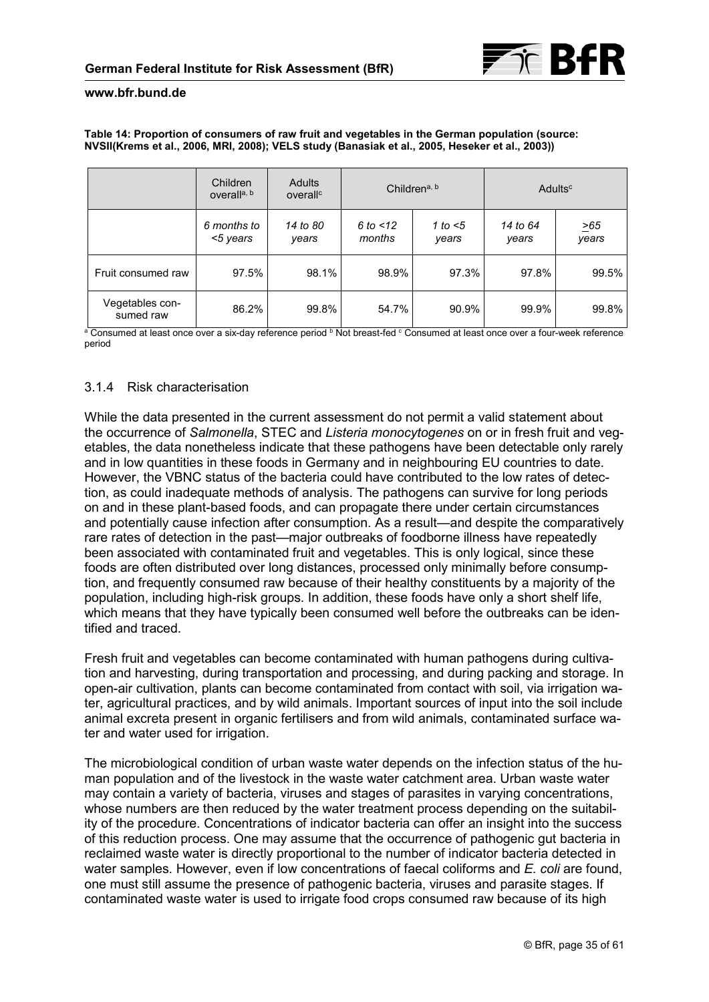#### <span id="page-34-0"></span>**Table 14: Proportion of consumers of raw fruit and vegetables in the German population (source: NVSII(Krems et al., 2006, MRI, 2008); VELS study (Banasiak et al., 2005, Heseker et al., 2003))**

|                              | Children<br>overall <sup>a, b</sup> | <b>Adults</b><br>overall <sup>c</sup> | Children <sup>a, b</sup> |                     | Adults <sup>c</sup> |                    |
|------------------------------|-------------------------------------|---------------------------------------|--------------------------|---------------------|---------------------|--------------------|
|                              | 6 months to<br><5 years             | 14 to 80<br>years                     | 6 to $<$ 12<br>months    | 1 to $<$ 5<br>years | 14 to 64<br>years   | $\geq 65$<br>years |
| Fruit consumed raw           | 97.5%                               | 98.1%                                 | 98.9%                    | 97.3%               | 97.8%               | 99.5%              |
| Vegetables con-<br>sumed raw | 86.2%                               | 99.8%                                 | 54.7%                    | 90.9%               | 99.9%               | 99.8%              |

a Consumed at least once over a six-day reference period b Not breast-fed c Consumed at least once over a four-week reference period

## 3.1.4 Risk characterisation

While the data presented in the current assessment do not permit a valid statement about the occurrence of *Salmonella*, STEC and *Listeria monocytogenes* on or in fresh fruit and vegetables, the data nonetheless indicate that these pathogens have been detectable only rarely and in low quantities in these foods in Germany and in neighbouring EU countries to date. However, the VBNC status of the bacteria could have contributed to the low rates of detection, as could inadequate methods of analysis. The pathogens can survive for long periods on and in these plant-based foods, and can propagate there under certain circumstances and potentially cause infection after consumption. As a result—and despite the comparatively rare rates of detection in the past—major outbreaks of foodborne illness have repeatedly been associated with contaminated fruit and vegetables. This is only logical, since these foods are often distributed over long distances, processed only minimally before consumption, and frequently consumed raw because of their healthy constituents by a majority of the population, including high-risk groups. In addition, these foods have only a short shelf life, which means that they have typically been consumed well before the outbreaks can be identified and traced.

Fresh fruit and vegetables can become contaminated with human pathogens during cultivation and harvesting, during transportation and processing, and during packing and storage. In open-air cultivation, plants can become contaminated from contact with soil, via irrigation water, agricultural practices, and by wild animals. Important sources of input into the soil include animal excreta present in organic fertilisers and from wild animals, contaminated surface water and water used for irrigation.

The microbiological condition of urban waste water depends on the infection status of the human population and of the livestock in the waste water catchment area. Urban waste water may contain a variety of bacteria, viruses and stages of parasites in varying concentrations, whose numbers are then reduced by the water treatment process depending on the suitability of the procedure. Concentrations of indicator bacteria can offer an insight into the success of this reduction process. One may assume that the occurrence of pathogenic gut bacteria in reclaimed waste water is directly proportional to the number of indicator bacteria detected in water samples. However, even if low concentrations of faecal coliforms and *E. coli* are found, one must still assume the presence of pathogenic bacteria, viruses and parasite stages. If contaminated waste water is used to irrigate food crops consumed raw because of its high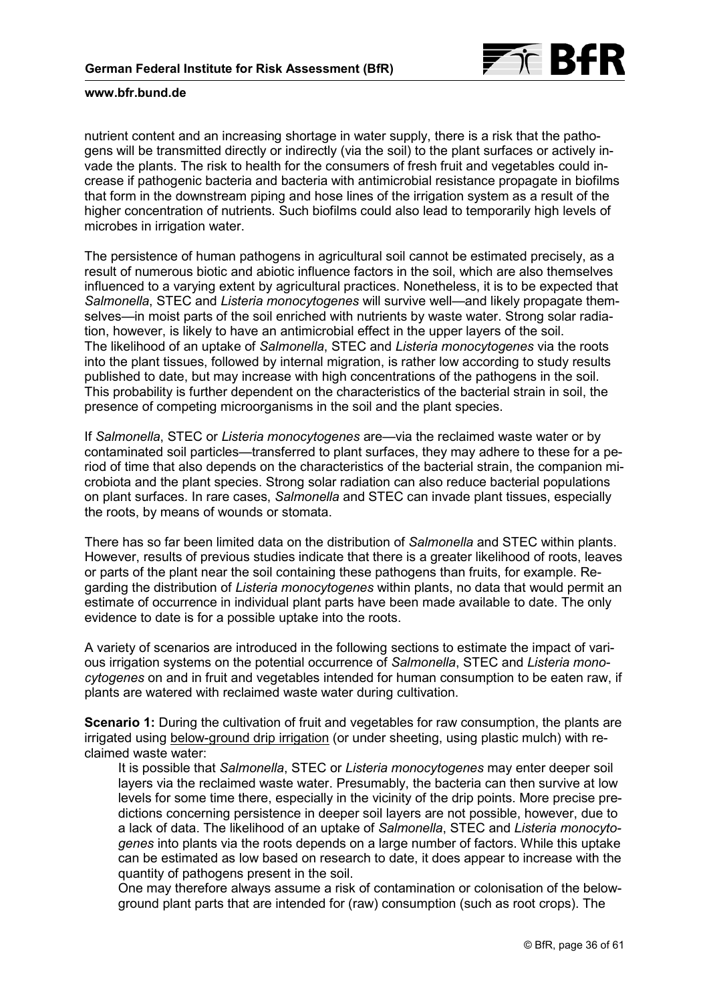

nutrient content and an increasing shortage in water supply, there is a risk that the pathogens will be transmitted directly or indirectly (via the soil) to the plant surfaces or actively invade the plants. The risk to health for the consumers of fresh fruit and vegetables could increase if pathogenic bacteria and bacteria with antimicrobial resistance propagate in biofilms that form in the downstream piping and hose lines of the irrigation system as a result of the higher concentration of nutrients. Such biofilms could also lead to temporarily high levels of microbes in irrigation water.

The persistence of human pathogens in agricultural soil cannot be estimated precisely, as a result of numerous biotic and abiotic influence factors in the soil, which are also themselves influenced to a varying extent by agricultural practices. Nonetheless, it is to be expected that *Salmonella*, STEC and *Listeria monocytogenes* will survive well—and likely propagate themselves—in moist parts of the soil enriched with nutrients by waste water. Strong solar radiation, however, is likely to have an antimicrobial effect in the upper layers of the soil. The likelihood of an uptake of *Salmonella*, STEC and *Listeria monocytogenes* via the roots into the plant tissues, followed by internal migration, is rather low according to study results published to date, but may increase with high concentrations of the pathogens in the soil. This probability is further dependent on the characteristics of the bacterial strain in soil, the presence of competing microorganisms in the soil and the plant species.

If *Salmonella*, STEC or *Listeria monocytogenes* are—via the reclaimed waste water or by contaminated soil particles—transferred to plant surfaces, they may adhere to these for a period of time that also depends on the characteristics of the bacterial strain, the companion microbiota and the plant species. Strong solar radiation can also reduce bacterial populations on plant surfaces. In rare cases, *Salmonella* and STEC can invade plant tissues, especially the roots, by means of wounds or stomata.

There has so far been limited data on the distribution of *Salmonella* and STEC within plants. However, results of previous studies indicate that there is a greater likelihood of roots, leaves or parts of the plant near the soil containing these pathogens than fruits, for example. Regarding the distribution of *Listeria monocytogenes* within plants, no data that would permit an estimate of occurrence in individual plant parts have been made available to date. The only evidence to date is for a possible uptake into the roots.

A variety of scenarios are introduced in the following sections to estimate the impact of various irrigation systems on the potential occurrence of *Salmonella*, STEC and *Listeria monocytogenes* on and in fruit and vegetables intended for human consumption to be eaten raw, if plants are watered with reclaimed waste water during cultivation.

**Scenario 1:** During the cultivation of fruit and vegetables for raw consumption, the plants are irrigated using below-ground drip irrigation (or under sheeting, using plastic mulch) with reclaimed waste water:

It is possible that *Salmonella*, STEC or *Listeria monocytogenes* may enter deeper soil layers via the reclaimed waste water. Presumably, the bacteria can then survive at low levels for some time there, especially in the vicinity of the drip points. More precise predictions concerning persistence in deeper soil layers are not possible, however, due to a lack of data. The likelihood of an uptake of *Salmonella*, STEC and *Listeria monocytogenes* into plants via the roots depends on a large number of factors. While this uptake can be estimated as low based on research to date, it does appear to increase with the quantity of pathogens present in the soil.

One may therefore always assume a risk of contamination or colonisation of the belowground plant parts that are intended for (raw) consumption (such as root crops). The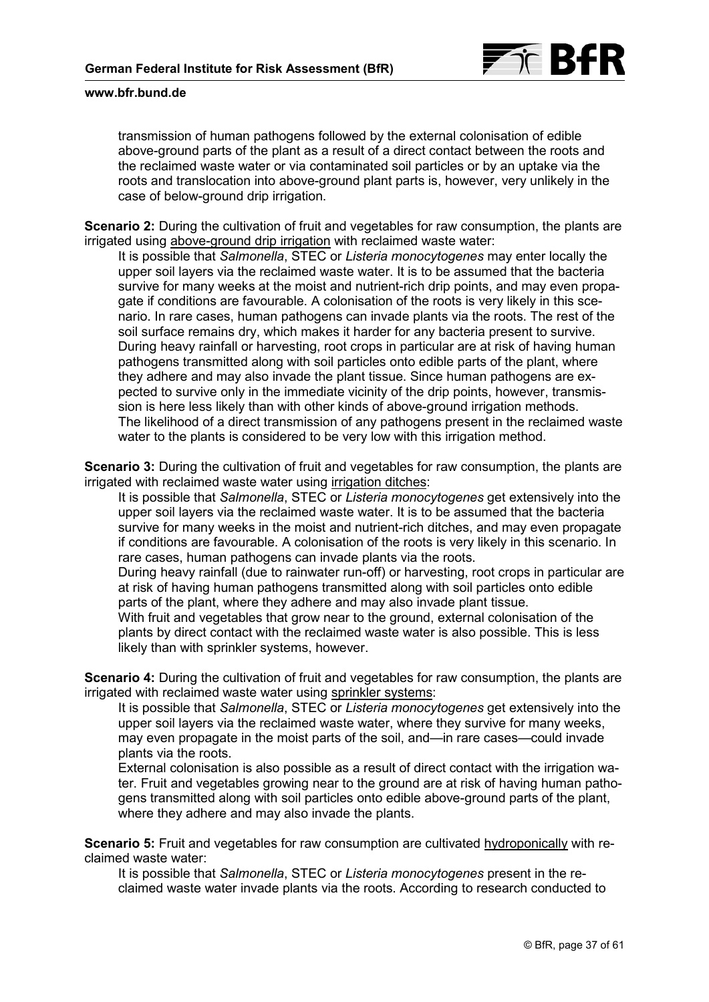

transmission of human pathogens followed by the external colonisation of edible above-ground parts of the plant as a result of a direct contact between the roots and the reclaimed waste water or via contaminated soil particles or by an uptake via the roots and translocation into above-ground plant parts is, however, very unlikely in the case of below-ground drip irrigation.

**Scenario 2:** During the cultivation of fruit and vegetables for raw consumption, the plants are irrigated using above-ground drip irrigation with reclaimed waste water:

It is possible that *Salmonella*, STEC or *Listeria monocytogenes* may enter locally the upper soil layers via the reclaimed waste water. It is to be assumed that the bacteria survive for many weeks at the moist and nutrient-rich drip points, and may even propagate if conditions are favourable. A colonisation of the roots is very likely in this scenario. In rare cases, human pathogens can invade plants via the roots. The rest of the soil surface remains dry, which makes it harder for any bacteria present to survive. During heavy rainfall or harvesting, root crops in particular are at risk of having human pathogens transmitted along with soil particles onto edible parts of the plant, where they adhere and may also invade the plant tissue. Since human pathogens are expected to survive only in the immediate vicinity of the drip points, however, transmission is here less likely than with other kinds of above-ground irrigation methods. The likelihood of a direct transmission of any pathogens present in the reclaimed waste water to the plants is considered to be very low with this irrigation method.

**Scenario 3:** During the cultivation of fruit and vegetables for raw consumption, the plants are irrigated with reclaimed waste water using irrigation ditches:

It is possible that *Salmonella*, STEC or *Listeria monocytogenes* get extensively into the upper soil layers via the reclaimed waste water. It is to be assumed that the bacteria survive for many weeks in the moist and nutrient-rich ditches, and may even propagate if conditions are favourable. A colonisation of the roots is very likely in this scenario. In rare cases, human pathogens can invade plants via the roots.

During heavy rainfall (due to rainwater run-off) or harvesting, root crops in particular are at risk of having human pathogens transmitted along with soil particles onto edible parts of the plant, where they adhere and may also invade plant tissue.

With fruit and vegetables that grow near to the ground, external colonisation of the plants by direct contact with the reclaimed waste water is also possible. This is less likely than with sprinkler systems, however.

**Scenario 4:** During the cultivation of fruit and vegetables for raw consumption, the plants are irrigated with reclaimed waste water using sprinkler systems:

It is possible that *Salmonella*, STEC or *Listeria monocytogenes* get extensively into the upper soil layers via the reclaimed waste water, where they survive for many weeks, may even propagate in the moist parts of the soil, and—in rare cases—could invade plants via the roots.

External colonisation is also possible as a result of direct contact with the irrigation water. Fruit and vegetables growing near to the ground are at risk of having human pathogens transmitted along with soil particles onto edible above-ground parts of the plant, where they adhere and may also invade the plants.

**Scenario 5:** Fruit and vegetables for raw consumption are cultivated hydroponically with reclaimed waste water:

It is possible that *Salmonella*, STEC or *Listeria monocytogenes* present in the reclaimed waste water invade plants via the roots. According to research conducted to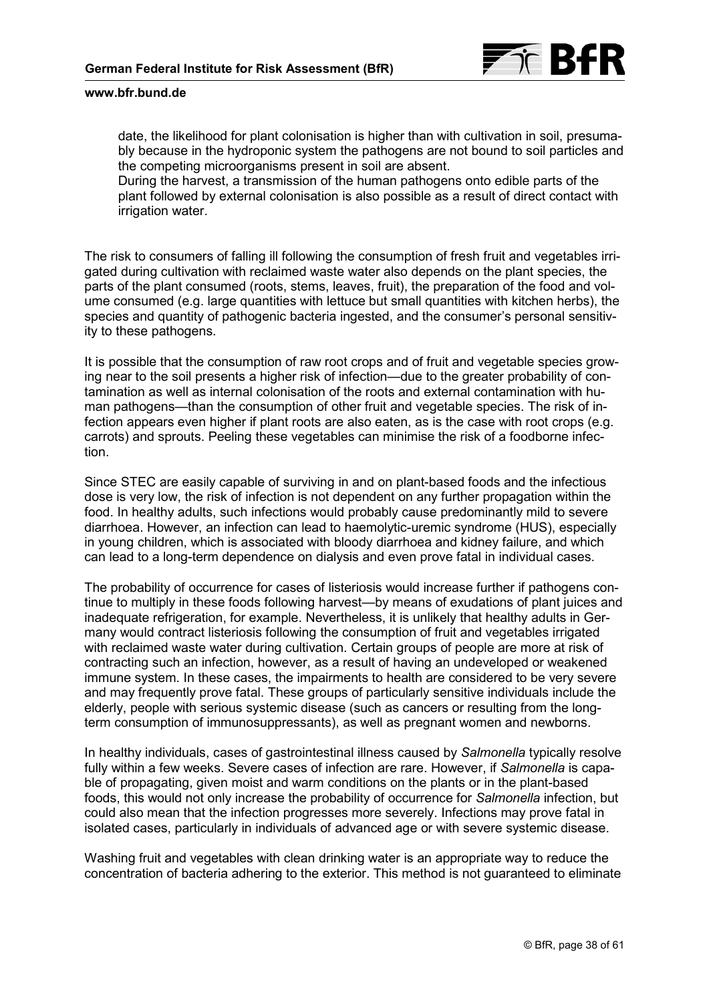

date, the likelihood for plant colonisation is higher than with cultivation in soil, presumably because in the hydroponic system the pathogens are not bound to soil particles and the competing microorganisms present in soil are absent.

During the harvest, a transmission of the human pathogens onto edible parts of the plant followed by external colonisation is also possible as a result of direct contact with irrigation water.

The risk to consumers of falling ill following the consumption of fresh fruit and vegetables irrigated during cultivation with reclaimed waste water also depends on the plant species, the parts of the plant consumed (roots, stems, leaves, fruit), the preparation of the food and volume consumed (e.g. large quantities with lettuce but small quantities with kitchen herbs), the species and quantity of pathogenic bacteria ingested, and the consumer's personal sensitivity to these pathogens.

It is possible that the consumption of raw root crops and of fruit and vegetable species growing near to the soil presents a higher risk of infection—due to the greater probability of contamination as well as internal colonisation of the roots and external contamination with human pathogens—than the consumption of other fruit and vegetable species. The risk of infection appears even higher if plant roots are also eaten, as is the case with root crops (e.g. carrots) and sprouts. Peeling these vegetables can minimise the risk of a foodborne infection.

Since STEC are easily capable of surviving in and on plant-based foods and the infectious dose is very low, the risk of infection is not dependent on any further propagation within the food. In healthy adults, such infections would probably cause predominantly mild to severe diarrhoea. However, an infection can lead to haemolytic-uremic syndrome (HUS), especially in young children, which is associated with bloody diarrhoea and kidney failure, and which can lead to a long-term dependence on dialysis and even prove fatal in individual cases.

The probability of occurrence for cases of listeriosis would increase further if pathogens continue to multiply in these foods following harvest—by means of exudations of plant juices and inadequate refrigeration, for example. Nevertheless, it is unlikely that healthy adults in Germany would contract listeriosis following the consumption of fruit and vegetables irrigated with reclaimed waste water during cultivation. Certain groups of people are more at risk of contracting such an infection, however, as a result of having an undeveloped or weakened immune system. In these cases, the impairments to health are considered to be very severe and may frequently prove fatal. These groups of particularly sensitive individuals include the elderly, people with serious systemic disease (such as cancers or resulting from the longterm consumption of immunosuppressants), as well as pregnant women and newborns.

In healthy individuals, cases of gastrointestinal illness caused by *Salmonella* typically resolve fully within a few weeks. Severe cases of infection are rare. However, if *Salmonella* is capable of propagating, given moist and warm conditions on the plants or in the plant-based foods, this would not only increase the probability of occurrence for *Salmonella* infection, but could also mean that the infection progresses more severely. Infections may prove fatal in isolated cases, particularly in individuals of advanced age or with severe systemic disease.

Washing fruit and vegetables with clean drinking water is an appropriate way to reduce the concentration of bacteria adhering to the exterior. This method is not guaranteed to eliminate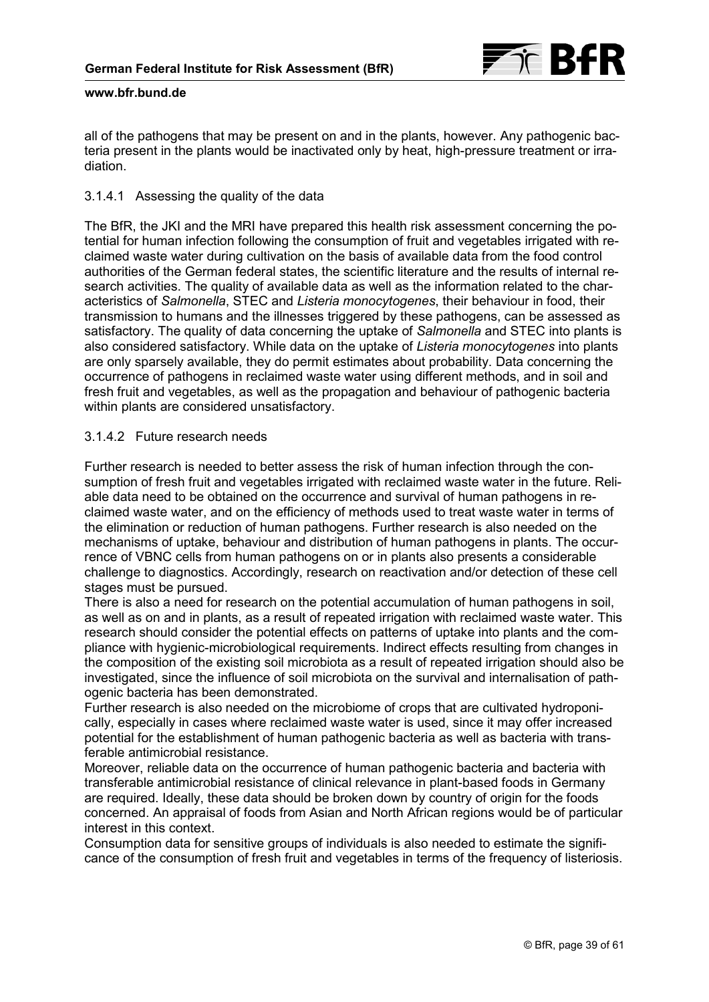

all of the pathogens that may be present on and in the plants, however. Any pathogenic bacteria present in the plants would be inactivated only by heat, high-pressure treatment or irradiation.

## 3.1.4.1 Assessing the quality of the data

The BfR, the JKI and the MRI have prepared this health risk assessment concerning the potential for human infection following the consumption of fruit and vegetables irrigated with reclaimed waste water during cultivation on the basis of available data from the food control authorities of the German federal states, the scientific literature and the results of internal research activities. The quality of available data as well as the information related to the characteristics of *Salmonella*, STEC and *Listeria monocytogenes*, their behaviour in food, their transmission to humans and the illnesses triggered by these pathogens, can be assessed as satisfactory. The quality of data concerning the uptake of *Salmonella* and STEC into plants is also considered satisfactory. While data on the uptake of *Listeria monocytogenes* into plants are only sparsely available, they do permit estimates about probability. Data concerning the occurrence of pathogens in reclaimed waste water using different methods, and in soil and fresh fruit and vegetables, as well as the propagation and behaviour of pathogenic bacteria within plants are considered unsatisfactory.

## 3.1.4.2 Future research needs

Further research is needed to better assess the risk of human infection through the consumption of fresh fruit and vegetables irrigated with reclaimed waste water in the future. Reliable data need to be obtained on the occurrence and survival of human pathogens in reclaimed waste water, and on the efficiency of methods used to treat waste water in terms of the elimination or reduction of human pathogens. Further research is also needed on the mechanisms of uptake, behaviour and distribution of human pathogens in plants. The occurrence of VBNC cells from human pathogens on or in plants also presents a considerable challenge to diagnostics. Accordingly, research on reactivation and/or detection of these cell stages must be pursued.

There is also a need for research on the potential accumulation of human pathogens in soil, as well as on and in plants, as a result of repeated irrigation with reclaimed waste water. This research should consider the potential effects on patterns of uptake into plants and the compliance with hygienic-microbiological requirements. Indirect effects resulting from changes in the composition of the existing soil microbiota as a result of repeated irrigation should also be investigated, since the influence of soil microbiota on the survival and internalisation of pathogenic bacteria has been demonstrated.

Further research is also needed on the microbiome of crops that are cultivated hydroponically, especially in cases where reclaimed waste water is used, since it may offer increased potential for the establishment of human pathogenic bacteria as well as bacteria with transferable antimicrobial resistance.

Moreover, reliable data on the occurrence of human pathogenic bacteria and bacteria with transferable antimicrobial resistance of clinical relevance in plant-based foods in Germany are required. Ideally, these data should be broken down by country of origin for the foods concerned. An appraisal of foods from Asian and North African regions would be of particular interest in this context.

Consumption data for sensitive groups of individuals is also needed to estimate the significance of the consumption of fresh fruit and vegetables in terms of the frequency of listeriosis.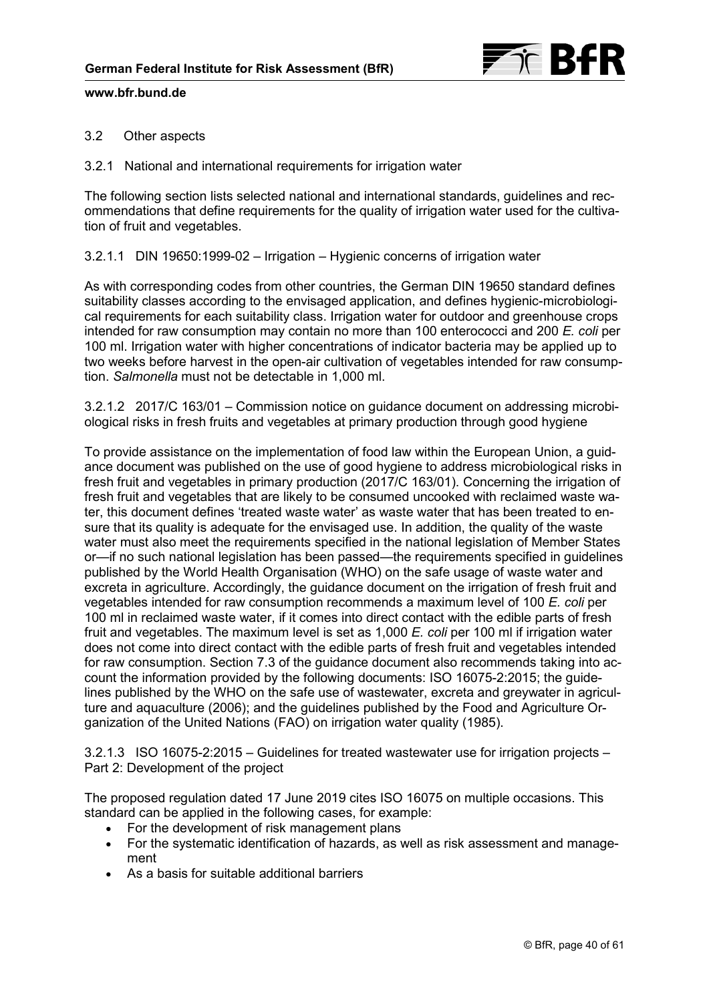

## 3.2 Other aspects

3.2.1 National and international requirements for irrigation water

The following section lists selected national and international standards, guidelines and recommendations that define requirements for the quality of irrigation water used for the cultivation of fruit and vegetables.

3.2.1.1 DIN 19650:1999-02 – Irrigation – Hygienic concerns of irrigation water

As with corresponding codes from other countries, the German DIN 19650 standard defines suitability classes according to the envisaged application, and defines hygienic-microbiological requirements for each suitability class. Irrigation water for outdoor and greenhouse crops intended for raw consumption may contain no more than 100 enterococci and 200 *E. coli* per 100 ml. Irrigation water with higher concentrations of indicator bacteria may be applied up to two weeks before harvest in the open-air cultivation of vegetables intended for raw consumption. *Salmonella* must not be detectable in 1,000 ml.

3.2.1.2 2017/C 163/01 – Commission notice on guidance document on addressing microbiological risks in fresh fruits and vegetables at primary production through good hygiene

To provide assistance on the implementation of food law within the European Union, a guidance document was published on the use of good hygiene to address microbiological risks in fresh fruit and vegetables in primary production (2017/C 163/01). Concerning the irrigation of fresh fruit and vegetables that are likely to be consumed uncooked with reclaimed waste water, this document defines 'treated waste water' as waste water that has been treated to ensure that its quality is adequate for the envisaged use. In addition, the quality of the waste water must also meet the requirements specified in the national legislation of Member States or—if no such national legislation has been passed—the requirements specified in guidelines published by the World Health Organisation (WHO) on the safe usage of waste water and excreta in agriculture. Accordingly, the guidance document on the irrigation of fresh fruit and vegetables intended for raw consumption recommends a maximum level of 100 *E. coli* per 100 ml in reclaimed waste water, if it comes into direct contact with the edible parts of fresh fruit and vegetables. The maximum level is set as 1,000 *E. coli* per 100 ml if irrigation water does not come into direct contact with the edible parts of fresh fruit and vegetables intended for raw consumption. Section 7.3 of the guidance document also recommends taking into account the information provided by the following documents: ISO 16075-2:2015; the guidelines published by the WHO on the safe use of wastewater, excreta and greywater in agriculture and aquaculture (2006); and the guidelines published by the Food and Agriculture Organization of the United Nations (FAO) on irrigation water quality (1985).

3.2.1.3 ISO 16075-2:2015 – Guidelines for treated wastewater use for irrigation projects – Part 2: Development of the project

The proposed regulation dated 17 June 2019 cites ISO 16075 on multiple occasions. This standard can be applied in the following cases, for example:

- For the development of risk management plans
- For the systematic identification of hazards, as well as risk assessment and management
- As a basis for suitable additional barriers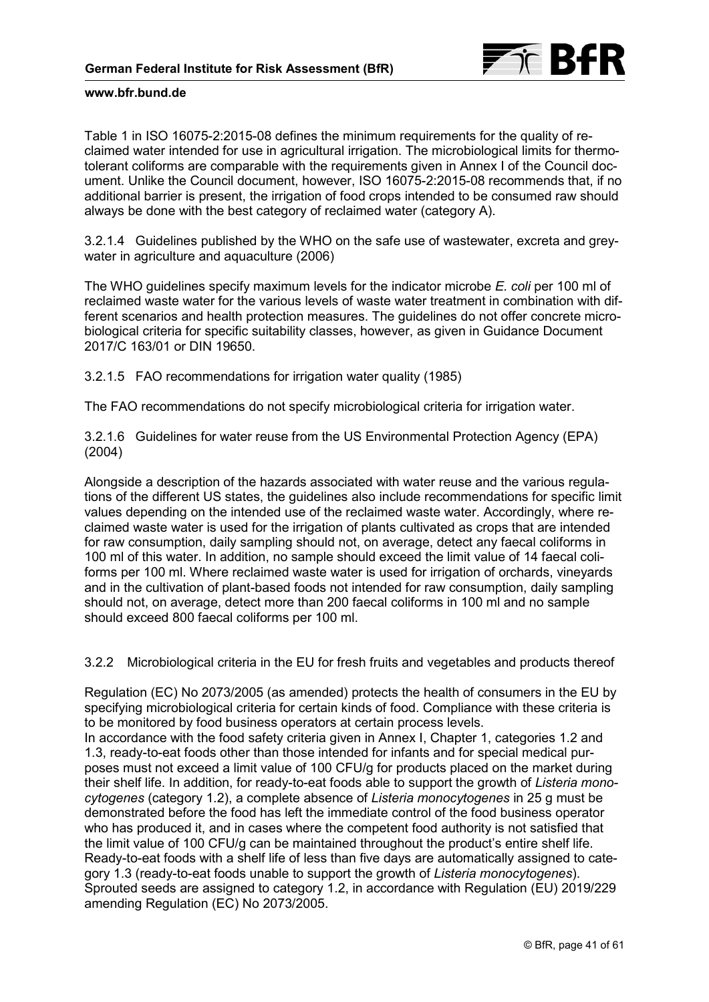

[Table 1](#page-3-0) in ISO 16075-2:2015-08 defines the minimum requirements for the quality of reclaimed water intended for use in agricultural irrigation. The microbiological limits for thermotolerant coliforms are comparable with the requirements given in Annex I of the Council document. Unlike the Council document, however, ISO 16075-2:2015-08 recommends that, if no additional barrier is present, the irrigation of food crops intended to be consumed raw should always be done with the best category of reclaimed water (category A).

3.2.1.4 Guidelines published by the WHO on the safe use of wastewater, excreta and greywater in agriculture and aquaculture (2006)

The WHO guidelines specify maximum levels for the indicator microbe *E. coli* per 100 ml of reclaimed waste water for the various levels of waste water treatment in combination with different scenarios and health protection measures. The guidelines do not offer concrete microbiological criteria for specific suitability classes, however, as given in Guidance Document 2017/C 163/01 or DIN 19650.

3.2.1.5 FAO recommendations for irrigation water quality (1985)

The FAO recommendations do not specify microbiological criteria for irrigation water.

3.2.1.6 Guidelines for water reuse from the US Environmental Protection Agency (EPA) (2004)

Alongside a description of the hazards associated with water reuse and the various regulations of the different US states, the guidelines also include recommendations for specific limit values depending on the intended use of the reclaimed waste water. Accordingly, where reclaimed waste water is used for the irrigation of plants cultivated as crops that are intended for raw consumption, daily sampling should not, on average, detect any faecal coliforms in 100 ml of this water. In addition, no sample should exceed the limit value of 14 faecal coliforms per 100 ml. Where reclaimed waste water is used for irrigation of orchards, vineyards and in the cultivation of plant-based foods not intended for raw consumption, daily sampling should not, on average, detect more than 200 faecal coliforms in 100 ml and no sample should exceed 800 faecal coliforms per 100 ml.

3.2.2 Microbiological criteria in the EU for fresh fruits and vegetables and products thereof

Regulation (EC) No 2073/2005 (as amended) protects the health of consumers in the EU by specifying microbiological criteria for certain kinds of food. Compliance with these criteria is to be monitored by food business operators at certain process levels.

In accordance with the food safety criteria given in Annex I, Chapter 1, categories 1.2 and 1.3, ready-to-eat foods other than those intended for infants and for special medical purposes must not exceed a limit value of 100 CFU/g for products placed on the market during their shelf life. In addition, for ready-to-eat foods able to support the growth of *Listeria monocytogenes* (category 1.2), a complete absence of *Listeria monocytogenes* in 25 g must be demonstrated before the food has left the immediate control of the food business operator who has produced it, and in cases where the competent food authority is not satisfied that the limit value of 100 CFU/g can be maintained throughout the product's entire shelf life. Ready-to-eat foods with a shelf life of less than five days are automatically assigned to category 1.3 (ready-to-eat foods unable to support the growth of *Listeria monocytogenes*). Sprouted seeds are assigned to category 1.2, in accordance with Regulation (EU) 2019/229 amending Regulation (EC) No 2073/2005.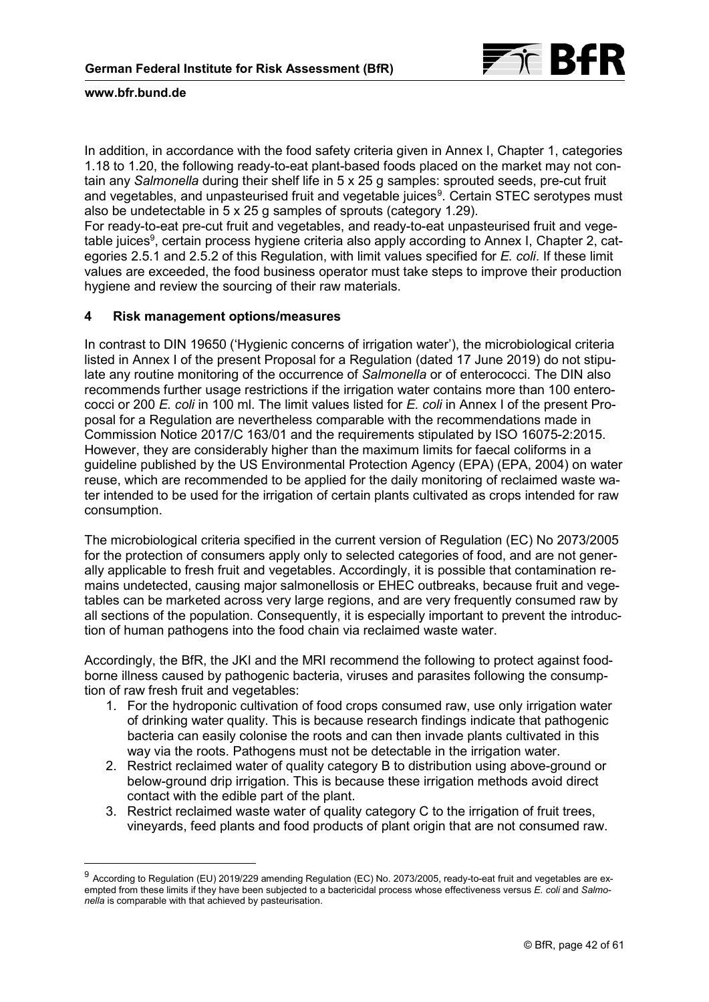

-

In addition, in accordance with the food safety criteria given in Annex I, Chapter 1, categories 1.18 to 1.20, the following ready-to-eat plant-based foods placed on the market may not contain any *Salmonella* during their shelf life in 5 x 25 g samples: sprouted seeds, pre-cut fruit and vegetables, and unpasteurised fruit and vegetable juices<sup>[9](#page-41-0)</sup>. Certain STEC serotypes must also be undetectable in 5 x 25 g samples of sprouts (category 1.29).

For ready-to-eat pre-cut fruit and vegetables, and ready-to-eat unpasteurised fruit and vegetable juices<sup>9</sup>, certain process hygiene criteria also apply according to Annex I, Chapter 2, categories 2.5.1 and 2.5.2 of this Regulation, with limit values specified for *E. coli*. If these limit values are exceeded, the food business operator must take steps to improve their production hygiene and review the sourcing of their raw materials.

## **4 Risk management options/measures**

In contrast to DIN 19650 ('Hygienic concerns of irrigation water'), the microbiological criteria listed in Annex I of the present Proposal for a Regulation (dated 17 June 2019) do not stipulate any routine monitoring of the occurrence of *Salmonella* or of enterococci. The DIN also recommends further usage restrictions if the irrigation water contains more than 100 enterococci or 200 *E. coli* in 100 ml. The limit values listed for *E. coli* in Annex I of the present Proposal for a Regulation are nevertheless comparable with the recommendations made in Commission Notice 2017/C 163/01 and the requirements stipulated by ISO 16075-2:2015. However, they are considerably higher than the maximum limits for faecal coliforms in a guideline published by the US Environmental Protection Agency (EPA) (EPA, 2004) on water reuse, which are recommended to be applied for the daily monitoring of reclaimed waste water intended to be used for the irrigation of certain plants cultivated as crops intended for raw consumption.

The microbiological criteria specified in the current version of Regulation (EC) No 2073/2005 for the protection of consumers apply only to selected categories of food, and are not generally applicable to fresh fruit and vegetables. Accordingly, it is possible that contamination remains undetected, causing major salmonellosis or EHEC outbreaks, because fruit and vegetables can be marketed across very large regions, and are very frequently consumed raw by all sections of the population. Consequently, it is especially important to prevent the introduction of human pathogens into the food chain via reclaimed waste water.

Accordingly, the BfR, the JKI and the MRI recommend the following to protect against foodborne illness caused by pathogenic bacteria, viruses and parasites following the consumption of raw fresh fruit and vegetables:

- 1. For the hydroponic cultivation of food crops consumed raw, use only irrigation water of drinking water quality. This is because research findings indicate that pathogenic bacteria can easily colonise the roots and can then invade plants cultivated in this way via the roots. Pathogens must not be detectable in the irrigation water.
- 2. Restrict reclaimed water of quality category B to distribution using above-ground or below-ground drip irrigation. This is because these irrigation methods avoid direct contact with the edible part of the plant.
- 3. Restrict reclaimed waste water of quality category C to the irrigation of fruit trees, vineyards, feed plants and food products of plant origin that are not consumed raw.

<span id="page-41-0"></span><sup>&</sup>lt;sup>9</sup> According to Regulation (EU) 2019/229 amending Regulation (EC) No. 2073/2005, ready-to-eat fruit and vegetables are exempted from these limits if they have been subjected to a bactericidal process whose effectiveness versus *E. coli* and *Salmonella* is comparable with that achieved by pasteurisation.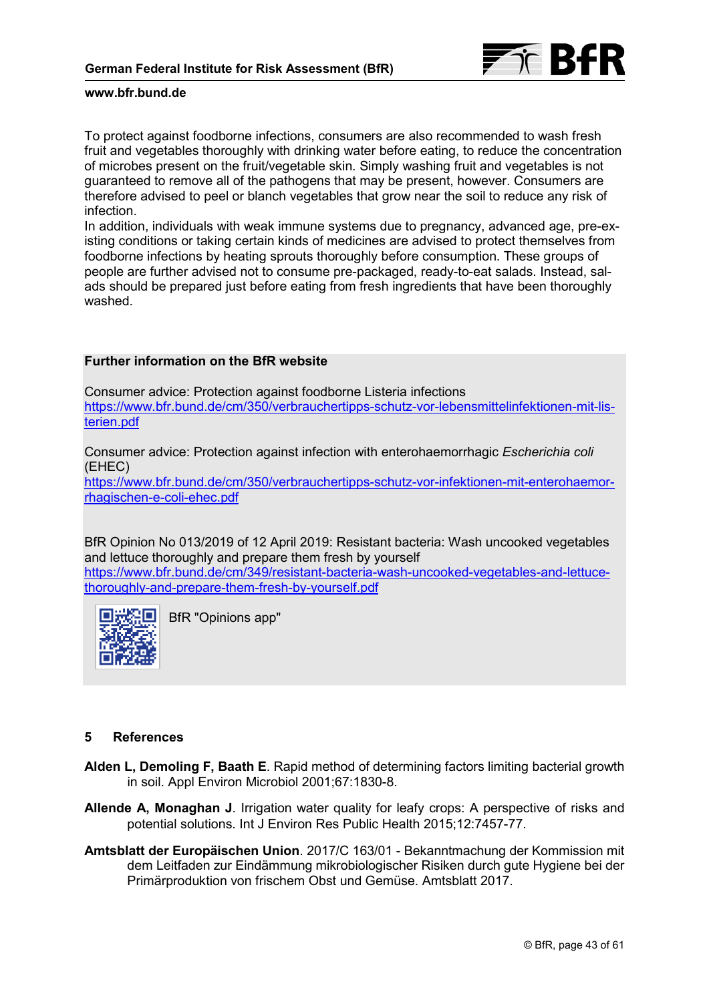

To protect against foodborne infections, consumers are also recommended to wash fresh fruit and vegetables thoroughly with drinking water before eating, to reduce the concentration of microbes present on the fruit/vegetable skin. Simply washing fruit and vegetables is not guaranteed to remove all of the pathogens that may be present, however. Consumers are therefore advised to peel or blanch vegetables that grow near the soil to reduce any risk of infection.

In addition, individuals with weak immune systems due to pregnancy, advanced age, pre-existing conditions or taking certain kinds of medicines are advised to protect themselves from foodborne infections by heating sprouts thoroughly before consumption. These groups of people are further advised not to consume pre-packaged, ready-to-eat salads. Instead, salads should be prepared just before eating from fresh ingredients that have been thoroughly washed.

# **Further information on the BfR website**

Consumer advice: Protection against foodborne Listeria infections [https://www.bfr.bund.de/cm/350/verbrauchertipps-schutz-vor-lebensmittelinfektionen-mit-lis](https://www.bfr.bund.de/cm/350/verbrauchertipps-schutz-vor-lebensmittelinfektionen-mit-listerien.pdf)[terien.pdf](https://www.bfr.bund.de/cm/350/verbrauchertipps-schutz-vor-lebensmittelinfektionen-mit-listerien.pdf)

Consumer advice: Protection against infection with enterohaemorrhagic *Escherichia coli* (EHEC) [https://www.bfr.bund.de/cm/350/verbrauchertipps-schutz-vor-infektionen-mit-enterohaemor](https://www.bfr.bund.de/cm/350/verbrauchertipps-schutz-vor-infektionen-mit-enterohaemorrhagischen-e-coli-ehec.pdf)[rhagischen-e-coli-ehec.pdf](https://www.bfr.bund.de/cm/350/verbrauchertipps-schutz-vor-infektionen-mit-enterohaemorrhagischen-e-coli-ehec.pdf)

BfR Opinion No 013/2019 of 12 April 2019: Resistant bacteria: Wash uncooked vegetables and lettuce thoroughly and prepare them fresh by yourself https://www.bfr.bund.de/cm/349/resistant-bacteria-wash-uncooked-vegetables-and-lettuce-

thoroughly-and-prepare-them-fresh-by-yourself.pdf



BfR "Opinions app"

## **5 References**

- **Alden L, Demoling F, Baath E**. Rapid method of determining factors limiting bacterial growth in soil. Appl Environ Microbiol 2001;67:1830-8.
- **Allende A, Monaghan J**. Irrigation water quality for leafy crops: A perspective of risks and potential solutions. Int J Environ Res Public Health 2015;12:7457-77.
- **Amtsblatt der Europäischen Union**. 2017/C 163/01 Bekanntmachung der Kommission mit dem Leitfaden zur Eindämmung mikrobiologischer Risiken durch gute Hygiene bei der Primärproduktion von frischem Obst und Gemüse. Amtsblatt 2017.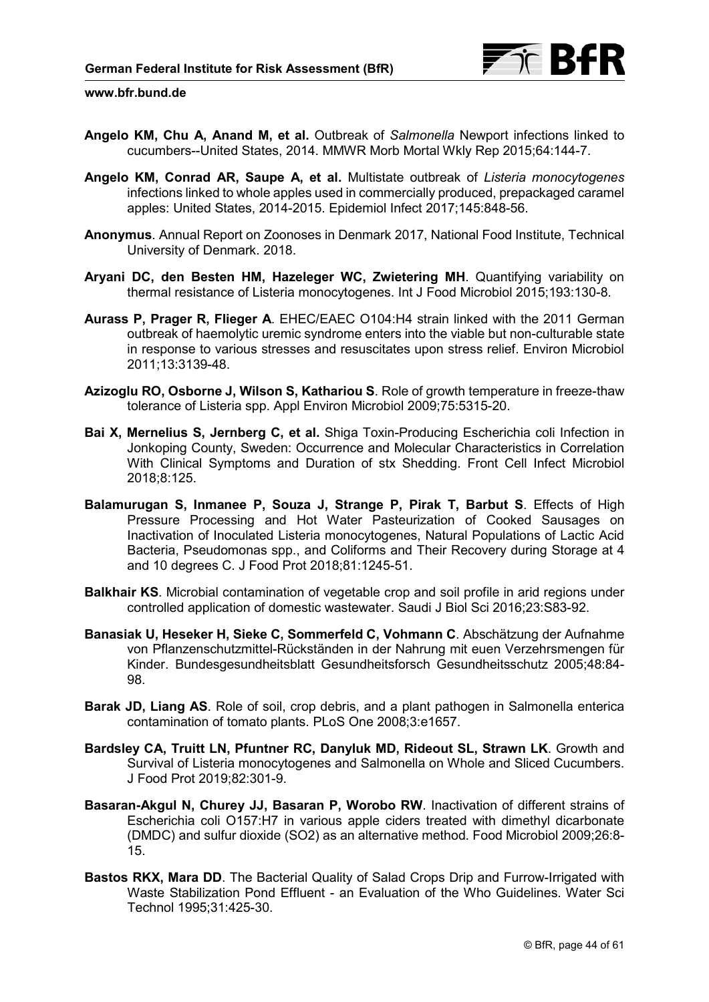- **Angelo KM, Chu A, Anand M, et al.** Outbreak of *Salmonella* Newport infections linked to cucumbers--United States, 2014. MMWR Morb Mortal Wkly Rep 2015;64:144-7.
- **Angelo KM, Conrad AR, Saupe A, et al.** Multistate outbreak of *Listeria monocytogenes* infections linked to whole apples used in commercially produced, prepackaged caramel apples: United States, 2014-2015. Epidemiol Infect 2017;145:848-56.
- **Anonymus**. Annual Report on Zoonoses in Denmark 2017, National Food Institute, Technical University of Denmark. 2018.
- **Aryani DC, den Besten HM, Hazeleger WC, Zwietering MH**. Quantifying variability on thermal resistance of Listeria monocytogenes. Int J Food Microbiol 2015;193:130-8.
- **Aurass P, Prager R, Flieger A**. EHEC/EAEC O104:H4 strain linked with the 2011 German outbreak of haemolytic uremic syndrome enters into the viable but non-culturable state in response to various stresses and resuscitates upon stress relief. Environ Microbiol 2011;13:3139-48.
- **Azizoglu RO, Osborne J, Wilson S, Kathariou S**. Role of growth temperature in freeze-thaw tolerance of Listeria spp. Appl Environ Microbiol 2009;75:5315-20.
- **Bai X, Mernelius S, Jernberg C, et al.** Shiga Toxin-Producing Escherichia coli Infection in Jonkoping County, Sweden: Occurrence and Molecular Characteristics in Correlation With Clinical Symptoms and Duration of stx Shedding. Front Cell Infect Microbiol 2018;8:125.
- **Balamurugan S, Inmanee P, Souza J, Strange P, Pirak T, Barbut S**. Effects of High Pressure Processing and Hot Water Pasteurization of Cooked Sausages on Inactivation of Inoculated Listeria monocytogenes, Natural Populations of Lactic Acid Bacteria, Pseudomonas spp., and Coliforms and Their Recovery during Storage at 4 and 10 degrees C. J Food Prot 2018;81:1245-51.
- **Balkhair KS**. Microbial contamination of vegetable crop and soil profile in arid regions under controlled application of domestic wastewater. Saudi J Biol Sci 2016;23:S83-92.
- **Banasiak U, Heseker H, Sieke C, Sommerfeld C, Vohmann C**. Abschätzung der Aufnahme von Pflanzenschutzmittel-Rückständen in der Nahrung mit euen Verzehrsmengen für Kinder. Bundesgesundheitsblatt Gesundheitsforsch Gesundheitsschutz 2005;48:84- 98.
- **Barak JD, Liang AS**. Role of soil, crop debris, and a plant pathogen in Salmonella enterica contamination of tomato plants. PLoS One 2008;3:e1657.
- **Bardsley CA, Truitt LN, Pfuntner RC, Danyluk MD, Rideout SL, Strawn LK**. Growth and Survival of Listeria monocytogenes and Salmonella on Whole and Sliced Cucumbers. J Food Prot 2019;82:301-9.
- **Basaran-Akgul N, Churey JJ, Basaran P, Worobo RW**. Inactivation of different strains of Escherichia coli O157:H7 in various apple ciders treated with dimethyl dicarbonate (DMDC) and sulfur dioxide (SO2) as an alternative method. Food Microbiol 2009;26:8- 15.
- **Bastos RKX, Mara DD**. The Bacterial Quality of Salad Crops Drip and Furrow-Irrigated with Waste Stabilization Pond Effluent - an Evaluation of the Who Guidelines. Water Sci Technol 1995;31:425-30.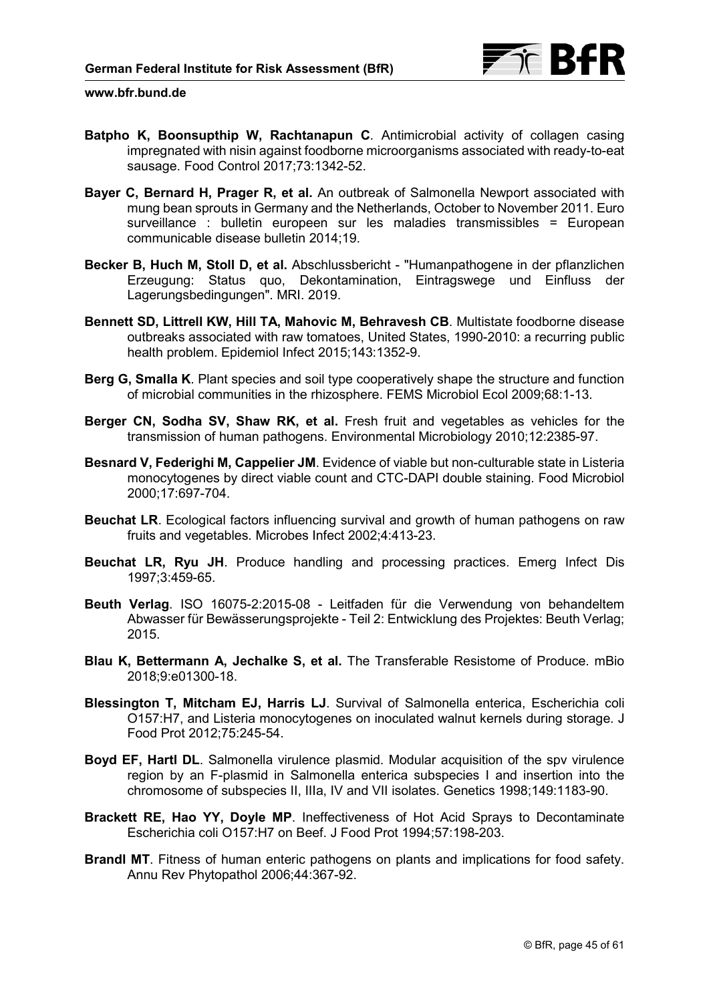

- **Batpho K, Boonsupthip W, Rachtanapun C**. Antimicrobial activity of collagen casing impregnated with nisin against foodborne microorganisms associated with ready-to-eat sausage. Food Control 2017;73:1342-52.
- **Bayer C, Bernard H, Prager R, et al.** An outbreak of Salmonella Newport associated with mung bean sprouts in Germany and the Netherlands, October to November 2011. Euro surveillance : bulletin europeen sur les maladies transmissibles = European communicable disease bulletin 2014;19.
- **Becker B, Huch M, Stoll D, et al.** Abschlussbericht "Humanpathogene in der pflanzlichen Erzeugung: Status quo, Dekontamination, Eintragswege und Einfluss der Lagerungsbedingungen". MRI. 2019.
- **Bennett SD, Littrell KW, Hill TA, Mahovic M, Behravesh CB**. Multistate foodborne disease outbreaks associated with raw tomatoes, United States, 1990-2010: a recurring public health problem. Epidemiol Infect 2015;143:1352-9.
- **Berg G, Smalla K**. Plant species and soil type cooperatively shape the structure and function of microbial communities in the rhizosphere. FEMS Microbiol Ecol 2009;68:1-13.
- **Berger CN, Sodha SV, Shaw RK, et al.** Fresh fruit and vegetables as vehicles for the transmission of human pathogens. Environmental Microbiology 2010;12:2385-97.
- **Besnard V, Federighi M, Cappelier JM**. Evidence of viable but non-culturable state in Listeria monocytogenes by direct viable count and CTC-DAPI double staining. Food Microbiol 2000;17:697-704.
- **Beuchat LR**. Ecological factors influencing survival and growth of human pathogens on raw fruits and vegetables. Microbes Infect 2002;4:413-23.
- **Beuchat LR, Ryu JH**. Produce handling and processing practices. Emerg Infect Dis 1997;3:459-65.
- **Beuth Verlag**. ISO 16075-2:2015-08 Leitfaden für die Verwendung von behandeltem Abwasser für Bewässerungsprojekte - Teil 2: Entwicklung des Projektes: Beuth Verlag; 2015.
- **Blau K, Bettermann A, Jechalke S, et al.** The Transferable Resistome of Produce. mBio 2018;9:e01300-18.
- **Blessington T, Mitcham EJ, Harris LJ**. Survival of Salmonella enterica, Escherichia coli O157:H7, and Listeria monocytogenes on inoculated walnut kernels during storage. J Food Prot 2012;75:245-54.
- **Boyd EF, Hartl DL**. Salmonella virulence plasmid. Modular acquisition of the spv virulence region by an F-plasmid in Salmonella enterica subspecies I and insertion into the chromosome of subspecies II, IIIa, IV and VII isolates. Genetics 1998;149:1183-90.
- **Brackett RE, Hao YY, Doyle MP**. Ineffectiveness of Hot Acid Sprays to Decontaminate Escherichia coli O157:H7 on Beef. J Food Prot 1994;57:198-203.
- **Brandl MT**. Fitness of human enteric pathogens on plants and implications for food safety. Annu Rev Phytopathol 2006;44:367-92.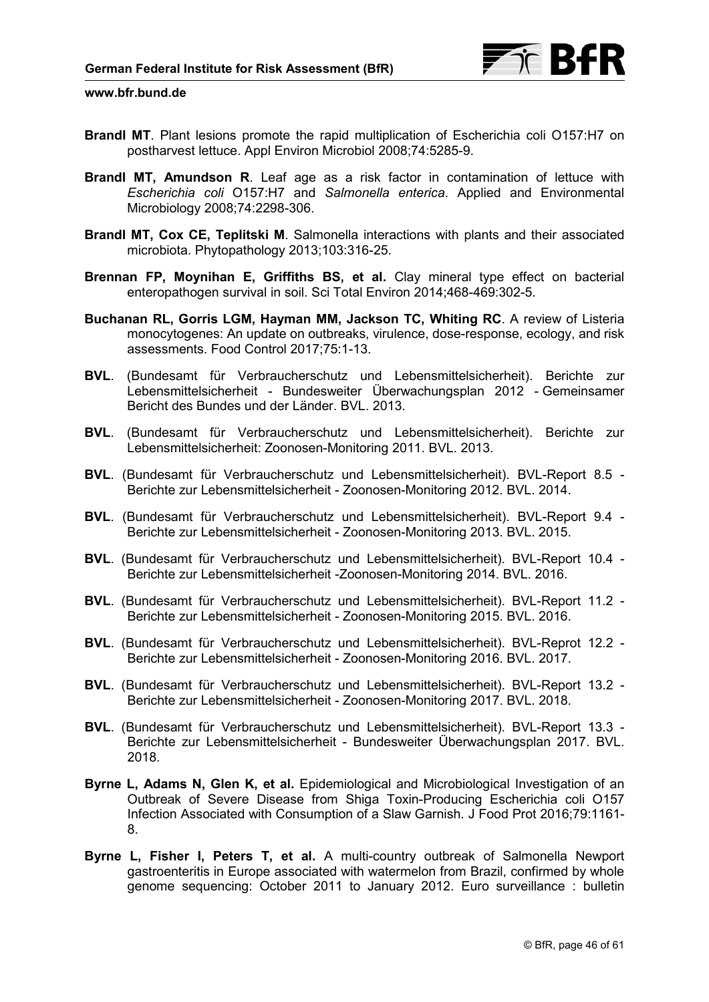- **Brandl MT**. Plant lesions promote the rapid multiplication of Escherichia coli O157:H7 on postharvest lettuce. Appl Environ Microbiol 2008;74:5285-9.
- **Brandl MT, Amundson R**. Leaf age as a risk factor in contamination of lettuce with *Escherichia coli* O157:H7 and *Salmonella enterica*. Applied and Environmental Microbiology 2008;74:2298-306.
- **Brandl MT, Cox CE, Teplitski M**. Salmonella interactions with plants and their associated microbiota. Phytopathology 2013;103:316-25.
- **Brennan FP, Moynihan E, Griffiths BS, et al.** Clay mineral type effect on bacterial enteropathogen survival in soil. Sci Total Environ 2014;468-469:302-5.
- **Buchanan RL, Gorris LGM, Hayman MM, Jackson TC, Whiting RC**. A review of Listeria monocytogenes: An update on outbreaks, virulence, dose-response, ecology, and risk assessments. Food Control 2017;75:1-13.
- **BVL**. (Bundesamt für Verbraucherschutz und Lebensmittelsicherheit). Berichte zur Lebensmittelsicherheit - Bundesweiter Überwachungsplan 2012 - Gemeinsamer Bericht des Bundes und der Länder. BVL. 2013.
- **BVL**. (Bundesamt für Verbraucherschutz und Lebensmittelsicherheit). Berichte zur Lebensmittelsicherheit: Zoonosen-Monitoring 2011. BVL. 2013.
- **BVL**. (Bundesamt für Verbraucherschutz und Lebensmittelsicherheit). BVL-Report 8.5 Berichte zur Lebensmittelsicherheit - Zoonosen-Monitoring 2012. BVL. 2014.
- **BVL**. (Bundesamt für Verbraucherschutz und Lebensmittelsicherheit). BVL-Report 9.4 Berichte zur Lebensmittelsicherheit - Zoonosen-Monitoring 2013. BVL. 2015.
- **BVL**. (Bundesamt für Verbraucherschutz und Lebensmittelsicherheit). BVL-Report 10.4 Berichte zur Lebensmittelsicherheit -Zoonosen-Monitoring 2014. BVL. 2016.
- **BVL**. (Bundesamt für Verbraucherschutz und Lebensmittelsicherheit). BVL-Report 11.2 Berichte zur Lebensmittelsicherheit - Zoonosen-Monitoring 2015. BVL. 2016.
- **BVL**. (Bundesamt für Verbraucherschutz und Lebensmittelsicherheit). BVL-Reprot 12.2 Berichte zur Lebensmittelsicherheit - Zoonosen-Monitoring 2016. BVL. 2017.
- **BVL**. (Bundesamt für Verbraucherschutz und Lebensmittelsicherheit). BVL-Report 13.2 Berichte zur Lebensmittelsicherheit - Zoonosen-Monitoring 2017. BVL. 2018.
- **BVL**. (Bundesamt für Verbraucherschutz und Lebensmittelsicherheit). BVL-Report 13.3 Berichte zur Lebensmittelsicherheit - Bundesweiter Überwachungsplan 2017. BVL. 2018.
- **Byrne L, Adams N, Glen K, et al.** Epidemiological and Microbiological Investigation of an Outbreak of Severe Disease from Shiga Toxin-Producing Escherichia coli O157 Infection Associated with Consumption of a Slaw Garnish. J Food Prot 2016;79:1161- 8.
- **Byrne L, Fisher I, Peters T, et al.** A multi-country outbreak of Salmonella Newport gastroenteritis in Europe associated with watermelon from Brazil, confirmed by whole genome sequencing: October 2011 to January 2012. Euro surveillance : bulletin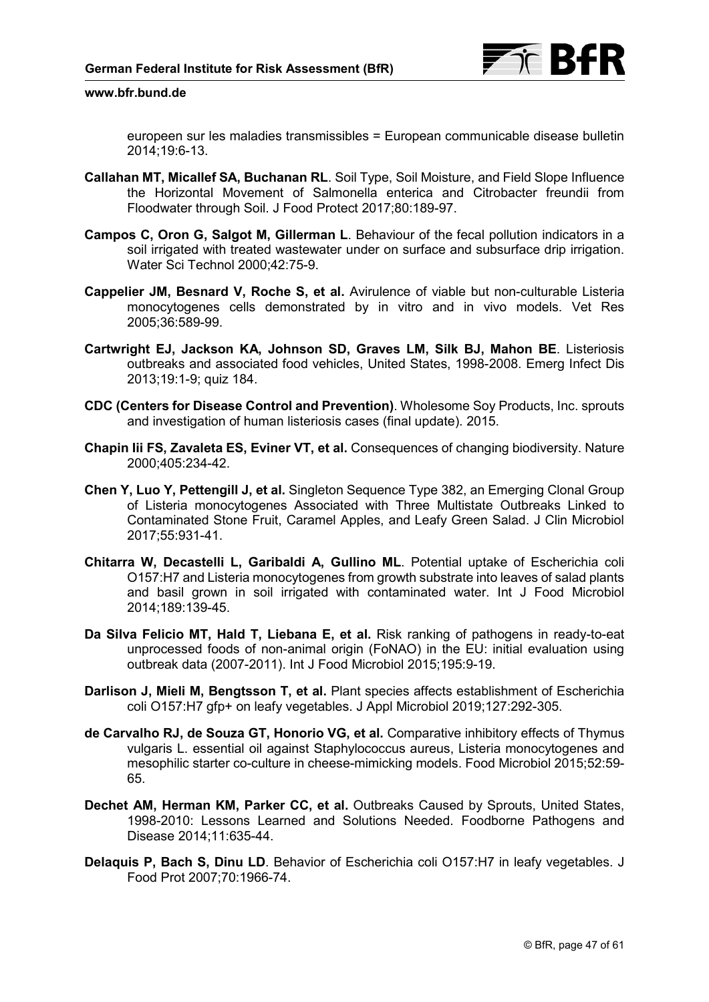europeen sur les maladies transmissibles = European communicable disease bulletin 2014;19:6-13.

- **Callahan MT, Micallef SA, Buchanan RL**. Soil Type, Soil Moisture, and Field Slope Influence the Horizontal Movement of Salmonella enterica and Citrobacter freundii from Floodwater through Soil. J Food Protect 2017;80:189-97.
- **Campos C, Oron G, Salgot M, Gillerman L**. Behaviour of the fecal pollution indicators in a soil irrigated with treated wastewater under on surface and subsurface drip irrigation. Water Sci Technol 2000;42:75-9.
- **Cappelier JM, Besnard V, Roche S, et al.** Avirulence of viable but non-culturable Listeria monocytogenes cells demonstrated by in vitro and in vivo models. Vet Res 2005;36:589-99.
- **Cartwright EJ, Jackson KA, Johnson SD, Graves LM, Silk BJ, Mahon BE**. Listeriosis outbreaks and associated food vehicles, United States, 1998-2008. Emerg Infect Dis 2013;19:1-9; quiz 184.
- **CDC (Centers for Disease Control and Prevention)**. Wholesome Soy Products, Inc. sprouts and investigation of human listeriosis cases (final update). 2015.
- **Chapin Iii FS, Zavaleta ES, Eviner VT, et al.** Consequences of changing biodiversity. Nature 2000;405:234-42.
- **Chen Y, Luo Y, Pettengill J, et al.** Singleton Sequence Type 382, an Emerging Clonal Group of Listeria monocytogenes Associated with Three Multistate Outbreaks Linked to Contaminated Stone Fruit, Caramel Apples, and Leafy Green Salad. J Clin Microbiol 2017;55:931-41.
- **Chitarra W, Decastelli L, Garibaldi A, Gullino ML**. Potential uptake of Escherichia coli O157:H7 and Listeria monocytogenes from growth substrate into leaves of salad plants and basil grown in soil irrigated with contaminated water. Int J Food Microbiol 2014;189:139-45.
- **Da Silva Felicio MT, Hald T, Liebana E, et al.** Risk ranking of pathogens in ready-to-eat unprocessed foods of non-animal origin (FoNAO) in the EU: initial evaluation using outbreak data (2007-2011). Int J Food Microbiol 2015;195:9-19.
- **Darlison J, Mieli M, Bengtsson T, et al.** Plant species affects establishment of Escherichia coli O157:H7 gfp+ on leafy vegetables. J Appl Microbiol 2019;127:292-305.
- **de Carvalho RJ, de Souza GT, Honorio VG, et al.** Comparative inhibitory effects of Thymus vulgaris L. essential oil against Staphylococcus aureus, Listeria monocytogenes and mesophilic starter co-culture in cheese-mimicking models. Food Microbiol 2015;52:59- 65.
- **Dechet AM, Herman KM, Parker CC, et al.** Outbreaks Caused by Sprouts, United States, 1998-2010: Lessons Learned and Solutions Needed. Foodborne Pathogens and Disease 2014;11:635-44.
- **Delaquis P, Bach S, Dinu LD**. Behavior of Escherichia coli O157:H7 in leafy vegetables. J Food Prot 2007;70:1966-74.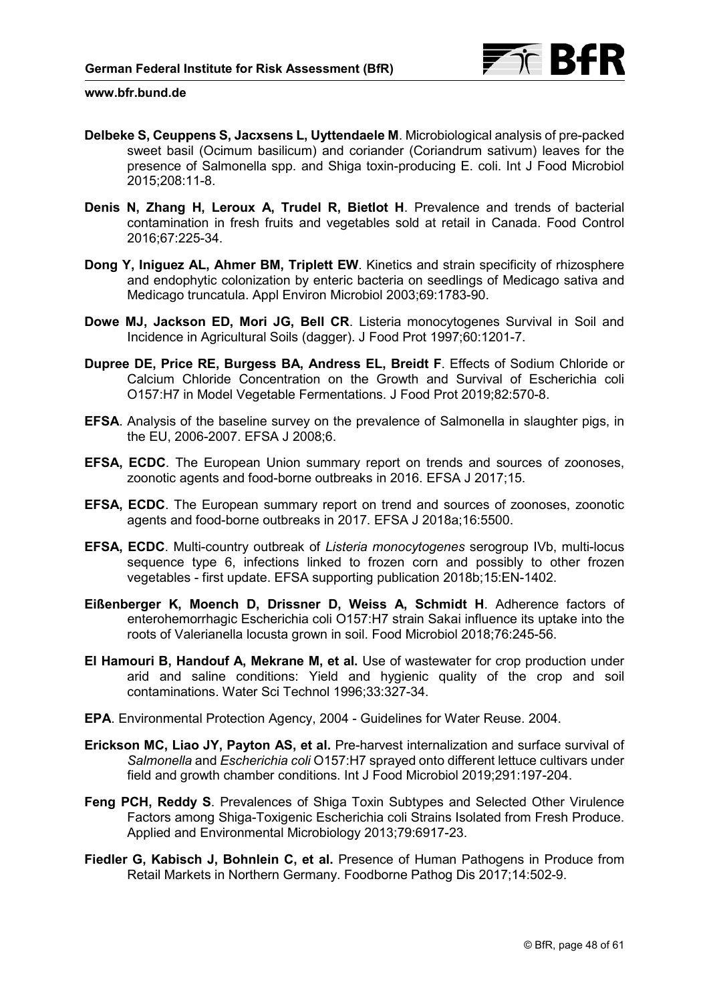- **Delbeke S, Ceuppens S, Jacxsens L, Uyttendaele M**. Microbiological analysis of pre-packed sweet basil (Ocimum basilicum) and coriander (Coriandrum sativum) leaves for the presence of Salmonella spp. and Shiga toxin-producing E. coli. Int J Food Microbiol 2015;208:11-8.
- **Denis N, Zhang H, Leroux A, Trudel R, Bietlot H**. Prevalence and trends of bacterial contamination in fresh fruits and vegetables sold at retail in Canada. Food Control 2016;67:225-34.
- **Dong Y, Iniguez AL, Ahmer BM, Triplett EW**. Kinetics and strain specificity of rhizosphere and endophytic colonization by enteric bacteria on seedlings of Medicago sativa and Medicago truncatula. Appl Environ Microbiol 2003;69:1783-90.
- **Dowe MJ, Jackson ED, Mori JG, Bell CR**. Listeria monocytogenes Survival in Soil and Incidence in Agricultural Soils (dagger). J Food Prot 1997;60:1201-7.
- **Dupree DE, Price RE, Burgess BA, Andress EL, Breidt F**. Effects of Sodium Chloride or Calcium Chloride Concentration on the Growth and Survival of Escherichia coli O157:H7 in Model Vegetable Fermentations. J Food Prot 2019;82:570-8.
- **EFSA**. Analysis of the baseline survey on the prevalence of Salmonella in slaughter pigs, in the EU, 2006-2007. EFSA J 2008;6.
- **EFSA, ECDC**. The European Union summary report on trends and sources of zoonoses, zoonotic agents and food-borne outbreaks in 2016. EFSA J 2017;15.
- **EFSA, ECDC**. The European summary report on trend and sources of zoonoses, zoonotic agents and food-borne outbreaks in 2017. EFSA J 2018a;16:5500.
- **EFSA, ECDC**. Multi-country outbreak of *Listeria monocytogenes* serogroup IVb, multi-locus sequence type 6, infections linked to frozen corn and possibly to other frozen vegetables - first update. EFSA supporting publication 2018b;15:EN-1402.
- **Eißenberger K, Moench D, Drissner D, Weiss A, Schmidt H**. Adherence factors of enterohemorrhagic Escherichia coli O157:H7 strain Sakai influence its uptake into the roots of Valerianella locusta grown in soil. Food Microbiol 2018;76:245-56.
- **El Hamouri B, Handouf A, Mekrane M, et al.** Use of wastewater for crop production under arid and saline conditions: Yield and hygienic quality of the crop and soil contaminations. Water Sci Technol 1996;33:327-34.
- **EPA**. Environmental Protection Agency, 2004 Guidelines for Water Reuse. 2004.
- **Erickson MC, Liao JY, Payton AS, et al.** Pre-harvest internalization and surface survival of *Salmonella* and *Escherichia coli* O157:H7 sprayed onto different lettuce cultivars under field and growth chamber conditions. Int J Food Microbiol 2019;291:197-204.
- **Feng PCH, Reddy S**. Prevalences of Shiga Toxin Subtypes and Selected Other Virulence Factors among Shiga-Toxigenic Escherichia coli Strains Isolated from Fresh Produce. Applied and Environmental Microbiology 2013;79:6917-23.
- **Fiedler G, Kabisch J, Bohnlein C, et al.** Presence of Human Pathogens in Produce from Retail Markets in Northern Germany. Foodborne Pathog Dis 2017;14:502-9.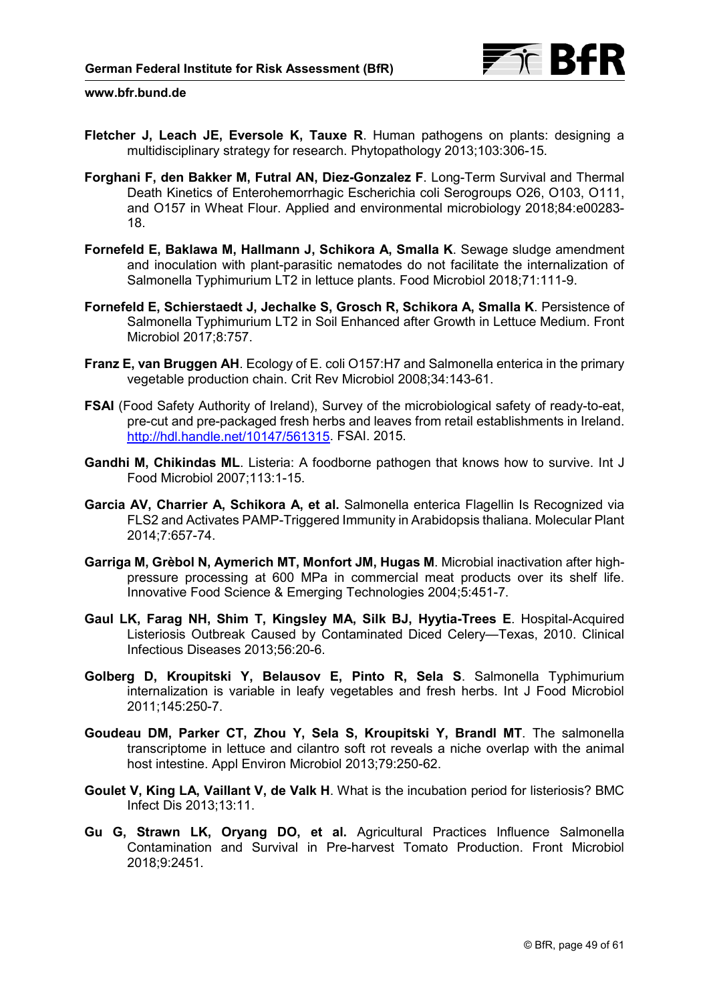

- **Fletcher J, Leach JE, Eversole K, Tauxe R**. Human pathogens on plants: designing a multidisciplinary strategy for research. Phytopathology 2013;103:306-15.
- **Forghani F, den Bakker M, Futral AN, Diez-Gonzalez F**. Long-Term Survival and Thermal Death Kinetics of Enterohemorrhagic Escherichia coli Serogroups O26, O103, O111, and O157 in Wheat Flour. Applied and environmental microbiology 2018;84:e00283- 18.
- **Fornefeld E, Baklawa M, Hallmann J, Schikora A, Smalla K**. Sewage sludge amendment and inoculation with plant-parasitic nematodes do not facilitate the internalization of Salmonella Typhimurium LT2 in lettuce plants. Food Microbiol 2018;71:111-9.
- **Fornefeld E, Schierstaedt J, Jechalke S, Grosch R, Schikora A, Smalla K**. Persistence of Salmonella Typhimurium LT2 in Soil Enhanced after Growth in Lettuce Medium. Front Microbiol 2017;8:757.
- **Franz E, van Bruggen AH**. Ecology of E. coli O157:H7 and Salmonella enterica in the primary vegetable production chain. Crit Rev Microbiol 2008;34:143-61.
- **FSAI** (Food Safety Authority of Ireland), Survey of the microbiological safety of ready-to-eat, pre-cut and pre-packaged fresh herbs and leaves from retail establishments in Ireland. [http://hdl.handle.net/10147/561315.](http://hdl.handle.net/10147/561315) FSAI. 2015.
- **Gandhi M, Chikindas ML**. Listeria: A foodborne pathogen that knows how to survive. Int J Food Microbiol 2007;113:1-15.
- **Garcia AV, Charrier A, Schikora A, et al.** Salmonella enterica Flagellin Is Recognized via FLS2 and Activates PAMP-Triggered Immunity in Arabidopsis thaliana. Molecular Plant 2014;7:657-74.
- **Garriga M, Grèbol N, Aymerich MT, Monfort JM, Hugas M**. Microbial inactivation after highpressure processing at 600 MPa in commercial meat products over its shelf life. Innovative Food Science & Emerging Technologies 2004;5:451-7.
- **Gaul LK, Farag NH, Shim T, Kingsley MA, Silk BJ, Hyytia-Trees E**. Hospital-Acquired Listeriosis Outbreak Caused by Contaminated Diced Celery—Texas, 2010. Clinical Infectious Diseases 2013;56:20-6.
- **Golberg D, Kroupitski Y, Belausov E, Pinto R, Sela S**. Salmonella Typhimurium internalization is variable in leafy vegetables and fresh herbs. Int J Food Microbiol 2011;145:250-7.
- **Goudeau DM, Parker CT, Zhou Y, Sela S, Kroupitski Y, Brandl MT**. The salmonella transcriptome in lettuce and cilantro soft rot reveals a niche overlap with the animal host intestine. Appl Environ Microbiol 2013;79:250-62.
- **Goulet V, King LA, Vaillant V, de Valk H**. What is the incubation period for listeriosis? BMC Infect Dis 2013;13:11.
- **Gu G, Strawn LK, Oryang DO, et al.** Agricultural Practices Influence Salmonella Contamination and Survival in Pre-harvest Tomato Production. Front Microbiol 2018;9:2451.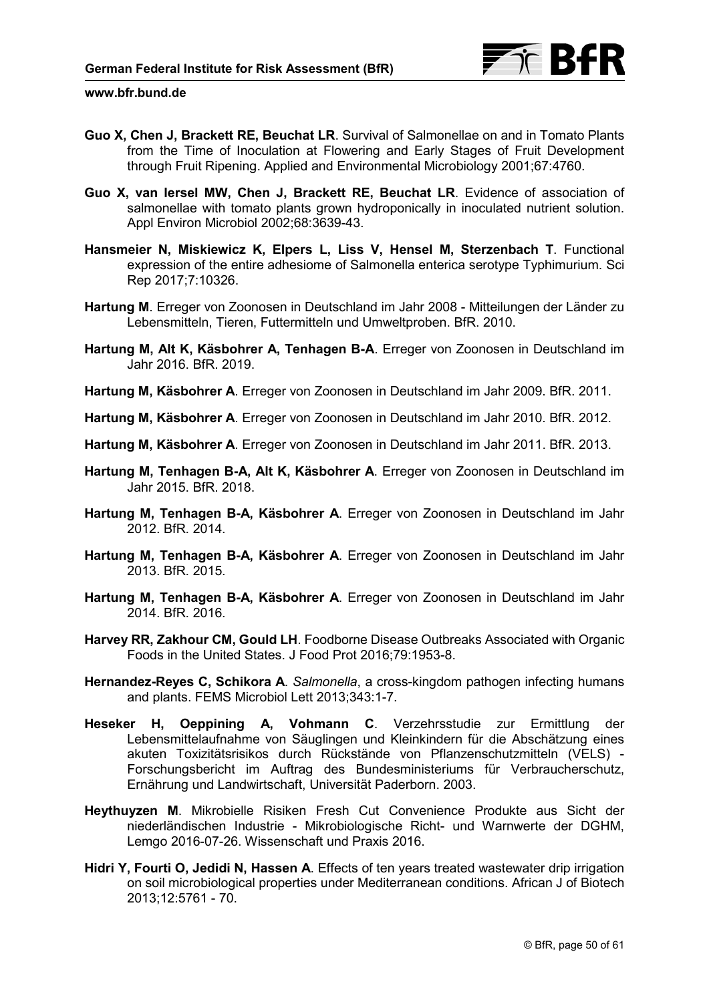

- **Guo X, Chen J, Brackett RE, Beuchat LR**. Survival of Salmonellae on and in Tomato Plants from the Time of Inoculation at Flowering and Early Stages of Fruit Development through Fruit Ripening. Applied and Environmental Microbiology 2001;67:4760.
- **Guo X, van Iersel MW, Chen J, Brackett RE, Beuchat LR**. Evidence of association of salmonellae with tomato plants grown hydroponically in inoculated nutrient solution. Appl Environ Microbiol 2002;68:3639-43.
- **Hansmeier N, Miskiewicz K, Elpers L, Liss V, Hensel M, Sterzenbach T**. Functional expression of the entire adhesiome of Salmonella enterica serotype Typhimurium. Sci Rep 2017;7:10326.
- **Hartung M**. Erreger von Zoonosen in Deutschland im Jahr 2008 Mitteilungen der Länder zu Lebensmitteln, Tieren, Futtermitteln und Umweltproben. BfR. 2010.
- **Hartung M, Alt K, Käsbohrer A, Tenhagen B-A**. Erreger von Zoonosen in Deutschland im Jahr 2016. BfR. 2019.
- **Hartung M, Käsbohrer A**. Erreger von Zoonosen in Deutschland im Jahr 2009. BfR. 2011.
- **Hartung M, Käsbohrer A**. Erreger von Zoonosen in Deutschland im Jahr 2010. BfR. 2012.
- **Hartung M, Käsbohrer A**. Erreger von Zoonosen in Deutschland im Jahr 2011. BfR. 2013.
- **Hartung M, Tenhagen B-A, Alt K, Käsbohrer A**. Erreger von Zoonosen in Deutschland im Jahr 2015. BfR. 2018.
- **Hartung M, Tenhagen B-A, Käsbohrer A**. Erreger von Zoonosen in Deutschland im Jahr 2012. BfR. 2014.
- **Hartung M, Tenhagen B-A, Käsbohrer A**. Erreger von Zoonosen in Deutschland im Jahr 2013. BfR. 2015.
- **Hartung M, Tenhagen B-A, Käsbohrer A**. Erreger von Zoonosen in Deutschland im Jahr 2014. BfR. 2016.
- **Harvey RR, Zakhour CM, Gould LH**. Foodborne Disease Outbreaks Associated with Organic Foods in the United States. J Food Prot 2016;79:1953-8.
- **Hernandez-Reyes C, Schikora A**. *Salmonella*, a cross-kingdom pathogen infecting humans and plants. FEMS Microbiol Lett 2013;343:1-7.
- **Heseker H, Oeppining A, Vohmann C**. Verzehrsstudie zur Ermittlung der Lebensmittelaufnahme von Säuglingen und Kleinkindern für die Abschätzung eines akuten Toxizitätsrisikos durch Rückstände von Pflanzenschutzmitteln (VELS) - Forschungsbericht im Auftrag des Bundesministeriums für Verbraucherschutz, Ernährung und Landwirtschaft, Universität Paderborn. 2003.
- **Heythuyzen M**. Mikrobielle Risiken Fresh Cut Convenience Produkte aus Sicht der niederländischen Industrie - Mikrobiologische Richt- und Warnwerte der DGHM, Lemgo 2016-07-26. Wissenschaft und Praxis 2016.
- **Hidri Y, Fourti O, Jedidi N, Hassen A**. Effects of ten years treated wastewater drip irrigation on soil microbiological properties under Mediterranean conditions. African J of Biotech 2013;12:5761 - 70.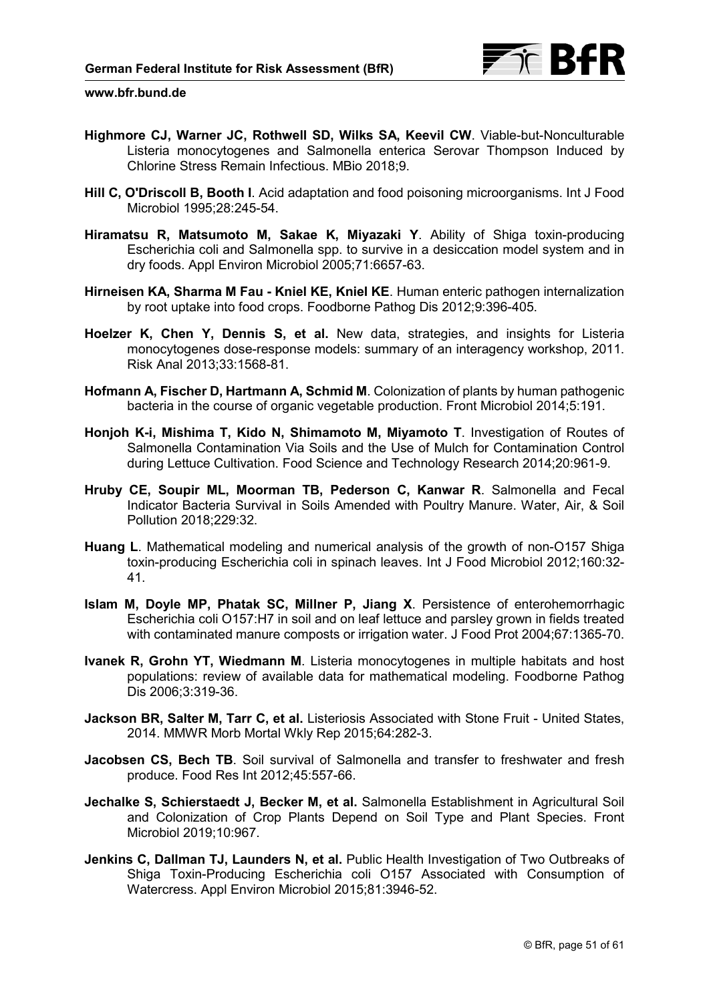

- **Highmore CJ, Warner JC, Rothwell SD, Wilks SA, Keevil CW**. Viable-but-Nonculturable Listeria monocytogenes and Salmonella enterica Serovar Thompson Induced by Chlorine Stress Remain Infectious. MBio 2018;9.
- **Hill C, O'Driscoll B, Booth I**. Acid adaptation and food poisoning microorganisms. Int J Food Microbiol 1995;28:245-54.
- **Hiramatsu R, Matsumoto M, Sakae K, Miyazaki Y**. Ability of Shiga toxin-producing Escherichia coli and Salmonella spp. to survive in a desiccation model system and in dry foods. Appl Environ Microbiol 2005;71:6657-63.
- **Hirneisen KA, Sharma M Fau Kniel KE, Kniel KE**. Human enteric pathogen internalization by root uptake into food crops. Foodborne Pathog Dis 2012;9:396-405.
- **Hoelzer K, Chen Y, Dennis S, et al.** New data, strategies, and insights for Listeria monocytogenes dose-response models: summary of an interagency workshop, 2011. Risk Anal 2013;33:1568-81.
- **Hofmann A, Fischer D, Hartmann A, Schmid M**. Colonization of plants by human pathogenic bacteria in the course of organic vegetable production. Front Microbiol 2014;5:191.
- **Honjoh K-i, Mishima T, Kido N, Shimamoto M, Miyamoto T**. Investigation of Routes of Salmonella Contamination Via Soils and the Use of Mulch for Contamination Control during Lettuce Cultivation. Food Science and Technology Research 2014;20:961-9.
- **Hruby CE, Soupir ML, Moorman TB, Pederson C, Kanwar R**. Salmonella and Fecal Indicator Bacteria Survival in Soils Amended with Poultry Manure. Water, Air, & Soil Pollution 2018;229:32.
- **Huang L**. Mathematical modeling and numerical analysis of the growth of non-O157 Shiga toxin-producing Escherichia coli in spinach leaves. Int J Food Microbiol 2012;160:32- 41.
- **Islam M, Doyle MP, Phatak SC, Millner P, Jiang X**. Persistence of enterohemorrhagic Escherichia coli O157:H7 in soil and on leaf lettuce and parsley grown in fields treated with contaminated manure composts or irrigation water. J Food Prot 2004;67:1365-70.
- **Ivanek R, Grohn YT, Wiedmann M**. Listeria monocytogenes in multiple habitats and host populations: review of available data for mathematical modeling. Foodborne Pathog Dis 2006;3:319-36.
- **Jackson BR, Salter M, Tarr C, et al.** Listeriosis Associated with Stone Fruit United States, 2014. MMWR Morb Mortal Wkly Rep 2015;64:282-3.
- **Jacobsen CS, Bech TB**. Soil survival of Salmonella and transfer to freshwater and fresh produce. Food Res Int 2012;45:557-66.
- **Jechalke S, Schierstaedt J, Becker M, et al.** Salmonella Establishment in Agricultural Soil and Colonization of Crop Plants Depend on Soil Type and Plant Species. Front Microbiol 2019;10:967.
- **Jenkins C, Dallman TJ, Launders N, et al.** Public Health Investigation of Two Outbreaks of Shiga Toxin-Producing Escherichia coli O157 Associated with Consumption of Watercress. Appl Environ Microbiol 2015;81:3946-52.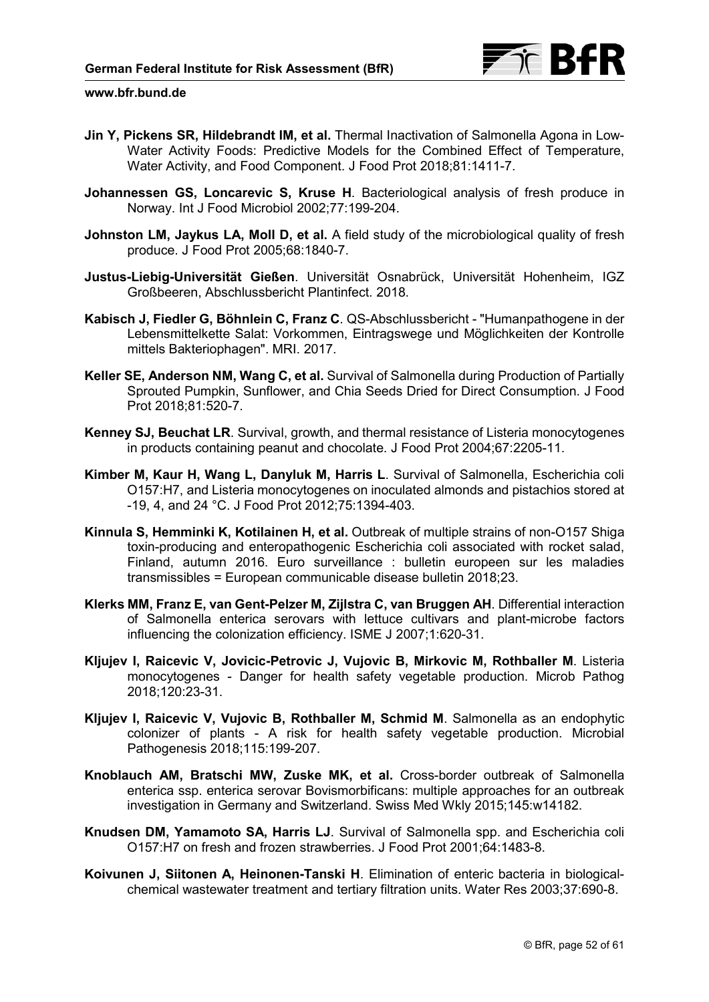

- **Jin Y, Pickens SR, Hildebrandt IM, et al.** Thermal Inactivation of Salmonella Agona in Low-Water Activity Foods: Predictive Models for the Combined Effect of Temperature, Water Activity, and Food Component. J Food Prot 2018;81:1411-7.
- **Johannessen GS, Loncarevic S, Kruse H**. Bacteriological analysis of fresh produce in Norway. Int J Food Microbiol 2002;77:199-204.
- **Johnston LM, Jaykus LA, Moll D, et al.** A field study of the microbiological quality of fresh produce. J Food Prot 2005;68:1840-7.
- **Justus-Liebig-Universität Gießen**. Universität Osnabrück, Universität Hohenheim, IGZ Großbeeren, Abschlussbericht Plantinfect. 2018.
- **Kabisch J, Fiedler G, Böhnlein C, Franz C**. QS-Abschlussbericht "Humanpathogene in der Lebensmittelkette Salat: Vorkommen, Eintragswege und Möglichkeiten der Kontrolle mittels Bakteriophagen". MRI. 2017.
- **Keller SE, Anderson NM, Wang C, et al.** Survival of Salmonella during Production of Partially Sprouted Pumpkin, Sunflower, and Chia Seeds Dried for Direct Consumption. J Food Prot 2018;81:520-7.
- **Kenney SJ, Beuchat LR**. Survival, growth, and thermal resistance of Listeria monocytogenes in products containing peanut and chocolate. J Food Prot 2004;67:2205-11.
- **Kimber M, Kaur H, Wang L, Danyluk M, Harris L**. Survival of Salmonella, Escherichia coli O157:H7, and Listeria monocytogenes on inoculated almonds and pistachios stored at -19, 4, and 24 °C. J Food Prot 2012;75:1394-403.
- **Kinnula S, Hemminki K, Kotilainen H, et al.** Outbreak of multiple strains of non-O157 Shiga toxin-producing and enteropathogenic Escherichia coli associated with rocket salad, Finland, autumn 2016. Euro surveillance : bulletin europeen sur les maladies transmissibles = European communicable disease bulletin 2018;23.
- **Klerks MM, Franz E, van Gent-Pelzer M, Zijlstra C, van Bruggen AH**. Differential interaction of Salmonella enterica serovars with lettuce cultivars and plant-microbe factors influencing the colonization efficiency. ISME J 2007;1:620-31.
- **Kljujev I, Raicevic V, Jovicic-Petrovic J, Vujovic B, Mirkovic M, Rothballer M**. Listeria monocytogenes - Danger for health safety vegetable production. Microb Pathog 2018;120:23-31.
- **Kljujev I, Raicevic V, Vujovic B, Rothballer M, Schmid M**. Salmonella as an endophytic colonizer of plants - A risk for health safety vegetable production. Microbial Pathogenesis 2018;115:199-207.
- **Knoblauch AM, Bratschi MW, Zuske MK, et al.** Cross-border outbreak of Salmonella enterica ssp. enterica serovar Bovismorbificans: multiple approaches for an outbreak investigation in Germany and Switzerland. Swiss Med Wkly 2015;145:w14182.
- **Knudsen DM, Yamamoto SA, Harris LJ**. Survival of Salmonella spp. and Escherichia coli O157:H7 on fresh and frozen strawberries. J Food Prot 2001;64:1483-8.
- **Koivunen J, Siitonen A, Heinonen-Tanski H**. Elimination of enteric bacteria in biologicalchemical wastewater treatment and tertiary filtration units. Water Res 2003;37:690-8.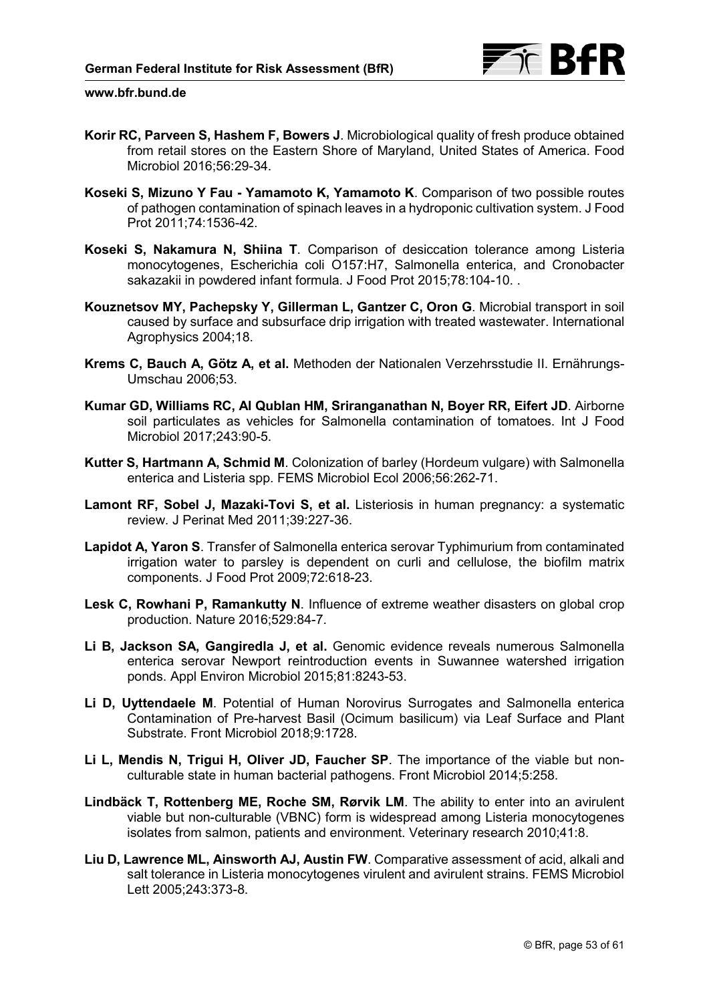

- **Korir RC, Parveen S, Hashem F, Bowers J**. Microbiological quality of fresh produce obtained from retail stores on the Eastern Shore of Maryland, United States of America. Food Microbiol 2016;56:29-34.
- **Koseki S, Mizuno Y Fau Yamamoto K, Yamamoto K**. Comparison of two possible routes of pathogen contamination of spinach leaves in a hydroponic cultivation system. J Food Prot 2011;74:1536-42.
- **Koseki S, Nakamura N, Shiina T**. Comparison of desiccation tolerance among Listeria monocytogenes, Escherichia coli O157:H7, Salmonella enterica, and Cronobacter sakazakii in powdered infant formula. J Food Prot 2015;78:104-10. .
- **Kouznetsov MY, Pachepsky Y, Gillerman L, Gantzer C, Oron G**. Microbial transport in soil caused by surface and subsurface drip irrigation with treated wastewater. International Agrophysics 2004;18.
- **Krems C, Bauch A, Götz A, et al.** Methoden der Nationalen Verzehrsstudie II. Ernährungs-Umschau 2006;53.
- **Kumar GD, Williams RC, Al Qublan HM, Sriranganathan N, Boyer RR, Eifert JD**. Airborne soil particulates as vehicles for Salmonella contamination of tomatoes. Int J Food Microbiol 2017;243:90-5.
- **Kutter S, Hartmann A, Schmid M**. Colonization of barley (Hordeum vulgare) with Salmonella enterica and Listeria spp. FEMS Microbiol Ecol 2006;56:262-71.
- **Lamont RF, Sobel J, Mazaki-Tovi S, et al.** Listeriosis in human pregnancy: a systematic review. J Perinat Med 2011;39:227-36.
- **Lapidot A, Yaron S**. Transfer of Salmonella enterica serovar Typhimurium from contaminated irrigation water to parsley is dependent on curli and cellulose, the biofilm matrix components. J Food Prot 2009;72:618-23.
- **Lesk C, Rowhani P, Ramankutty N**. Influence of extreme weather disasters on global crop production. Nature 2016;529:84-7.
- **Li B, Jackson SA, Gangiredla J, et al.** Genomic evidence reveals numerous Salmonella enterica serovar Newport reintroduction events in Suwannee watershed irrigation ponds. Appl Environ Microbiol 2015;81:8243-53.
- **Li D, Uyttendaele M**. Potential of Human Norovirus Surrogates and Salmonella enterica Contamination of Pre-harvest Basil (Ocimum basilicum) via Leaf Surface and Plant Substrate. Front Microbiol 2018;9:1728.
- **Li L, Mendis N, Trigui H, Oliver JD, Faucher SP**. The importance of the viable but nonculturable state in human bacterial pathogens. Front Microbiol 2014;5:258.
- **Lindbäck T, Rottenberg ME, Roche SM, Rørvik LM**. The ability to enter into an avirulent viable but non-culturable (VBNC) form is widespread among Listeria monocytogenes isolates from salmon, patients and environment. Veterinary research 2010;41:8.
- **Liu D, Lawrence ML, Ainsworth AJ, Austin FW**. Comparative assessment of acid, alkali and salt tolerance in Listeria monocytogenes virulent and avirulent strains. FEMS Microbiol Lett 2005;243:373-8.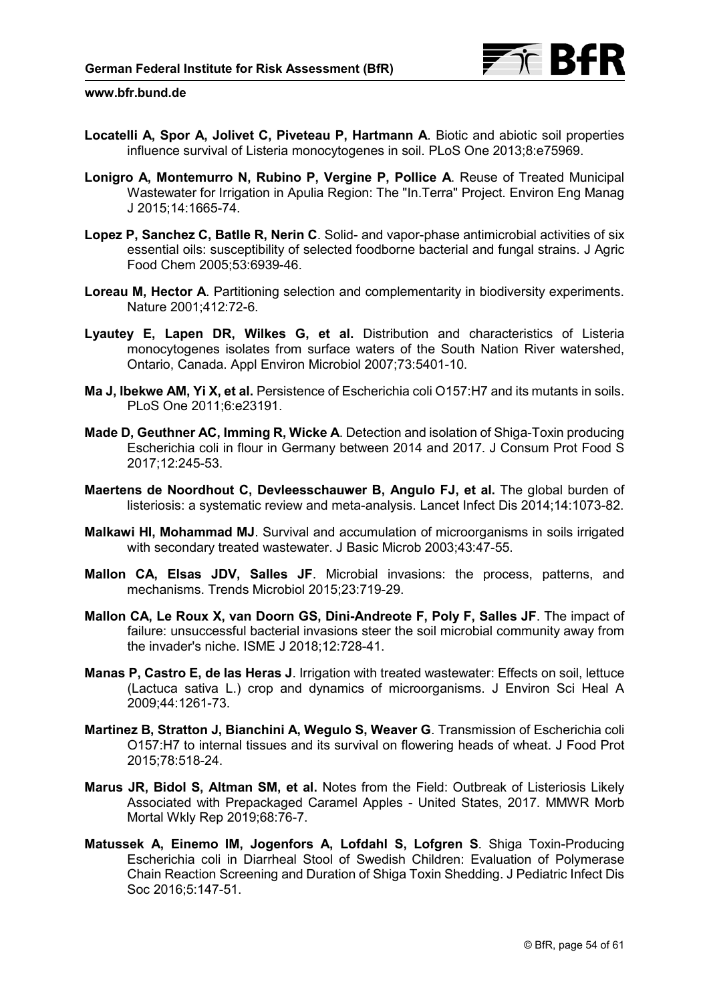- **Locatelli A, Spor A, Jolivet C, Piveteau P, Hartmann A**. Biotic and abiotic soil properties influence survival of Listeria monocytogenes in soil. PLoS One 2013;8:e75969.
- **Lonigro A, Montemurro N, Rubino P, Vergine P, Pollice A**. Reuse of Treated Municipal Wastewater for Irrigation in Apulia Region: The "In.Terra" Project. Environ Eng Manag J 2015;14:1665-74.
- **Lopez P, Sanchez C, Batlle R, Nerin C**. Solid- and vapor-phase antimicrobial activities of six essential oils: susceptibility of selected foodborne bacterial and fungal strains. J Agric Food Chem 2005;53:6939-46.
- **Loreau M, Hector A**. Partitioning selection and complementarity in biodiversity experiments. Nature 2001;412:72-6.
- **Lyautey E, Lapen DR, Wilkes G, et al.** Distribution and characteristics of Listeria monocytogenes isolates from surface waters of the South Nation River watershed, Ontario, Canada. Appl Environ Microbiol 2007;73:5401-10.
- **Ma J, Ibekwe AM, Yi X, et al.** Persistence of Escherichia coli O157:H7 and its mutants in soils. PLoS One 2011;6:e23191.
- **Made D, Geuthner AC, Imming R, Wicke A**. Detection and isolation of Shiga-Toxin producing Escherichia coli in flour in Germany between 2014 and 2017. J Consum Prot Food S 2017;12:245-53.
- **Maertens de Noordhout C, Devleesschauwer B, Angulo FJ, et al.** The global burden of listeriosis: a systematic review and meta-analysis. Lancet Infect Dis 2014;14:1073-82.
- **Malkawi HI, Mohammad MJ**. Survival and accumulation of microorganisms in soils irrigated with secondary treated wastewater. J Basic Microb 2003;43:47-55.
- **Mallon CA, Elsas JDV, Salles JF**. Microbial invasions: the process, patterns, and mechanisms. Trends Microbiol 2015;23:719-29.
- **Mallon CA, Le Roux X, van Doorn GS, Dini-Andreote F, Poly F, Salles JF**. The impact of failure: unsuccessful bacterial invasions steer the soil microbial community away from the invader's niche. ISME J 2018;12:728-41.
- **Manas P, Castro E, de las Heras J**. Irrigation with treated wastewater: Effects on soil, lettuce (Lactuca sativa L.) crop and dynamics of microorganisms. J Environ Sci Heal A 2009;44:1261-73.
- **Martinez B, Stratton J, Bianchini A, Wegulo S, Weaver G**. Transmission of Escherichia coli O157:H7 to internal tissues and its survival on flowering heads of wheat. J Food Prot 2015;78:518-24.
- **Marus JR, Bidol S, Altman SM, et al.** Notes from the Field: Outbreak of Listeriosis Likely Associated with Prepackaged Caramel Apples - United States, 2017. MMWR Morb Mortal Wkly Rep 2019;68:76-7.
- **Matussek A, Einemo IM, Jogenfors A, Lofdahl S, Lofgren S**. Shiga Toxin-Producing Escherichia coli in Diarrheal Stool of Swedish Children: Evaluation of Polymerase Chain Reaction Screening and Duration of Shiga Toxin Shedding. J Pediatric Infect Dis Soc 2016;5:147-51.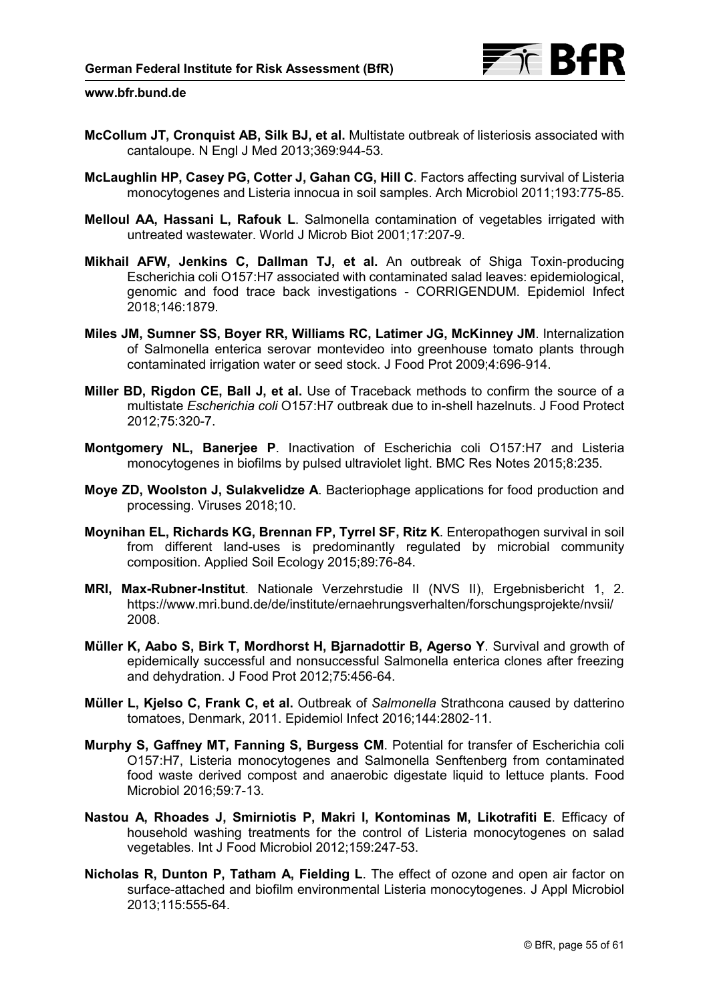- **McCollum JT, Cronquist AB, Silk BJ, et al.** Multistate outbreak of listeriosis associated with cantaloupe. N Engl J Med 2013;369:944-53.
- **McLaughlin HP, Casey PG, Cotter J, Gahan CG, Hill C**. Factors affecting survival of Listeria monocytogenes and Listeria innocua in soil samples. Arch Microbiol 2011;193:775-85.
- **Melloul AA, Hassani L, Rafouk L**. Salmonella contamination of vegetables irrigated with untreated wastewater. World J Microb Biot 2001;17:207-9.
- **Mikhail AFW, Jenkins C, Dallman TJ, et al.** An outbreak of Shiga Toxin-producing Escherichia coli O157:H7 associated with contaminated salad leaves: epidemiological, genomic and food trace back investigations - CORRIGENDUM. Epidemiol Infect 2018;146:1879.
- **Miles JM, Sumner SS, Boyer RR, Williams RC, Latimer JG, McKinney JM**. Internalization of Salmonella enterica serovar montevideo into greenhouse tomato plants through contaminated irrigation water or seed stock. J Food Prot 2009;4:696-914.
- **Miller BD, Rigdon CE, Ball J, et al.** Use of Traceback methods to confirm the source of a multistate *Escherichia coli* O157:H7 outbreak due to in-shell hazelnuts. J Food Protect 2012;75:320-7.
- **Montgomery NL, Banerjee P**. Inactivation of Escherichia coli O157:H7 and Listeria monocytogenes in biofilms by pulsed ultraviolet light. BMC Res Notes 2015;8:235.
- **Moye ZD, Woolston J, Sulakvelidze A**. Bacteriophage applications for food production and processing. Viruses 2018;10.
- **Moynihan EL, Richards KG, Brennan FP, Tyrrel SF, Ritz K**. Enteropathogen survival in soil from different land-uses is predominantly regulated by microbial community composition. Applied Soil Ecology 2015;89:76-84.
- **MRI, Max-Rubner-Institut**. Nationale Verzehrstudie II (NVS II), Ergebnisbericht 1, 2. https://www.mri.bund.de/de/institute/ernaehrungsverhalten/forschungsprojekte/nvsii/ 2008.
- **Müller K, Aabo S, Birk T, Mordhorst H, Bjarnadottir B, Agerso Y**. Survival and growth of epidemically successful and nonsuccessful Salmonella enterica clones after freezing and dehydration. J Food Prot 2012;75:456-64.
- **Müller L, Kjelso C, Frank C, et al.** Outbreak of *Salmonella* Strathcona caused by datterino tomatoes, Denmark, 2011. Epidemiol Infect 2016;144:2802-11.
- **Murphy S, Gaffney MT, Fanning S, Burgess CM**. Potential for transfer of Escherichia coli O157:H7, Listeria monocytogenes and Salmonella Senftenberg from contaminated food waste derived compost and anaerobic digestate liquid to lettuce plants. Food Microbiol 2016;59:7-13.
- **Nastou A, Rhoades J, Smirniotis P, Makri I, Kontominas M, Likotrafiti E**. Efficacy of household washing treatments for the control of Listeria monocytogenes on salad vegetables. Int J Food Microbiol 2012;159:247-53.
- **Nicholas R, Dunton P, Tatham A, Fielding L**. The effect of ozone and open air factor on surface-attached and biofilm environmental Listeria monocytogenes. J Appl Microbiol 2013;115:555-64.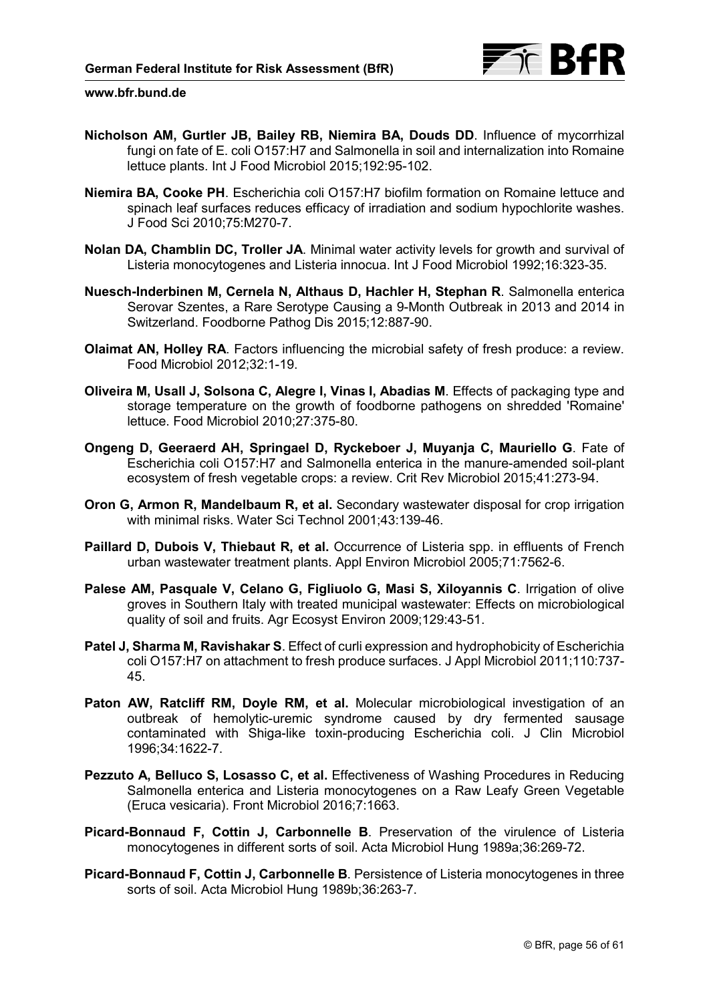

- **Nicholson AM, Gurtler JB, Bailey RB, Niemira BA, Douds DD**. Influence of mycorrhizal fungi on fate of E. coli O157:H7 and Salmonella in soil and internalization into Romaine lettuce plants. Int J Food Microbiol 2015;192:95-102.
- **Niemira BA, Cooke PH**. Escherichia coli O157:H7 biofilm formation on Romaine lettuce and spinach leaf surfaces reduces efficacy of irradiation and sodium hypochlorite washes. J Food Sci 2010;75:M270-7.
- **Nolan DA, Chamblin DC, Troller JA**. Minimal water activity levels for growth and survival of Listeria monocytogenes and Listeria innocua. Int J Food Microbiol 1992;16:323-35.
- **Nuesch-Inderbinen M, Cernela N, Althaus D, Hachler H, Stephan R**. Salmonella enterica Serovar Szentes, a Rare Serotype Causing a 9-Month Outbreak in 2013 and 2014 in Switzerland. Foodborne Pathog Dis 2015;12:887-90.
- **Olaimat AN, Holley RA**. Factors influencing the microbial safety of fresh produce: a review. Food Microbiol 2012;32:1-19.
- **Oliveira M, Usall J, Solsona C, Alegre I, Vinas I, Abadias M**. Effects of packaging type and storage temperature on the growth of foodborne pathogens on shredded 'Romaine' lettuce. Food Microbiol 2010;27:375-80.
- **Ongeng D, Geeraerd AH, Springael D, Ryckeboer J, Muyanja C, Mauriello G**. Fate of Escherichia coli O157:H7 and Salmonella enterica in the manure-amended soil-plant ecosystem of fresh vegetable crops: a review. Crit Rev Microbiol 2015;41:273-94.
- **Oron G, Armon R, Mandelbaum R, et al.** Secondary wastewater disposal for crop irrigation with minimal risks. Water Sci Technol 2001;43:139-46.
- **Paillard D, Dubois V, Thiebaut R, et al.** Occurrence of Listeria spp. in effluents of French urban wastewater treatment plants. Appl Environ Microbiol 2005;71:7562-6.
- **Palese AM, Pasquale V, Celano G, Figliuolo G, Masi S, Xiloyannis C**. Irrigation of olive groves in Southern Italy with treated municipal wastewater: Effects on microbiological quality of soil and fruits. Agr Ecosyst Environ 2009;129:43-51.
- **Patel J, Sharma M, Ravishakar S**. Effect of curli expression and hydrophobicity of Escherichia coli O157:H7 on attachment to fresh produce surfaces. J Appl Microbiol 2011;110:737- 45.
- **Paton AW, Ratcliff RM, Doyle RM, et al.** Molecular microbiological investigation of an outbreak of hemolytic-uremic syndrome caused by dry fermented sausage contaminated with Shiga-like toxin-producing Escherichia coli. J Clin Microbiol 1996;34:1622-7.
- **Pezzuto A, Belluco S, Losasso C, et al.** Effectiveness of Washing Procedures in Reducing Salmonella enterica and Listeria monocytogenes on a Raw Leafy Green Vegetable (Eruca vesicaria). Front Microbiol 2016;7:1663.
- **Picard-Bonnaud F, Cottin J, Carbonnelle B**. Preservation of the virulence of Listeria monocytogenes in different sorts of soil. Acta Microbiol Hung 1989a;36:269-72.
- **Picard-Bonnaud F, Cottin J, Carbonnelle B**. Persistence of Listeria monocytogenes in three sorts of soil. Acta Microbiol Hung 1989b;36:263-7.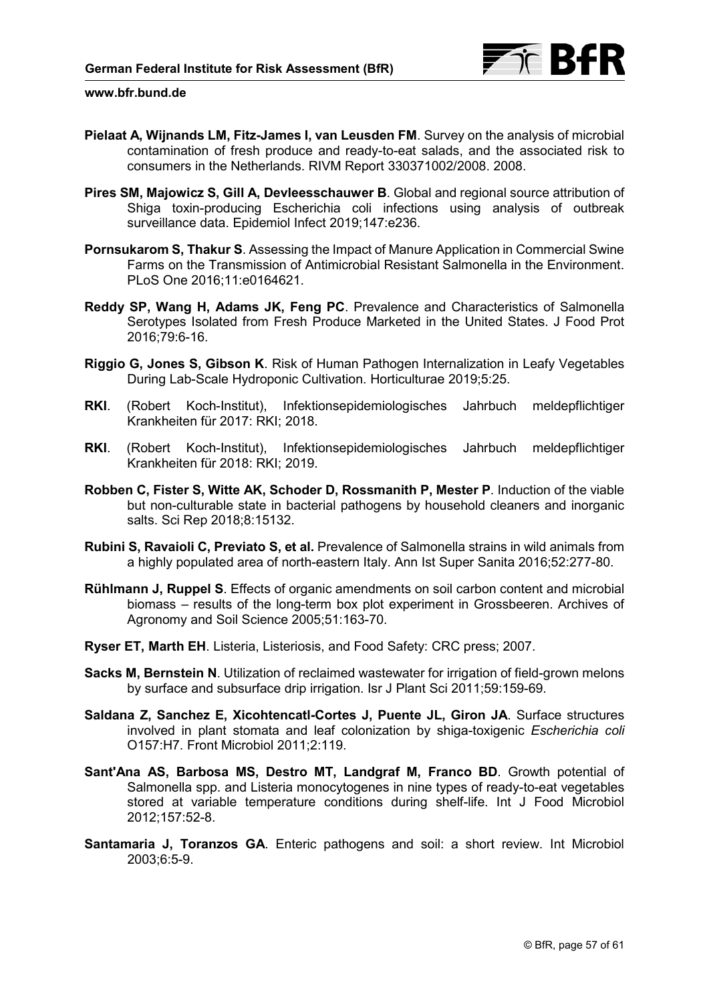

- **Pielaat A, Wijnands LM, Fitz-James I, van Leusden FM**. Survey on the analysis of microbial contamination of fresh produce and ready-to-eat salads, and the associated risk to consumers in the Netherlands. RIVM Report 330371002/2008. 2008.
- **Pires SM, Majowicz S, Gill A, Devleesschauwer B**. Global and regional source attribution of Shiga toxin-producing Escherichia coli infections using analysis of outbreak surveillance data. Epidemiol Infect 2019;147:e236.
- **Pornsukarom S, Thakur S**. Assessing the Impact of Manure Application in Commercial Swine Farms on the Transmission of Antimicrobial Resistant Salmonella in the Environment. PLoS One 2016;11:e0164621.
- **Reddy SP, Wang H, Adams JK, Feng PC**. Prevalence and Characteristics of Salmonella Serotypes Isolated from Fresh Produce Marketed in the United States. J Food Prot 2016;79:6-16.
- **Riggio G, Jones S, Gibson K**. Risk of Human Pathogen Internalization in Leafy Vegetables During Lab-Scale Hydroponic Cultivation. Horticulturae 2019;5:25.
- **RKI**. (Robert Koch-Institut), Infektionsepidemiologisches Jahrbuch meldepflichtiger Krankheiten für 2017: RKI; 2018.
- **RKI**. (Robert Koch-Institut), Infektionsepidemiologisches Jahrbuch meldepflichtiger Krankheiten für 2018: RKI; 2019.
- **Robben C, Fister S, Witte AK, Schoder D, Rossmanith P, Mester P**. Induction of the viable but non-culturable state in bacterial pathogens by household cleaners and inorganic salts. Sci Rep 2018;8:15132.
- **Rubini S, Ravaioli C, Previato S, et al.** Prevalence of Salmonella strains in wild animals from a highly populated area of north-eastern Italy. Ann Ist Super Sanita 2016;52:277-80.
- **Rühlmann J, Ruppel S**. Effects of organic amendments on soil carbon content and microbial biomass – results of the long-term box plot experiment in Grossbeeren. Archives of Agronomy and Soil Science 2005;51:163-70.
- **Ryser ET, Marth EH**. Listeria, Listeriosis, and Food Safety: CRC press; 2007.
- **Sacks M, Bernstein N**. Utilization of reclaimed wastewater for irrigation of field-grown melons by surface and subsurface drip irrigation. Isr J Plant Sci 2011;59:159-69.
- **Saldana Z, Sanchez E, Xicohtencatl-Cortes J, Puente JL, Giron JA**. Surface structures involved in plant stomata and leaf colonization by shiga-toxigenic *Escherichia coli*  O157:H7. Front Microbiol 2011;2:119.
- **Sant'Ana AS, Barbosa MS, Destro MT, Landgraf M, Franco BD**. Growth potential of Salmonella spp. and Listeria monocytogenes in nine types of ready-to-eat vegetables stored at variable temperature conditions during shelf-life. Int J Food Microbiol 2012;157:52-8.
- **Santamaria J, Toranzos GA**. Enteric pathogens and soil: a short review. Int Microbiol 2003;6:5-9.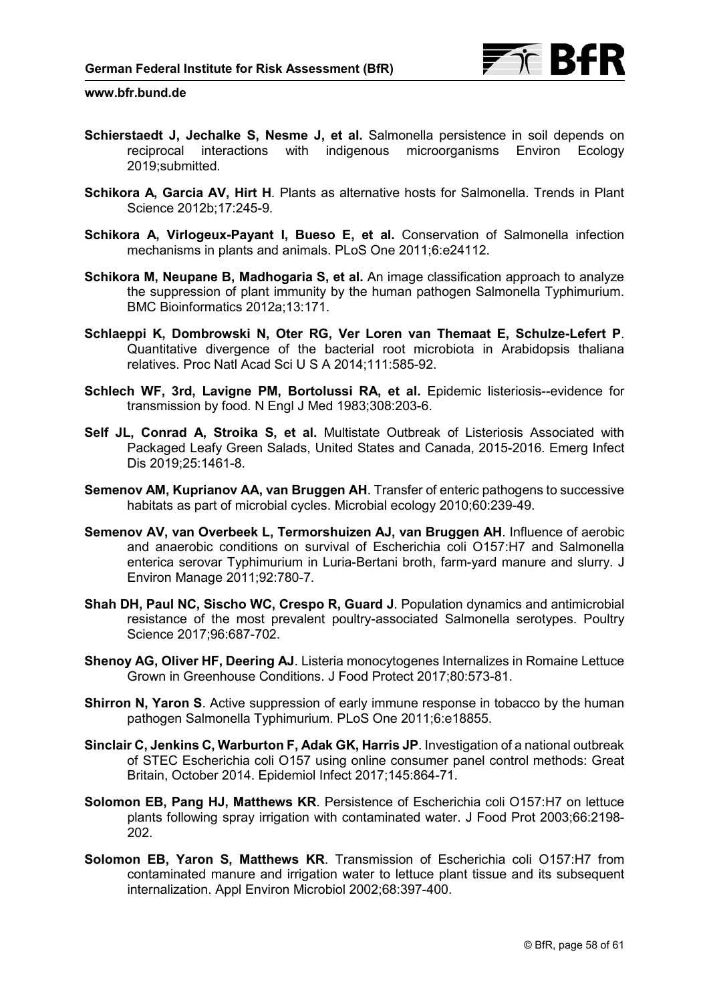

- **Schierstaedt J, Jechalke S, Nesme J, et al.** Salmonella persistence in soil depends on reciprocal interactions with indigenous microorganisms Environ Ecology 2019;submitted.
- **Schikora A, Garcia AV, Hirt H**. Plants as alternative hosts for Salmonella. Trends in Plant Science 2012b;17:245-9.
- **Schikora A, Virlogeux-Payant I, Bueso E, et al.** Conservation of Salmonella infection mechanisms in plants and animals. PLoS One 2011;6:e24112.
- **Schikora M, Neupane B, Madhogaria S, et al.** An image classification approach to analyze the suppression of plant immunity by the human pathogen Salmonella Typhimurium. BMC Bioinformatics 2012a;13:171.
- **Schlaeppi K, Dombrowski N, Oter RG, Ver Loren van Themaat E, Schulze-Lefert P**. Quantitative divergence of the bacterial root microbiota in Arabidopsis thaliana relatives. Proc Natl Acad Sci U S A 2014;111:585-92.
- **Schlech WF, 3rd, Lavigne PM, Bortolussi RA, et al.** Epidemic listeriosis--evidence for transmission by food. N Engl J Med 1983;308:203-6.
- **Self JL, Conrad A, Stroika S, et al.** Multistate Outbreak of Listeriosis Associated with Packaged Leafy Green Salads, United States and Canada, 2015-2016. Emerg Infect Dis 2019;25:1461-8.
- **Semenov AM, Kuprianov AA, van Bruggen AH**. Transfer of enteric pathogens to successive habitats as part of microbial cycles. Microbial ecology 2010;60:239-49.
- **Semenov AV, van Overbeek L, Termorshuizen AJ, van Bruggen AH**. Influence of aerobic and anaerobic conditions on survival of Escherichia coli O157:H7 and Salmonella enterica serovar Typhimurium in Luria-Bertani broth, farm-yard manure and slurry. J Environ Manage 2011;92:780-7.
- **Shah DH, Paul NC, Sischo WC, Crespo R, Guard J**. Population dynamics and antimicrobial resistance of the most prevalent poultry-associated Salmonella serotypes. Poultry Science 2017;96:687-702.
- **Shenoy AG, Oliver HF, Deering AJ**. Listeria monocytogenes Internalizes in Romaine Lettuce Grown in Greenhouse Conditions. J Food Protect 2017;80:573-81.
- **Shirron N, Yaron S**. Active suppression of early immune response in tobacco by the human pathogen Salmonella Typhimurium. PLoS One 2011;6:e18855.
- **Sinclair C, Jenkins C, Warburton F, Adak GK, Harris JP**. Investigation of a national outbreak of STEC Escherichia coli O157 using online consumer panel control methods: Great Britain, October 2014. Epidemiol Infect 2017;145:864-71.
- **Solomon EB, Pang HJ, Matthews KR**. Persistence of Escherichia coli O157:H7 on lettuce plants following spray irrigation with contaminated water. J Food Prot 2003;66:2198- 202.
- **Solomon EB, Yaron S, Matthews KR**. Transmission of Escherichia coli O157:H7 from contaminated manure and irrigation water to lettuce plant tissue and its subsequent internalization. Appl Environ Microbiol 2002;68:397-400.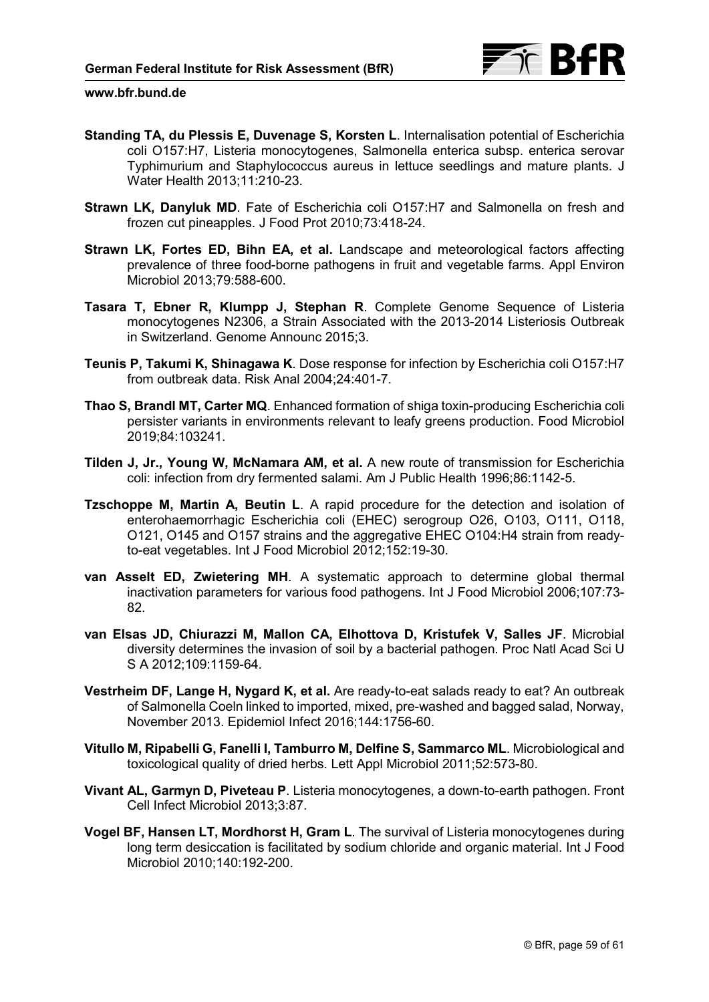

- **Standing TA, du Plessis E, Duvenage S, Korsten L**. Internalisation potential of Escherichia coli O157:H7, Listeria monocytogenes, Salmonella enterica subsp. enterica serovar Typhimurium and Staphylococcus aureus in lettuce seedlings and mature plants. J Water Health 2013;11:210-23.
- **Strawn LK, Danyluk MD**. Fate of Escherichia coli O157:H7 and Salmonella on fresh and frozen cut pineapples. J Food Prot 2010;73:418-24.
- **Strawn LK, Fortes ED, Bihn EA, et al.** Landscape and meteorological factors affecting prevalence of three food-borne pathogens in fruit and vegetable farms. Appl Environ Microbiol 2013;79:588-600.
- **Tasara T, Ebner R, Klumpp J, Stephan R**. Complete Genome Sequence of Listeria monocytogenes N2306, a Strain Associated with the 2013-2014 Listeriosis Outbreak in Switzerland. Genome Announc 2015;3.
- **Teunis P, Takumi K, Shinagawa K**. Dose response for infection by Escherichia coli O157:H7 from outbreak data. Risk Anal 2004;24:401-7.
- **Thao S, Brandl MT, Carter MQ**. Enhanced formation of shiga toxin-producing Escherichia coli persister variants in environments relevant to leafy greens production. Food Microbiol 2019;84:103241.
- **Tilden J, Jr., Young W, McNamara AM, et al.** A new route of transmission for Escherichia coli: infection from dry fermented salami. Am J Public Health 1996;86:1142-5.
- **Tzschoppe M, Martin A, Beutin L**. A rapid procedure for the detection and isolation of enterohaemorrhagic Escherichia coli (EHEC) serogroup O26, O103, O111, O118, O121, O145 and O157 strains and the aggregative EHEC O104:H4 strain from readyto-eat vegetables. Int J Food Microbiol 2012;152:19-30.
- **van Asselt ED, Zwietering MH**. A systematic approach to determine global thermal inactivation parameters for various food pathogens. Int J Food Microbiol 2006;107:73- 82.
- **van Elsas JD, Chiurazzi M, Mallon CA, Elhottova D, Kristufek V, Salles JF**. Microbial diversity determines the invasion of soil by a bacterial pathogen. Proc Natl Acad Sci U S A 2012;109:1159-64.
- **Vestrheim DF, Lange H, Nygard K, et al.** Are ready-to-eat salads ready to eat? An outbreak of Salmonella Coeln linked to imported, mixed, pre-washed and bagged salad, Norway, November 2013. Epidemiol Infect 2016;144:1756-60.
- **Vitullo M, Ripabelli G, Fanelli I, Tamburro M, Delfine S, Sammarco ML**. Microbiological and toxicological quality of dried herbs. Lett Appl Microbiol 2011;52:573-80.
- **Vivant AL, Garmyn D, Piveteau P**. Listeria monocytogenes, a down-to-earth pathogen. Front Cell Infect Microbiol 2013;3:87.
- **Vogel BF, Hansen LT, Mordhorst H, Gram L**. The survival of Listeria monocytogenes during long term desiccation is facilitated by sodium chloride and organic material. Int J Food Microbiol 2010;140:192-200.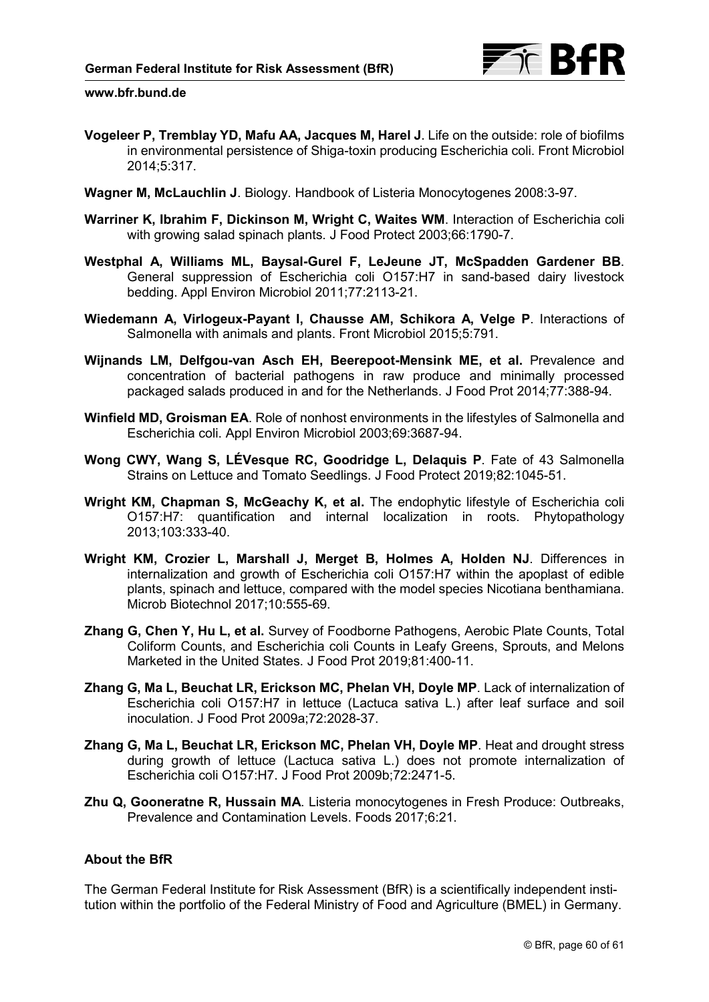- **Vogeleer P, Tremblay YD, Mafu AA, Jacques M, Harel J**. Life on the outside: role of biofilms in environmental persistence of Shiga-toxin producing Escherichia coli. Front Microbiol 2014;5:317.
- **Wagner M, McLauchlin J**. Biology. Handbook of Listeria Monocytogenes 2008:3-97.
- **Warriner K, Ibrahim F, Dickinson M, Wright C, Waites WM**. Interaction of Escherichia coli with growing salad spinach plants. J Food Protect 2003;66:1790-7.
- **Westphal A, Williams ML, Baysal-Gurel F, LeJeune JT, McSpadden Gardener BB**. General suppression of Escherichia coli O157:H7 in sand-based dairy livestock bedding. Appl Environ Microbiol 2011;77:2113-21.
- **Wiedemann A, Virlogeux-Payant I, Chausse AM, Schikora A, Velge P**. Interactions of Salmonella with animals and plants. Front Microbiol 2015;5:791.
- **Wijnands LM, Delfgou-van Asch EH, Beerepoot-Mensink ME, et al.** Prevalence and concentration of bacterial pathogens in raw produce and minimally processed packaged salads produced in and for the Netherlands. J Food Prot 2014;77:388-94.
- **Winfield MD, Groisman EA**. Role of nonhost environments in the lifestyles of Salmonella and Escherichia coli. Appl Environ Microbiol 2003;69:3687-94.
- **Wong CWY, Wang S, LÉVesque RC, Goodridge L, Delaquis P**. Fate of 43 Salmonella Strains on Lettuce and Tomato Seedlings. J Food Protect 2019;82:1045-51.
- **Wright KM, Chapman S, McGeachy K, et al.** The endophytic lifestyle of Escherichia coli O157:H7: quantification and internal localization in roots. Phytopathology 2013;103:333-40.
- **Wright KM, Crozier L, Marshall J, Merget B, Holmes A, Holden NJ**. Differences in internalization and growth of Escherichia coli O157:H7 within the apoplast of edible plants, spinach and lettuce, compared with the model species Nicotiana benthamiana. Microb Biotechnol 2017;10:555-69.
- **Zhang G, Chen Y, Hu L, et al.** Survey of Foodborne Pathogens, Aerobic Plate Counts, Total Coliform Counts, and Escherichia coli Counts in Leafy Greens, Sprouts, and Melons Marketed in the United States. J Food Prot 2019;81:400-11.
- **Zhang G, Ma L, Beuchat LR, Erickson MC, Phelan VH, Doyle MP**. Lack of internalization of Escherichia coli O157:H7 in lettuce (Lactuca sativa L.) after leaf surface and soil inoculation. J Food Prot 2009a;72:2028-37.
- **Zhang G, Ma L, Beuchat LR, Erickson MC, Phelan VH, Doyle MP**. Heat and drought stress during growth of lettuce (Lactuca sativa L.) does not promote internalization of Escherichia coli O157:H7. J Food Prot 2009b;72:2471-5.
- **Zhu Q, Gooneratne R, Hussain MA**. Listeria monocytogenes in Fresh Produce: Outbreaks, Prevalence and Contamination Levels. Foods 2017;6:21.

## **About the BfR**

The German Federal Institute for Risk Assessment (BfR) is a scientifically independent institution within the portfolio of the Federal Ministry of Food and Agriculture (BMEL) in Germany.